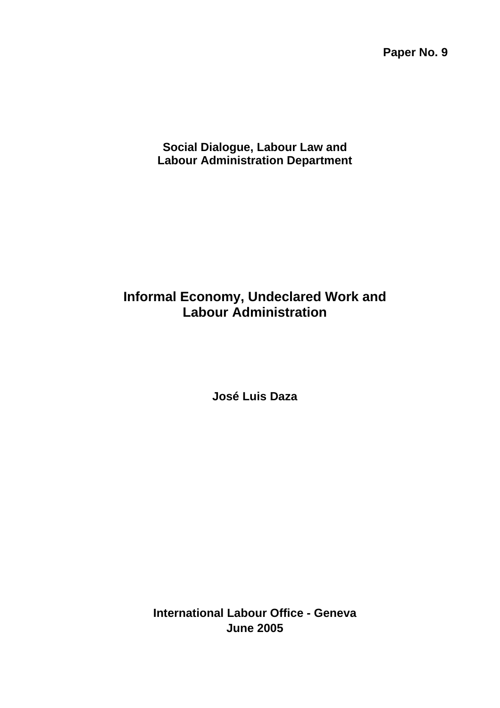**Paper No. 9** 

**Social Dialogue, Labour Law and Labour Administration Department** 

# **Informal Economy, Undeclared Work and Labour Administration**

**José Luis Daza** 

**International Labour Office - Geneva June 2005**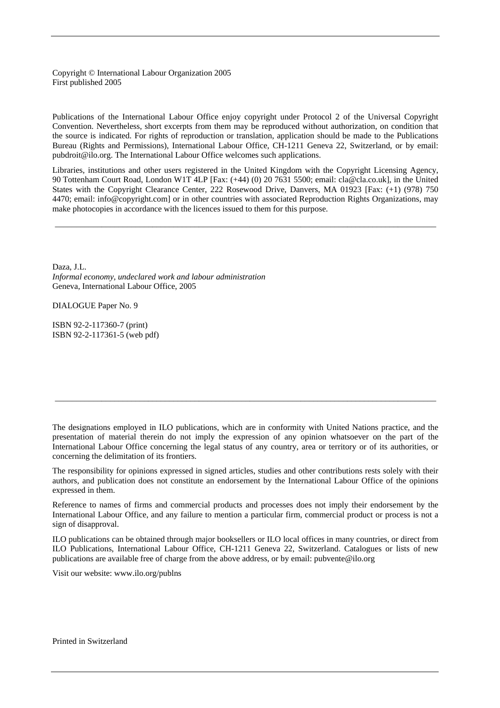Copyright © International Labour Organization 2005 First published 2005

Publications of the International Labour Office enjoy copyright under Protocol 2 of the Universal Copyright Convention. Nevertheless, short excerpts from them may be reproduced without authorization, on condition that the source is indicated. For rights of reproduction or translation, application should be made to the Publications Bureau (Rights and Permissions), International Labour Office, CH-1211 Geneva 22, Switzerland, or by email: pubdroit@ilo.org. The International Labour Office welcomes such applications.

Libraries, institutions and other users registered in the United Kingdom with the Copyright Licensing Agency, 90 Tottenham Court Road, London W1T 4LP [Fax: (+44) (0) 20 7631 5500; email: cla@cla.co.uk], in the United States with the Copyright Clearance Center, 222 Rosewood Drive, Danvers, MA 01923 [Fax: (+1) (978) 750 4470; email: info@copyright.com] or in other countries with associated Reproduction Rights Organizations, may make photocopies in accordance with the licences issued to them for this purpose.

\_\_\_\_\_\_\_\_\_\_\_\_\_\_\_\_\_\_\_\_\_\_\_\_\_\_\_\_\_\_\_\_\_\_\_\_\_\_\_\_\_\_\_\_\_\_\_\_\_\_\_\_\_\_\_\_\_\_\_\_\_\_\_\_\_\_\_\_\_\_\_\_\_\_\_\_\_\_\_\_\_\_\_\_\_\_\_\_\_\_

Daza, J.L. *Informal economy, undeclared work and labour administration*  Geneva, International Labour Office, 2005

DIALOGUE Paper No. 9

ISBN 92-2-117360-7 (print) ISBN 92-2-117361-5 (web pdf)

The designations employed in ILO publications, which are in conformity with United Nations practice, and the presentation of material therein do not imply the expression of any opinion whatsoever on the part of the International Labour Office concerning the legal status of any country, area or territory or of its authorities, or concerning the delimitation of its frontiers.

\_\_\_\_\_\_\_\_\_\_\_\_\_\_\_\_\_\_\_\_\_\_\_\_\_\_\_\_\_\_\_\_\_\_\_\_\_\_\_\_\_\_\_\_\_\_\_\_\_\_\_\_\_\_\_\_\_\_\_\_\_\_\_\_\_\_\_\_\_\_\_\_\_\_\_\_\_\_\_\_\_\_\_\_\_\_\_\_\_\_

The responsibility for opinions expressed in signed articles, studies and other contributions rests solely with their authors, and publication does not constitute an endorsement by the International Labour Office of the opinions expressed in them.

Reference to names of firms and commercial products and processes does not imply their endorsement by the International Labour Office, and any failure to mention a particular firm, commercial product or process is not a sign of disapproval.

ILO publications can be obtained through major booksellers or ILO local offices in many countries, or direct from ILO Publications, International Labour Office, CH-1211 Geneva 22, Switzerland. Catalogues or lists of new publications are available free of charge from the above address, or by email: pubvente@ilo.org

Visit our website: www.ilo.org/publns

Printed in Switzerland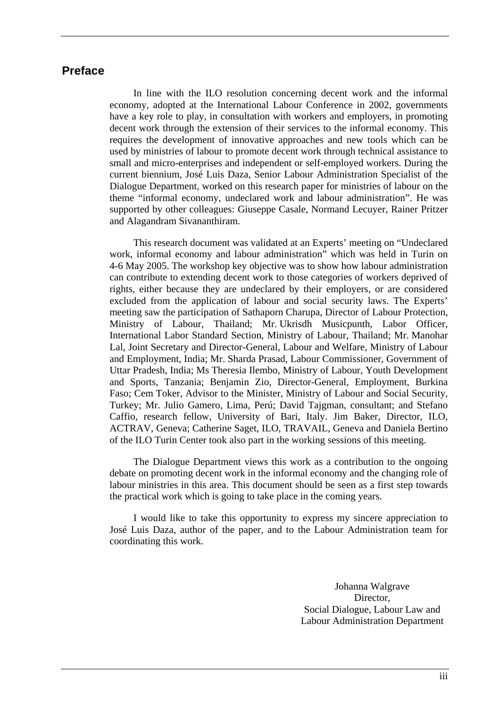# **Preface**

In line with the ILO resolution concerning decent work and the informal economy, adopted at the International Labour Conference in 2002, governments have a key role to play, in consultation with workers and employers, in promoting decent work through the extension of their services to the informal economy. This requires the development of innovative approaches and new tools which can be used by ministries of labour to promote decent work through technical assistance to small and micro-enterprises and independent or self-employed workers. During the current biennium, José Luis Daza, Senior Labour Administration Specialist of the Dialogue Department, worked on this research paper for ministries of labour on the theme "informal economy, undeclared work and labour administration". He was supported by other colleagues: Giuseppe Casale, Normand Lecuyer, Rainer Pritzer and Alagandram Sivananthiram.

This research document was validated at an Experts' meeting on "Undeclared work, informal economy and labour administration" which was held in Turin on 4-6 May 2005. The workshop key objective was to show how labour administration can contribute to extending decent work to those categories of workers deprived of rights, either because they are undeclared by their employers, or are considered excluded from the application of labour and social security laws. The Experts' meeting saw the participation of Sathaporn Charupa, Director of Labour Protection, Ministry of Labour, Thailand; Mr. Ukrisdh Musicpunth, Labor Officer, International Labor Standard Section, Ministry of Labour, Thailand; Mr. Manohar Lal, Joint Secretary and Director-General, Labour and Welfare, Ministry of Labour and Employment, India; Mr. Sharda Prasad, Labour Commissioner, Government of Uttar Pradesh, India; Ms Theresia Ilembo, Ministry of Labour, Youth Development and Sports, Tanzania; Benjamin Zio, Director-General, Employment, Burkina Faso; Cem Toker, Advisor to the Minister, Ministry of Labour and Social Security, Turkey; Mr. Julio Gamero, Lima, Perú; David Tajgman, consultant; and Stefano Caffio, research fellow, University of Bari, Italy. Jim Baker, Director, ILO, ACTRAV, Geneva; Catherine Saget, ILO, TRAVAIL, Geneva and Daniela Bertino of the ILO Turin Center took also part in the working sessions of this meeting.

The Dialogue Department views this work as a contribution to the ongoing debate on promoting decent work in the informal economy and the changing role of labour ministries in this area. This document should be seen as a first step towards the practical work which is going to take place in the coming years.

I would like to take this opportunity to express my sincere appreciation to José Luis Daza, author of the paper, and to the Labour Administration team for coordinating this work.

> Johanna Walgrave Director, Social Dialogue, Labour Law and Labour Administration Department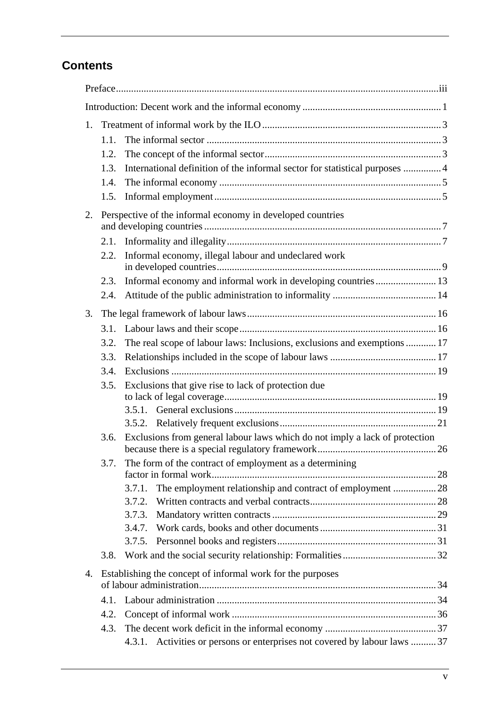# **Contents**

| 1. |                                                            |                                                                             |  |  |  |
|----|------------------------------------------------------------|-----------------------------------------------------------------------------|--|--|--|
|    | 1.1.                                                       |                                                                             |  |  |  |
|    | 1.2.                                                       |                                                                             |  |  |  |
|    | 1.3.                                                       | International definition of the informal sector for statistical purposes  4 |  |  |  |
|    | 1.4.                                                       |                                                                             |  |  |  |
|    | 1.5.                                                       |                                                                             |  |  |  |
| 2. | Perspective of the informal economy in developed countries |                                                                             |  |  |  |
|    |                                                            |                                                                             |  |  |  |
|    |                                                            |                                                                             |  |  |  |
|    | 2.2.                                                       | Informal economy, illegal labour and undeclared work                        |  |  |  |
|    |                                                            |                                                                             |  |  |  |
|    | 2.3.                                                       | Informal economy and informal work in developing countries 13               |  |  |  |
|    | 2.4.                                                       |                                                                             |  |  |  |
| 3. |                                                            |                                                                             |  |  |  |
|    | 3.1.                                                       |                                                                             |  |  |  |
|    | 3.2.                                                       | The real scope of labour laws: Inclusions, exclusions and exemptions  17    |  |  |  |
|    | 3.3.                                                       |                                                                             |  |  |  |
|    | 3.4.                                                       |                                                                             |  |  |  |
|    | 3.5.                                                       | Exclusions that give rise to lack of protection due                         |  |  |  |
|    |                                                            |                                                                             |  |  |  |
|    |                                                            |                                                                             |  |  |  |
|    |                                                            |                                                                             |  |  |  |
|    | 3.6.                                                       | Exclusions from general labour laws which do not imply a lack of protection |  |  |  |
|    |                                                            | 3.7. The form of the contract of employment as a determining                |  |  |  |
|    |                                                            |                                                                             |  |  |  |
|    |                                                            | 3.7.1.                                                                      |  |  |  |
|    |                                                            | 3.7.2.                                                                      |  |  |  |
|    |                                                            | 3.7.3.                                                                      |  |  |  |
|    |                                                            | 3.4.7.                                                                      |  |  |  |
|    |                                                            | 3.7.5.                                                                      |  |  |  |
|    | 3.8.                                                       |                                                                             |  |  |  |
| 4. |                                                            | Establishing the concept of informal work for the purposes                  |  |  |  |
|    |                                                            |                                                                             |  |  |  |
|    | 4.1.                                                       |                                                                             |  |  |  |
|    | 4.2.                                                       |                                                                             |  |  |  |
|    | 4.3.                                                       |                                                                             |  |  |  |
|    |                                                            | 4.3.1. Activities or persons or enterprises not covered by labour laws  37  |  |  |  |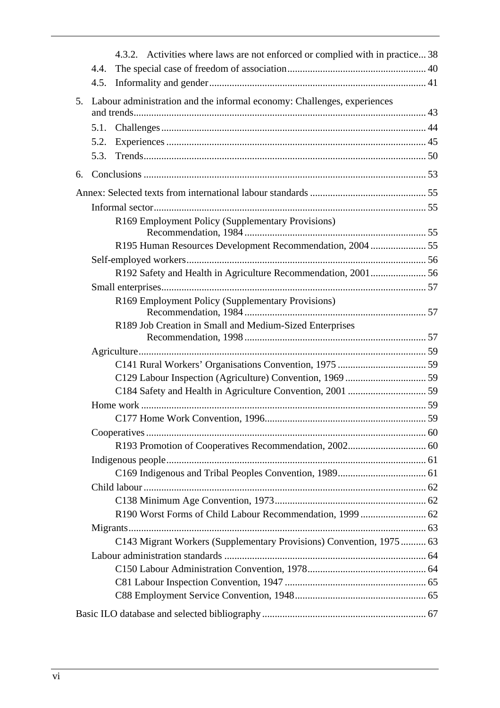|    |      | 4.3.2. Activities where laws are not enforced or complied with in practice 38 |  |  |  |
|----|------|-------------------------------------------------------------------------------|--|--|--|
|    | 4.4. |                                                                               |  |  |  |
|    | 4.5. |                                                                               |  |  |  |
| 5. |      | Labour administration and the informal economy: Challenges, experiences       |  |  |  |
|    |      |                                                                               |  |  |  |
|    |      |                                                                               |  |  |  |
|    | 5.2. |                                                                               |  |  |  |
|    |      |                                                                               |  |  |  |
| 6. |      |                                                                               |  |  |  |
|    |      |                                                                               |  |  |  |
|    |      |                                                                               |  |  |  |
|    |      | R169 Employment Policy (Supplementary Provisions)                             |  |  |  |
|    |      |                                                                               |  |  |  |
|    |      | R195 Human Resources Development Recommendation, 2004  55                     |  |  |  |
|    |      |                                                                               |  |  |  |
|    |      |                                                                               |  |  |  |
|    |      |                                                                               |  |  |  |
|    |      | R169 Employment Policy (Supplementary Provisions)                             |  |  |  |
|    |      |                                                                               |  |  |  |
|    |      | R189 Job Creation in Small and Medium-Sized Enterprises                       |  |  |  |
|    |      |                                                                               |  |  |  |
|    |      |                                                                               |  |  |  |
|    |      |                                                                               |  |  |  |
|    |      |                                                                               |  |  |  |
|    |      |                                                                               |  |  |  |
|    |      |                                                                               |  |  |  |
|    |      |                                                                               |  |  |  |
|    |      |                                                                               |  |  |  |
|    |      |                                                                               |  |  |  |
|    |      |                                                                               |  |  |  |
|    |      |                                                                               |  |  |  |
|    |      |                                                                               |  |  |  |
|    |      |                                                                               |  |  |  |
|    |      | R190 Worst Forms of Child Labour Recommendation, 1999  62                     |  |  |  |
|    |      |                                                                               |  |  |  |
|    |      | C143 Migrant Workers (Supplementary Provisions) Convention, 1975 63           |  |  |  |
|    |      |                                                                               |  |  |  |
|    |      |                                                                               |  |  |  |
|    |      |                                                                               |  |  |  |
|    |      |                                                                               |  |  |  |
|    |      |                                                                               |  |  |  |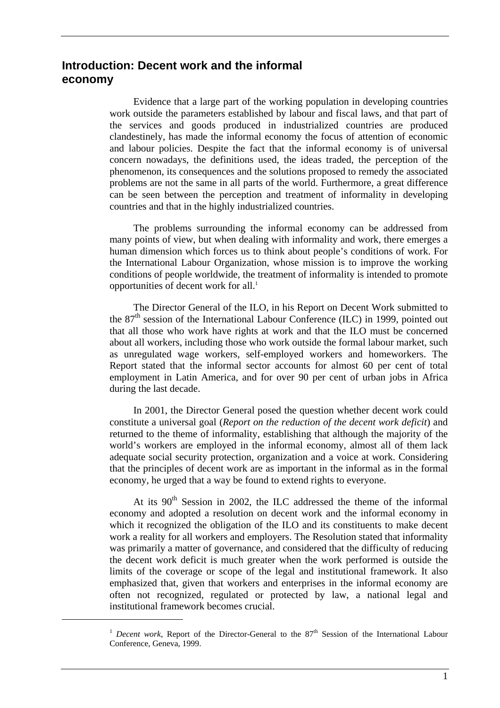# **Introduction: Decent work and the informal economy**

Evidence that a large part of the working population in developing countries work outside the parameters established by labour and fiscal laws, and that part of the services and goods produced in industrialized countries are produced clandestinely, has made the informal economy the focus of attention of economic and labour policies. Despite the fact that the informal economy is of universal concern nowadays, the definitions used, the ideas traded, the perception of the phenomenon, its consequences and the solutions proposed to remedy the associated problems are not the same in all parts of the world. Furthermore, a great difference can be seen between the perception and treatment of informality in developing countries and that in the highly industrialized countries.

The problems surrounding the informal economy can be addressed from many points of view, but when dealing with informality and work, there emerges a human dimension which forces us to think about people's conditions of work. For the International Labour Organization, whose mission is to improve the working conditions of people worldwide, the treatment of informality is intended to promote opportunities of decent work for all.<sup>1</sup>

The Director General of the ILO, in his Report on Decent Work submitted to the 87<sup>th</sup> session of the International Labour Conference (ILC) in 1999, pointed out that all those who work have rights at work and that the ILO must be concerned about all workers, including those who work outside the formal labour market, such as unregulated wage workers, self-employed workers and homeworkers. The Report stated that the informal sector accounts for almost 60 per cent of total employment in Latin America, and for over 90 per cent of urban jobs in Africa during the last decade.

In 2001, the Director General posed the question whether decent work could constitute a universal goal (*Report on the reduction of the decent work deficit*) and returned to the theme of informality, establishing that although the majority of the world's workers are employed in the informal economy, almost all of them lack adequate social security protection, organization and a voice at work. Considering that the principles of decent work are as important in the informal as in the formal economy, he urged that a way be found to extend rights to everyone.

At its  $90<sup>th</sup>$  Session in 2002, the ILC addressed the theme of the informal economy and adopted a resolution on decent work and the informal economy in which it recognized the obligation of the ILO and its constituents to make decent work a reality for all workers and employers. The Resolution stated that informality was primarily a matter of governance, and considered that the difficulty of reducing the decent work deficit is much greater when the work performed is outside the limits of the coverage or scope of the legal and institutional framework. It also emphasized that, given that workers and enterprises in the informal economy are often not recognized, regulated or protected by law, a national legal and institutional framework becomes crucial.

<sup>&</sup>lt;sup>1</sup> *Decent work*, Report of the Director-General to the 87<sup>th</sup> Session of the International Labour Conference, Geneva, 1999.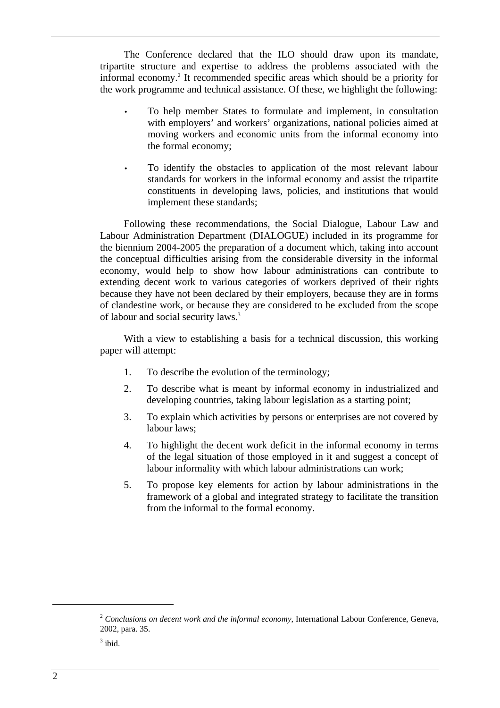The Conference declared that the ILO should draw upon its mandate, tripartite structure and expertise to address the problems associated with the informal economy.<sup>2</sup> It recommended specific areas which should be a priority for the work programme and technical assistance. Of these, we highlight the following:

- To help member States to formulate and implement, in consultation with employers' and workers' organizations, national policies aimed at moving workers and economic units from the informal economy into the formal economy;
- To identify the obstacles to application of the most relevant labour standards for workers in the informal economy and assist the tripartite constituents in developing laws, policies, and institutions that would implement these standards;

Following these recommendations, the Social Dialogue, Labour Law and Labour Administration Department (DIALOGUE) included in its programme for the biennium 2004-2005 the preparation of a document which, taking into account the conceptual difficulties arising from the considerable diversity in the informal economy, would help to show how labour administrations can contribute to extending decent work to various categories of workers deprived of their rights because they have not been declared by their employers, because they are in forms of clandestine work, or because they are considered to be excluded from the scope of labour and social security laws.<sup>3</sup>

With a view to establishing a basis for a technical discussion, this working paper will attempt:

- 1. To describe the evolution of the terminology;
- 2. To describe what is meant by informal economy in industrialized and developing countries, taking labour legislation as a starting point;
- 3. To explain which activities by persons or enterprises are not covered by labour laws;
- 4. To highlight the decent work deficit in the informal economy in terms of the legal situation of those employed in it and suggest a concept of labour informality with which labour administrations can work;
- 5. To propose key elements for action by labour administrations in the framework of a global and integrated strategy to facilitate the transition from the informal to the formal economy.

<sup>2</sup> *Conclusions on decent work and the informal economy*, International Labour Conference, Geneva, 2002, para. 35.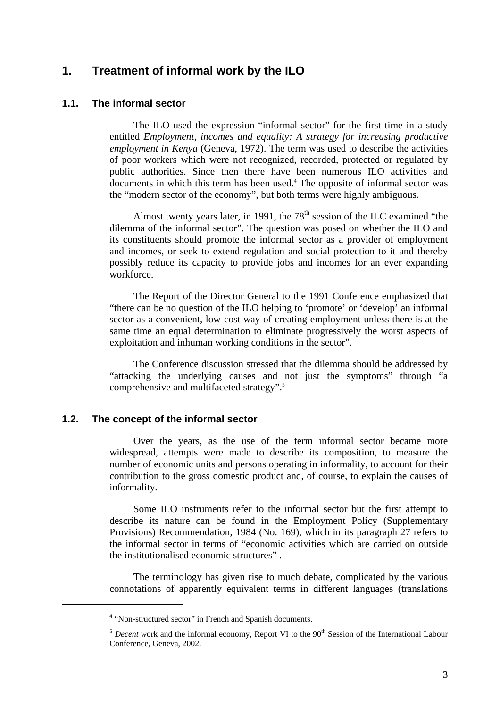# **1. Treatment of informal work by the ILO**

## **1.1. The informal sector**

The ILO used the expression "informal sector" for the first time in a study entitled *Employment, incomes and equality: A strategy for increasing productive employment in Kenya* (Geneva, 1972). The term was used to describe the activities of poor workers which were not recognized, recorded, protected or regulated by public authorities. Since then there have been numerous ILO activities and documents in which this term has been used.<sup>4</sup> The opposite of informal sector was the "modern sector of the economy", but both terms were highly ambiguous.

Almost twenty years later, in 1991, the  $78<sup>th</sup>$  session of the ILC examined "the dilemma of the informal sector". The question was posed on whether the ILO and its constituents should promote the informal sector as a provider of employment and incomes, or seek to extend regulation and social protection to it and thereby possibly reduce its capacity to provide jobs and incomes for an ever expanding workforce.

The Report of the Director General to the 1991 Conference emphasized that "there can be no question of the ILO helping to 'promote' or 'develop' an informal sector as a convenient, low-cost way of creating employment unless there is at the same time an equal determination to eliminate progressively the worst aspects of exploitation and inhuman working conditions in the sector".

The Conference discussion stressed that the dilemma should be addressed by "attacking the underlying causes and not just the symptoms" through "a comprehensive and multifaceted strategy".<sup>5</sup>

#### **1.2. The concept of the informal sector**

 $\overline{a}$ 

Over the years, as the use of the term informal sector became more widespread, attempts were made to describe its composition, to measure the number of economic units and persons operating in informality, to account for their contribution to the gross domestic product and, of course, to explain the causes of informality.

Some ILO instruments refer to the informal sector but the first attempt to describe its nature can be found in the Employment Policy (Supplementary Provisions) Recommendation, 1984 (No. 169), which in its paragraph 27 refers to the informal sector in terms of "economic activities which are carried on outside the institutionalised economic structures" .

The terminology has given rise to much debate, complicated by the various connotations of apparently equivalent terms in different languages (translations

<sup>&</sup>lt;sup>4</sup> "Non-structured sector" in French and Spanish documents.

 $5$  *Decent work and the informal economy, Report VI to the 90<sup>th</sup> Session of the International Labour* Conference, Geneva, 2002.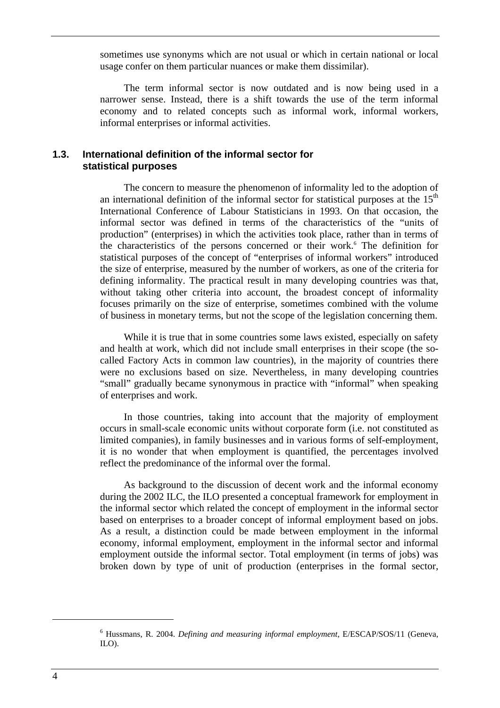sometimes use synonyms which are not usual or which in certain national or local usage confer on them particular nuances or make them dissimilar).

The term informal sector is now outdated and is now being used in a narrower sense. Instead, there is a shift towards the use of the term informal economy and to related concepts such as informal work, informal workers, informal enterprises or informal activities.

## **1.3. International definition of the informal sector for statistical purposes**

The concern to measure the phenomenon of informality led to the adoption of an international definition of the informal sector for statistical purposes at the  $15<sup>th</sup>$ International Conference of Labour Statisticians in 1993. On that occasion, the informal sector was defined in terms of the characteristics of the "units of production" (enterprises) in which the activities took place, rather than in terms of the characteristics of the persons concerned or their work.<sup>6</sup> The definition for statistical purposes of the concept of "enterprises of informal workers" introduced the size of enterprise, measured by the number of workers, as one of the criteria for defining informality. The practical result in many developing countries was that, without taking other criteria into account, the broadest concept of informality focuses primarily on the size of enterprise, sometimes combined with the volume of business in monetary terms, but not the scope of the legislation concerning them.

While it is true that in some countries some laws existed, especially on safety and health at work, which did not include small enterprises in their scope (the socalled Factory Acts in common law countries), in the majority of countries there were no exclusions based on size. Nevertheless, in many developing countries "small" gradually became synonymous in practice with "informal" when speaking of enterprises and work.

In those countries, taking into account that the majority of employment occurs in small-scale economic units without corporate form (i.e. not constituted as limited companies), in family businesses and in various forms of self-employment, it is no wonder that when employment is quantified, the percentages involved reflect the predominance of the informal over the formal.

As background to the discussion of decent work and the informal economy during the 2002 ILC, the ILO presented a conceptual framework for employment in the informal sector which related the concept of employment in the informal sector based on enterprises to a broader concept of informal employment based on jobs. As a result, a distinction could be made between employment in the informal economy, informal employment, employment in the informal sector and informal employment outside the informal sector. Total employment (in terms of jobs) was broken down by type of unit of production (enterprises in the formal sector,

<sup>6</sup> Hussmans, R. 2004. *Defining and measuring informal employment*, E/ESCAP/SOS/11 (Geneva, ILO).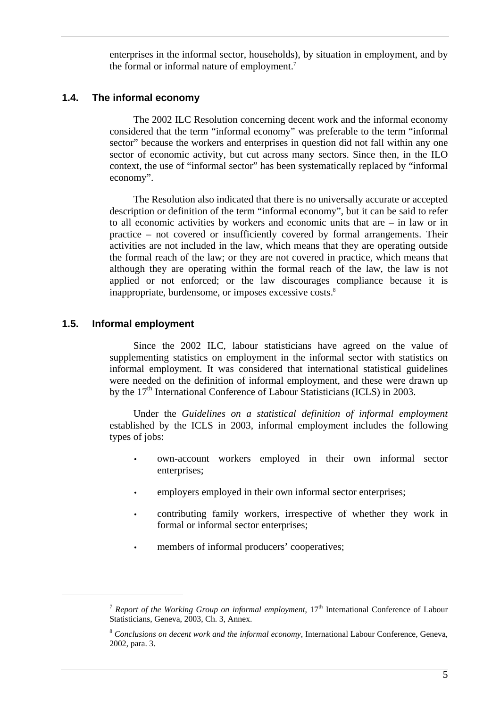enterprises in the informal sector, households), by situation in employment, and by the formal or informal nature of employment.<sup>7</sup>

#### **1.4. The informal economy**

The 2002 ILC Resolution concerning decent work and the informal economy considered that the term "informal economy" was preferable to the term "informal sector" because the workers and enterprises in question did not fall within any one sector of economic activity, but cut across many sectors. Since then, in the ILO context, the use of "informal sector" has been systematically replaced by "informal economy".

The Resolution also indicated that there is no universally accurate or accepted description or definition of the term "informal economy", but it can be said to refer to all economic activities by workers and economic units that are – in law or in practice – not covered or insufficiently covered by formal arrangements. Their activities are not included in the law, which means that they are operating outside the formal reach of the law; or they are not covered in practice, which means that although they are operating within the formal reach of the law, the law is not applied or not enforced; or the law discourages compliance because it is inappropriate, burdensome, or imposes excessive costs.<sup>8</sup>

#### **1.5. Informal employment**

 $\overline{a}$ 

Since the 2002 ILC, labour statisticians have agreed on the value of supplementing statistics on employment in the informal sector with statistics on informal employment. It was considered that international statistical guidelines were needed on the definition of informal employment, and these were drawn up by the  $17<sup>th</sup>$  International Conference of Labour Statisticians (ICLS) in 2003.

Under the *Guidelines on a statistical definition of informal employment*  established by the ICLS in 2003, informal employment includes the following types of jobs:

- own-account workers employed in their own informal sector enterprises;
- employers employed in their own informal sector enterprises;
- contributing family workers, irrespective of whether they work in formal or informal sector enterprises;
- members of informal producers' cooperatives;

<sup>&</sup>lt;sup>7</sup> *Report of the Working Group on informal employment*, 17<sup>th</sup> International Conference of Labour Statisticians, Geneva, 2003, Ch. 3, Annex.

<sup>8</sup> *Conclusions on decent work and the informal economy*, International Labour Conference, Geneva, 2002, para. 3.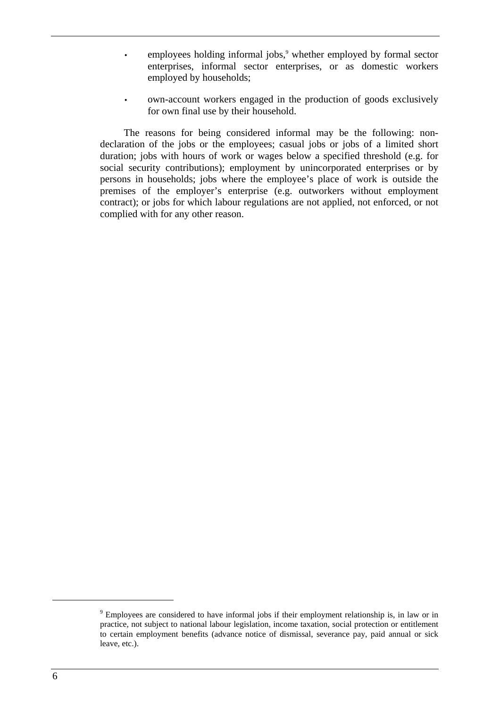- employees holding informal jobs,<sup>9</sup> whether employed by formal sector enterprises, informal sector enterprises, or as domestic workers employed by households;
- own-account workers engaged in the production of goods exclusively for own final use by their household.

The reasons for being considered informal may be the following: nondeclaration of the jobs or the employees; casual jobs or jobs of a limited short duration; jobs with hours of work or wages below a specified threshold (e.g. for social security contributions); employment by unincorporated enterprises or by persons in households; jobs where the employee's place of work is outside the premises of the employer's enterprise (e.g. outworkers without employment contract); or jobs for which labour regulations are not applied, not enforced, or not complied with for any other reason.

<sup>&</sup>lt;sup>9</sup> Employees are considered to have informal jobs if their employment relationship is, in law or in practice, not subject to national labour legislation, income taxation, social protection or entitlement to certain employment benefits (advance notice of dismissal, severance pay, paid annual or sick leave, etc.).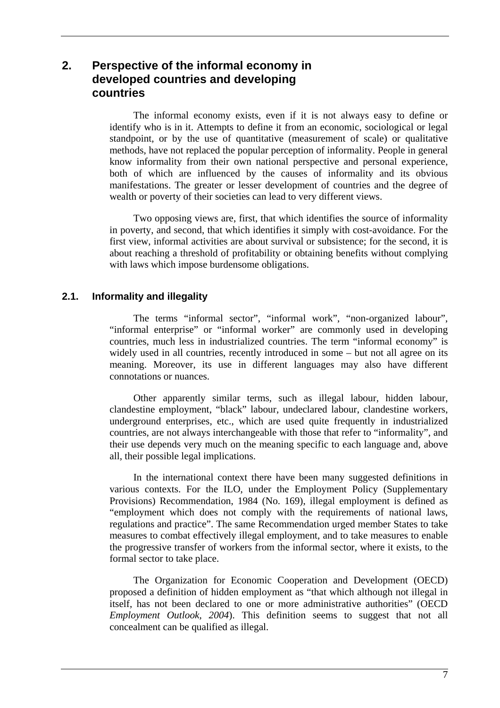# **2. Perspective of the informal economy in developed countries and developing countries**

The informal economy exists, even if it is not always easy to define or identify who is in it. Attempts to define it from an economic, sociological or legal standpoint, or by the use of quantitative (measurement of scale) or qualitative methods, have not replaced the popular perception of informality. People in general know informality from their own national perspective and personal experience, both of which are influenced by the causes of informality and its obvious manifestations. The greater or lesser development of countries and the degree of wealth or poverty of their societies can lead to very different views.

Two opposing views are, first, that which identifies the source of informality in poverty, and second, that which identifies it simply with cost-avoidance. For the first view, informal activities are about survival or subsistence; for the second, it is about reaching a threshold of profitability or obtaining benefits without complying with laws which impose burdensome obligations.

# **2.1. Informality and illegality**

The terms "informal sector", "informal work", "non-organized labour", "informal enterprise" or "informal worker" are commonly used in developing countries, much less in industrialized countries. The term "informal economy" is widely used in all countries, recently introduced in some – but not all agree on its meaning. Moreover, its use in different languages may also have different connotations or nuances.

Other apparently similar terms, such as illegal labour, hidden labour, clandestine employment, "black" labour, undeclared labour, clandestine workers, underground enterprises, etc., which are used quite frequently in industrialized countries, are not always interchangeable with those that refer to "informality", and their use depends very much on the meaning specific to each language and, above all, their possible legal implications.

In the international context there have been many suggested definitions in various contexts. For the ILO, under the Employment Policy (Supplementary Provisions) Recommendation, 1984 (No. 169), illegal employment is defined as "employment which does not comply with the requirements of national laws, regulations and practice". The same Recommendation urged member States to take measures to combat effectively illegal employment, and to take measures to enable the progressive transfer of workers from the informal sector, where it exists, to the formal sector to take place.

The Organization for Economic Cooperation and Development (OECD) proposed a definition of hidden employment as "that which although not illegal in itself, has not been declared to one or more administrative authorities" (OECD *Employment Outlook, 2004*). This definition seems to suggest that not all concealment can be qualified as illegal.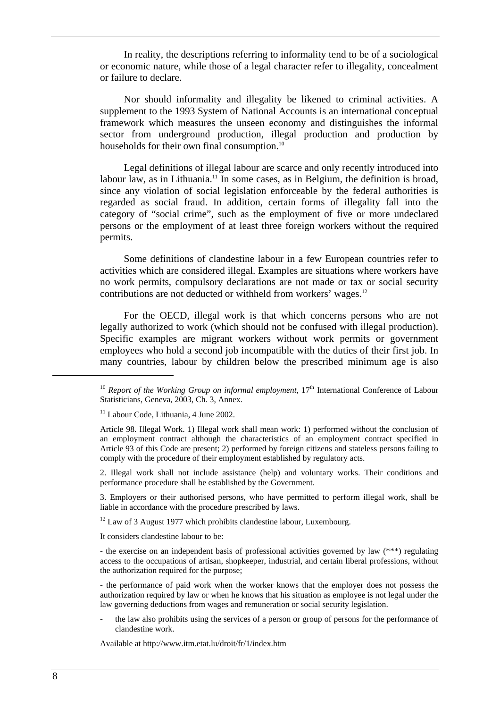In reality, the descriptions referring to informality tend to be of a sociological or economic nature, while those of a legal character refer to illegality, concealment or failure to declare.

Nor should informality and illegality be likened to criminal activities. A supplement to the 1993 System of National Accounts is an international conceptual framework which measures the unseen economy and distinguishes the informal sector from underground production, illegal production and production by households for their own final consumption.<sup>10</sup>

Legal definitions of illegal labour are scarce and only recently introduced into labour law, as in Lithuania.<sup>11</sup> In some cases, as in Belgium, the definition is broad, since any violation of social legislation enforceable by the federal authorities is regarded as social fraud. In addition, certain forms of illegality fall into the category of "social crime", such as the employment of five or more undeclared persons or the employment of at least three foreign workers without the required permits.

Some definitions of clandestine labour in a few European countries refer to activities which are considered illegal. Examples are situations where workers have no work permits, compulsory declarations are not made or tax or social security contributions are not deducted or withheld from workers' wages.<sup>12</sup>

For the OECD, illegal work is that which concerns persons who are not legally authorized to work (which should not be confused with illegal production). Specific examples are migrant workers without work permits or government employees who hold a second job incompatible with the duties of their first job. In many countries, labour by children below the prescribed minimum age is also

2. Illegal work shall not include assistance (help) and voluntary works. Their conditions and performance procedure shall be established by the Government.

3. Employers or their authorised persons, who have permitted to perform illegal work, shall be liable in accordance with the procedure prescribed by laws.

 $12$  Law of 3 August 1977 which prohibits clandestine labour, Luxembourg.

It considers clandestine labour to be:

- the exercise on an independent basis of professional activities governed by law (\*\*\*) regulating access to the occupations of artisan, shopkeeper, industrial, and certain liberal professions, without the authorization required for the purpose;

- the performance of paid work when the worker knows that the employer does not possess the authorization required by law or when he knows that his situation as employee is not legal under the law governing deductions from wages and remuneration or social security legislation.

- the law also prohibits using the services of a person or group of persons for the performance of clandestine work.

Available at http://www.itm.etat.lu/droit/fr/1/index.htm

<sup>&</sup>lt;sup>10</sup> *Report of the Working Group on informal employment*, 17<sup>th</sup> International Conference of Labour Statisticians, Geneva, 2003, Ch. 3, Annex.

<sup>&</sup>lt;sup>11</sup> Labour Code, Lithuania, 4 June 2002.

Article 98. Illegal Work. 1) Illegal work shall mean work: 1) performed without the conclusion of an employment contract although the characteristics of an employment contract specified in Article 93 of this Code are present; 2) performed by foreign citizens and stateless persons failing to comply with the procedure of their employment established by regulatory acts.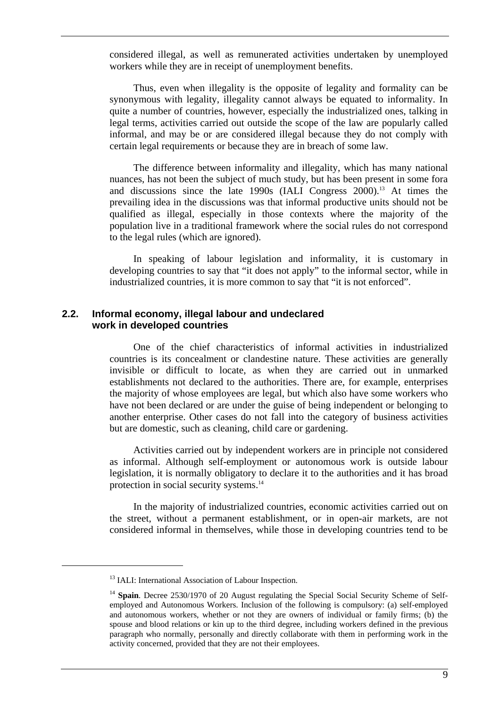considered illegal, as well as remunerated activities undertaken by unemployed workers while they are in receipt of unemployment benefits.

Thus, even when illegality is the opposite of legality and formality can be synonymous with legality, illegality cannot always be equated to informality. In quite a number of countries, however, especially the industrialized ones, talking in legal terms, activities carried out outside the scope of the law are popularly called informal, and may be or are considered illegal because they do not comply with certain legal requirements or because they are in breach of some law.

The difference between informality and illegality, which has many national nuances, has not been the subject of much study, but has been present in some fora and discussions since the late 1990s (IALI Congress 2000).<sup>13</sup> At times the prevailing idea in the discussions was that informal productive units should not be qualified as illegal, especially in those contexts where the majority of the population live in a traditional framework where the social rules do not correspond to the legal rules (which are ignored).

In speaking of labour legislation and informality, it is customary in developing countries to say that "it does not apply" to the informal sector, while in industrialized countries, it is more common to say that "it is not enforced".

## **2.2. Informal economy, illegal labour and undeclared work in developed countries**

One of the chief characteristics of informal activities in industrialized countries is its concealment or clandestine nature. These activities are generally invisible or difficult to locate, as when they are carried out in unmarked establishments not declared to the authorities. There are, for example, enterprises the majority of whose employees are legal, but which also have some workers who have not been declared or are under the guise of being independent or belonging to another enterprise. Other cases do not fall into the category of business activities but are domestic, such as cleaning, child care or gardening.

Activities carried out by independent workers are in principle not considered as informal. Although self-employment or autonomous work is outside labour legislation, it is normally obligatory to declare it to the authorities and it has broad protection in social security systems.<sup>14</sup>

In the majority of industrialized countries, economic activities carried out on the street, without a permanent establishment, or in open-air markets, are not considered informal in themselves, while those in developing countries tend to be

<sup>&</sup>lt;sup>13</sup> IALI: International Association of Labour Inspection.

<sup>&</sup>lt;sup>14</sup> **Spain**. Decree 2530/1970 of 20 August regulating the Special Social Security Scheme of Selfemployed and Autonomous Workers. Inclusion of the following is compulsory: (a) self-employed and autonomous workers, whether or not they are owners of individual or family firms; (b) the spouse and blood relations or kin up to the third degree, including workers defined in the previous paragraph who normally, personally and directly collaborate with them in performing work in the activity concerned, provided that they are not their employees.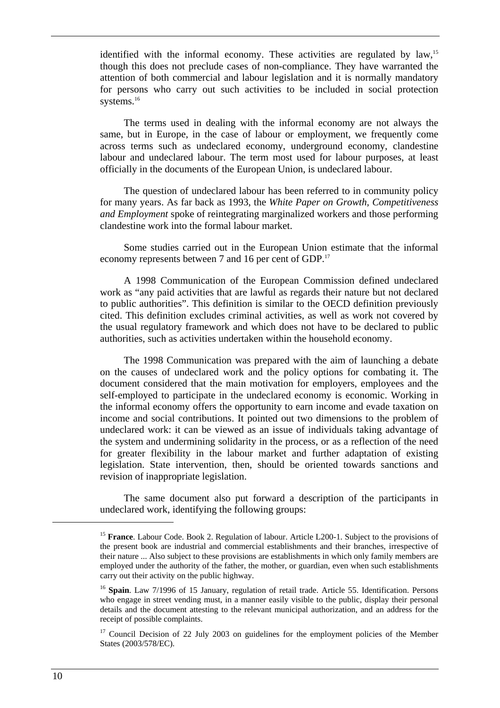identified with the informal economy. These activities are regulated by law,<sup>15</sup> though this does not preclude cases of non-compliance. They have warranted the attention of both commercial and labour legislation and it is normally mandatory for persons who carry out such activities to be included in social protection systems.<sup>16</sup>

The terms used in dealing with the informal economy are not always the same, but in Europe, in the case of labour or employment, we frequently come across terms such as undeclared economy, underground economy, clandestine labour and undeclared labour. The term most used for labour purposes, at least officially in the documents of the European Union, is undeclared labour.

The question of undeclared labour has been referred to in community policy for many years. As far back as 1993, the *White Paper on Growth, Competitiveness and Employment* spoke of reintegrating marginalized workers and those performing clandestine work into the formal labour market.

Some studies carried out in the European Union estimate that the informal economy represents between 7 and 16 per cent of GDP.<sup>17</sup>

A 1998 Communication of the European Commission defined undeclared work as "any paid activities that are lawful as regards their nature but not declared to public authorities". This definition is similar to the OECD definition previously cited. This definition excludes criminal activities, as well as work not covered by the usual regulatory framework and which does not have to be declared to public authorities, such as activities undertaken within the household economy.

The 1998 Communication was prepared with the aim of launching a debate on the causes of undeclared work and the policy options for combating it. The document considered that the main motivation for employers, employees and the self-employed to participate in the undeclared economy is economic. Working in the informal economy offers the opportunity to earn income and evade taxation on income and social contributions. It pointed out two dimensions to the problem of undeclared work: it can be viewed as an issue of individuals taking advantage of the system and undermining solidarity in the process, or as a reflection of the need for greater flexibility in the labour market and further adaptation of existing legislation. State intervention, then, should be oriented towards sanctions and revision of inappropriate legislation.

The same document also put forward a description of the participants in undeclared work, identifying the following groups:

<sup>&</sup>lt;sup>15</sup> **France**. Labour Code. Book 2. Regulation of labour. Article L200-1. Subject to the provisions of the present book are industrial and commercial establishments and their branches, irrespective of their nature ... Also subject to these provisions are establishments in which only family members are employed under the authority of the father, the mother, or guardian, even when such establishments carry out their activity on the public highway.

<sup>&</sup>lt;sup>16</sup> Spain. Law 7/1996 of 15 January, regulation of retail trade. Article 55. Identification. Persons who engage in street vending must, in a manner easily visible to the public, display their personal details and the document attesting to the relevant municipal authorization, and an address for the receipt of possible complaints.

<sup>&</sup>lt;sup>17</sup> Council Decision of 22 July 2003 on guidelines for the employment policies of the Member States (2003/578/EC).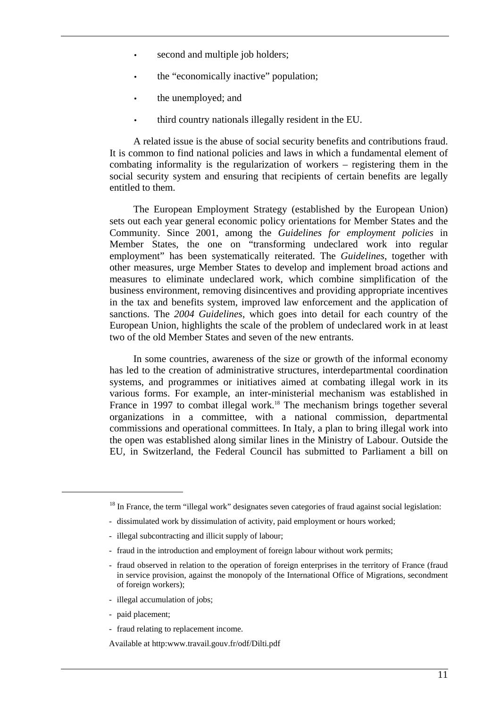- second and multiple job holders;
- the "economically inactive" population;
- the unemployed; and
- third country nationals illegally resident in the EU.

A related issue is the abuse of social security benefits and contributions fraud. It is common to find national policies and laws in which a fundamental element of combating informality is the regularization of workers – registering them in the social security system and ensuring that recipients of certain benefits are legally entitled to them.

The European Employment Strategy (established by the European Union) sets out each year general economic policy orientations for Member States and the Community. Since 2001, among the *Guidelines for employment policies* in Member States, the one on "transforming undeclared work into regular employment" has been systematically reiterated. The *Guidelines*, together with other measures, urge Member States to develop and implement broad actions and measures to eliminate undeclared work, which combine simplification of the business environment, removing disincentives and providing appropriate incentives in the tax and benefits system, improved law enforcement and the application of sanctions. The *2004 Guidelines*, which goes into detail for each country of the European Union, highlights the scale of the problem of undeclared work in at least two of the old Member States and seven of the new entrants.

In some countries, awareness of the size or growth of the informal economy has led to the creation of administrative structures, interdepartmental coordination systems, and programmes or initiatives aimed at combating illegal work in its various forms. For example, an inter-ministerial mechanism was established in France in 1997 to combat illegal work.<sup>18</sup> The mechanism brings together several organizations in a committee, with a national commission, departmental commissions and operational committees. In Italy, a plan to bring illegal work into the open was established along similar lines in the Ministry of Labour. Outside the EU, in Switzerland, the Federal Council has submitted to Parliament a bill on

- illegal subcontracting and illicit supply of labour;
- fraud in the introduction and employment of foreign labour without work permits;
- fraud observed in relation to the operation of foreign enterprises in the territory of France (fraud in service provision, against the monopoly of the International Office of Migrations, secondment of foreign workers);
- illegal accumulation of jobs;
- paid placement;

 $\overline{a}$ 

- fraud relating to replacement income.

Available at http:www.travail.gouv.fr/odf/Dilti.pdf

<sup>&</sup>lt;sup>18</sup> In France, the term "illegal work" designates seven categories of fraud against social legislation:

<sup>-</sup> dissimulated work by dissimulation of activity, paid employment or hours worked;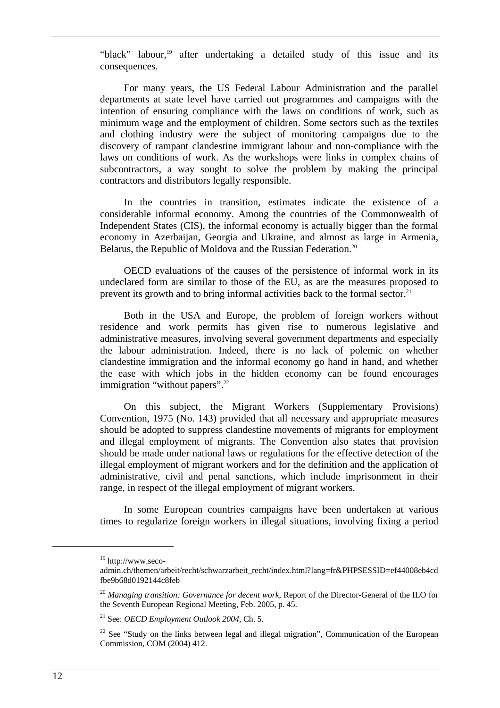"black" labour,<sup>19</sup> after undertaking a detailed study of this issue and its consequences.

For many years, the US Federal Labour Administration and the parallel departments at state level have carried out programmes and campaigns with the intention of ensuring compliance with the laws on conditions of work, such as minimum wage and the employment of children. Some sectors such as the textiles and clothing industry were the subject of monitoring campaigns due to the discovery of rampant clandestine immigrant labour and non-compliance with the laws on conditions of work. As the workshops were links in complex chains of subcontractors, a way sought to solve the problem by making the principal contractors and distributors legally responsible.

In the countries in transition, estimates indicate the existence of a considerable informal economy. Among the countries of the Commonwealth of Independent States (CIS), the informal economy is actually bigger than the formal economy in Azerbaijan, Georgia and Ukraine, and almost as large in Armenia, Belarus, the Republic of Moldova and the Russian Federation.<sup>20</sup>

OECD evaluations of the causes of the persistence of informal work in its undeclared form are similar to those of the EU, as are the measures proposed to prevent its growth and to bring informal activities back to the formal sector.<sup>21</sup>

Both in the USA and Europe, the problem of foreign workers without residence and work permits has given rise to numerous legislative and administrative measures, involving several government departments and especially the labour administration. Indeed, there is no lack of polemic on whether clandestine immigration and the informal economy go hand in hand, and whether the ease with which jobs in the hidden economy can be found encourages immigration "without papers".<sup>22</sup>

On this subject, the Migrant Workers (Supplementary Provisions) Convention, 1975 (No. 143) provided that all necessary and appropriate measures should be adopted to suppress clandestine movements of migrants for employment and illegal employment of migrants. The Convention also states that provision should be made under national laws or regulations for the effective detection of the illegal employment of migrant workers and for the definition and the application of administrative, civil and penal sanctions, which include imprisonment in their range, in respect of the illegal employment of migrant workers.

In some European countries campaigns have been undertaken at various times to regularize foreign workers in illegal situations, involving fixing a period

<sup>19</sup> http://www.seco-

admin.ch/themen/arbeit/recht/schwarzarbeit\_recht/index.html?lang=fr&PHPSESSID=ef44008eb4cd fbe9b68d0192144c8feb

<sup>20</sup> *Managing transition: Governance for decent work*, Report of the Director-General of the ILO for the Seventh European Regional Meeting, Feb. 2005, p. 45.

<sup>21</sup> See: *OECD Employment Outlook 2004*, Ch. 5.

 $22$  See "Study on the links between legal and illegal migration", Communication of the European Commission, COM (2004) 412.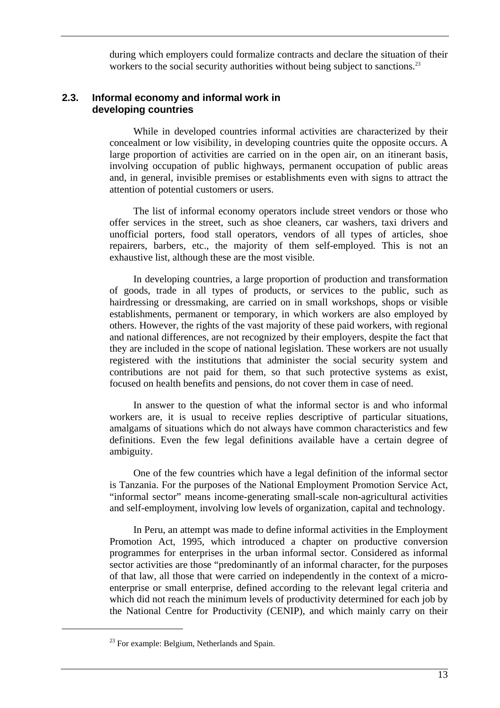during which employers could formalize contracts and declare the situation of their workers to the social security authorities without being subject to sanctions.<sup>23</sup>

#### **2.3. Informal economy and informal work in developing countries**

While in developed countries informal activities are characterized by their concealment or low visibility, in developing countries quite the opposite occurs. A large proportion of activities are carried on in the open air, on an itinerant basis, involving occupation of public highways, permanent occupation of public areas and, in general, invisible premises or establishments even with signs to attract the attention of potential customers or users.

The list of informal economy operators include street vendors or those who offer services in the street, such as shoe cleaners, car washers, taxi drivers and unofficial porters, food stall operators, vendors of all types of articles, shoe repairers, barbers, etc., the majority of them self-employed. This is not an exhaustive list, although these are the most visible.

In developing countries, a large proportion of production and transformation of goods, trade in all types of products, or services to the public, such as hairdressing or dressmaking, are carried on in small workshops, shops or visible establishments, permanent or temporary, in which workers are also employed by others. However, the rights of the vast majority of these paid workers, with regional and national differences, are not recognized by their employers, despite the fact that they are included in the scope of national legislation. These workers are not usually registered with the institutions that administer the social security system and contributions are not paid for them, so that such protective systems as exist, focused on health benefits and pensions, do not cover them in case of need.

In answer to the question of what the informal sector is and who informal workers are, it is usual to receive replies descriptive of particular situations, amalgams of situations which do not always have common characteristics and few definitions. Even the few legal definitions available have a certain degree of ambiguity.

One of the few countries which have a legal definition of the informal sector is Tanzania. For the purposes of the National Employment Promotion Service Act, "informal sector" means income-generating small-scale non-agricultural activities and self-employment, involving low levels of organization, capital and technology.

In Peru, an attempt was made to define informal activities in the Employment Promotion Act, 1995, which introduced a chapter on productive conversion programmes for enterprises in the urban informal sector. Considered as informal sector activities are those "predominantly of an informal character, for the purposes of that law, all those that were carried on independently in the context of a microenterprise or small enterprise, defined according to the relevant legal criteria and which did not reach the minimum levels of productivity determined for each job by the National Centre for Productivity (CENIP), and which mainly carry on their

 $23$  For example: Belgium, Netherlands and Spain.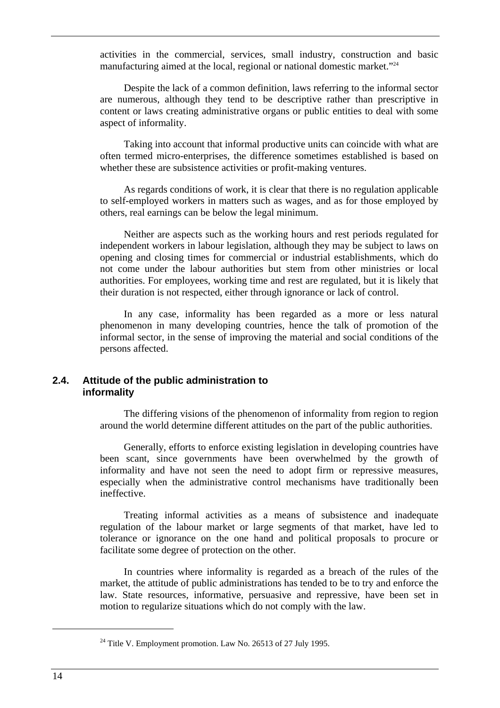activities in the commercial, services, small industry, construction and basic manufacturing aimed at the local, regional or national domestic market."<sup>24</sup>

Despite the lack of a common definition, laws referring to the informal sector are numerous, although they tend to be descriptive rather than prescriptive in content or laws creating administrative organs or public entities to deal with some aspect of informality.

Taking into account that informal productive units can coincide with what are often termed micro-enterprises, the difference sometimes established is based on whether these are subsistence activities or profit-making ventures.

As regards conditions of work, it is clear that there is no regulation applicable to self-employed workers in matters such as wages, and as for those employed by others, real earnings can be below the legal minimum.

Neither are aspects such as the working hours and rest periods regulated for independent workers in labour legislation, although they may be subject to laws on opening and closing times for commercial or industrial establishments, which do not come under the labour authorities but stem from other ministries or local authorities. For employees, working time and rest are regulated, but it is likely that their duration is not respected, either through ignorance or lack of control.

In any case, informality has been regarded as a more or less natural phenomenon in many developing countries, hence the talk of promotion of the informal sector, in the sense of improving the material and social conditions of the persons affected.

#### **2.4. Attitude of the public administration to informality**

The differing visions of the phenomenon of informality from region to region around the world determine different attitudes on the part of the public authorities.

Generally, efforts to enforce existing legislation in developing countries have been scant, since governments have been overwhelmed by the growth of informality and have not seen the need to adopt firm or repressive measures, especially when the administrative control mechanisms have traditionally been ineffective.

Treating informal activities as a means of subsistence and inadequate regulation of the labour market or large segments of that market, have led to tolerance or ignorance on the one hand and political proposals to procure or facilitate some degree of protection on the other.

In countries where informality is regarded as a breach of the rules of the market, the attitude of public administrations has tended to be to try and enforce the law. State resources, informative, persuasive and repressive, have been set in motion to regularize situations which do not comply with the law.

<sup>&</sup>lt;sup>24</sup> Title V. Employment promotion. Law No. 26513 of 27 July 1995.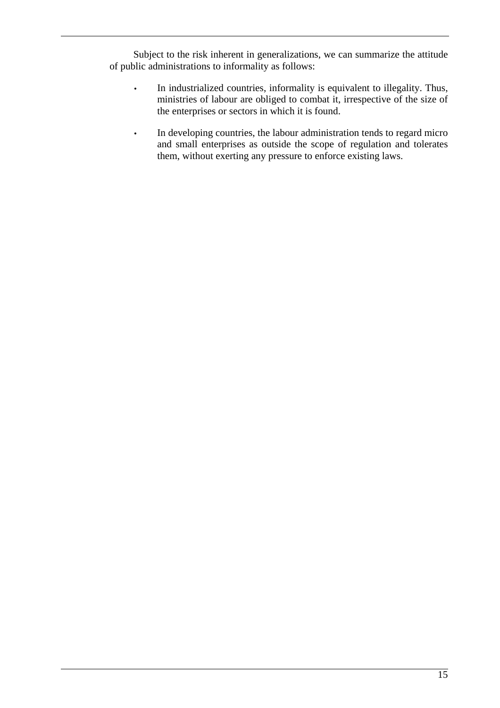Subject to the risk inherent in generalizations, we can summarize the attitude of public administrations to informality as follows:

- In industrialized countries, informality is equivalent to illegality. Thus, ministries of labour are obliged to combat it, irrespective of the size of the enterprises or sectors in which it is found.
- In developing countries, the labour administration tends to regard micro and small enterprises as outside the scope of regulation and tolerates them, without exerting any pressure to enforce existing laws.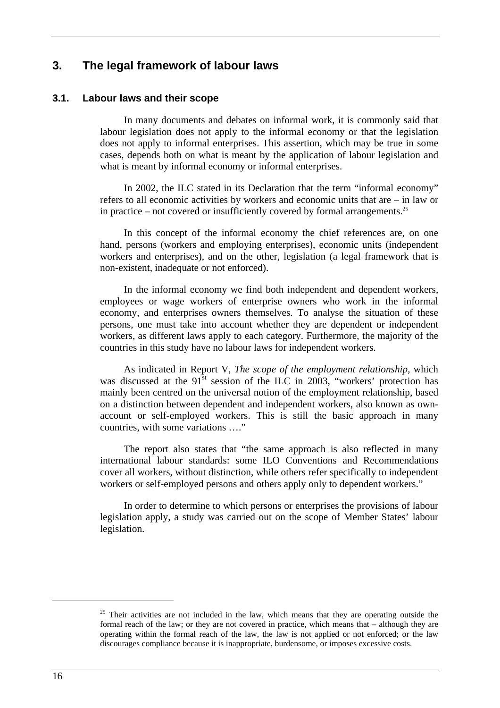# **3. The legal framework of labour laws**

#### **3.1. Labour laws and their scope**

In many documents and debates on informal work, it is commonly said that labour legislation does not apply to the informal economy or that the legislation does not apply to informal enterprises. This assertion, which may be true in some cases, depends both on what is meant by the application of labour legislation and what is meant by informal economy or informal enterprises.

In 2002, the ILC stated in its Declaration that the term "informal economy" refers to all economic activities by workers and economic units that are – in law or in practice – not covered or insufficiently covered by formal arrangements.<sup>25</sup>

In this concept of the informal economy the chief references are, on one hand, persons (workers and employing enterprises), economic units (independent workers and enterprises), and on the other, legislation (a legal framework that is non-existent, inadequate or not enforced).

In the informal economy we find both independent and dependent workers, employees or wage workers of enterprise owners who work in the informal economy, and enterprises owners themselves. To analyse the situation of these persons, one must take into account whether they are dependent or independent workers, as different laws apply to each category. Furthermore, the majority of the countries in this study have no labour laws for independent workers.

As indicated in Report V, *The scope of the employment relationship*, which was discussed at the  $91<sup>st</sup>$  session of the ILC in 2003, "workers' protection has mainly been centred on the universal notion of the employment relationship, based on a distinction between dependent and independent workers, also known as ownaccount or self-employed workers. This is still the basic approach in many countries, with some variations …."

The report also states that "the same approach is also reflected in many international labour standards: some ILO Conventions and Recommendations cover all workers, without distinction, while others refer specifically to independent workers or self-employed persons and others apply only to dependent workers."

In order to determine to which persons or enterprises the provisions of labour legislation apply, a study was carried out on the scope of Member States' labour legislation.

 $25$  Their activities are not included in the law, which means that they are operating outside the formal reach of the law; or they are not covered in practice, which means that – although they are operating within the formal reach of the law, the law is not applied or not enforced; or the law discourages compliance because it is inappropriate, burdensome, or imposes excessive costs.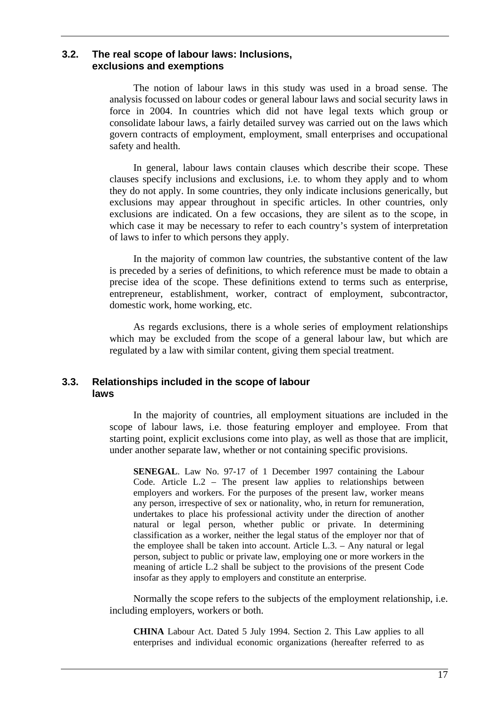#### **3.2. The real scope of labour laws: Inclusions, exclusions and exemptions**

The notion of labour laws in this study was used in a broad sense. The analysis focussed on labour codes or general labour laws and social security laws in force in 2004. In countries which did not have legal texts which group or consolidate labour laws, a fairly detailed survey was carried out on the laws which govern contracts of employment, employment, small enterprises and occupational safety and health.

In general, labour laws contain clauses which describe their scope. These clauses specify inclusions and exclusions, i.e. to whom they apply and to whom they do not apply. In some countries, they only indicate inclusions generically, but exclusions may appear throughout in specific articles. In other countries, only exclusions are indicated. On a few occasions, they are silent as to the scope, in which case it may be necessary to refer to each country's system of interpretation of laws to infer to which persons they apply.

In the majority of common law countries, the substantive content of the law is preceded by a series of definitions, to which reference must be made to obtain a precise idea of the scope. These definitions extend to terms such as enterprise, entrepreneur, establishment, worker, contract of employment, subcontractor, domestic work, home working, etc.

As regards exclusions, there is a whole series of employment relationships which may be excluded from the scope of a general labour law, but which are regulated by a law with similar content, giving them special treatment.

### **3.3. Relationships included in the scope of labour laws**

In the majority of countries, all employment situations are included in the scope of labour laws, i.e. those featuring employer and employee. From that starting point, explicit exclusions come into play, as well as those that are implicit, under another separate law, whether or not containing specific provisions.

**SENEGAL**. Law No. 97-17 of 1 December 1997 containing the Labour Code. Article L.2 – The present law applies to relationships between employers and workers. For the purposes of the present law, worker means any person, irrespective of sex or nationality, who, in return for remuneration, undertakes to place his professional activity under the direction of another natural or legal person, whether public or private. In determining classification as a worker, neither the legal status of the employer nor that of the employee shall be taken into account. Article L.3. – Any natural or legal person, subject to public or private law, employing one or more workers in the meaning of article L.2 shall be subject to the provisions of the present Code insofar as they apply to employers and constitute an enterprise.

Normally the scope refers to the subjects of the employment relationship, i.e. including employers, workers or both.

**CHINA** Labour Act. Dated 5 July 1994. Section 2. This Law applies to all enterprises and individual economic organizations (hereafter referred to as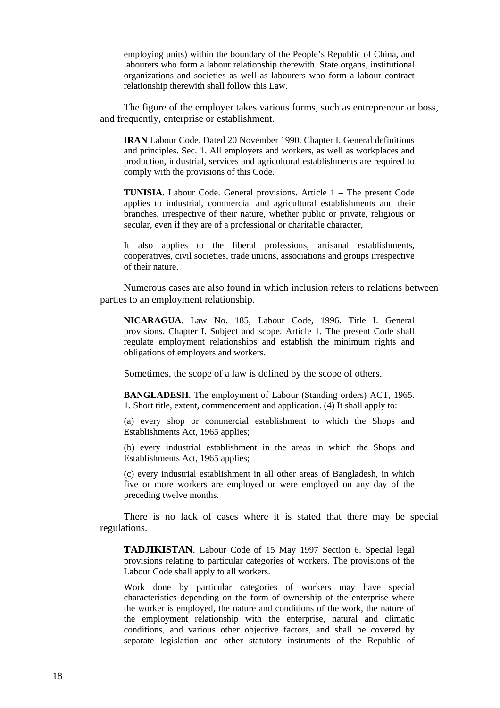employing units) within the boundary of the People's Republic of China, and labourers who form a labour relationship therewith. State organs, institutional organizations and societies as well as labourers who form a labour contract relationship therewith shall follow this Law.

The figure of the employer takes various forms, such as entrepreneur or boss, and frequently, enterprise or establishment.

**IRAN** Labour Code. Dated 20 November 1990. Chapter I. General definitions and principles. Sec. 1. All employers and workers, as well as workplaces and production, industrial, services and agricultural establishments are required to comply with the provisions of this Code.

**TUNISIA**. Labour Code. General provisions. Article 1 – The present Code applies to industrial, commercial and agricultural establishments and their branches, irrespective of their nature, whether public or private, religious or secular, even if they are of a professional or charitable character,

It also applies to the liberal professions, artisanal establishments, cooperatives, civil societies, trade unions, associations and groups irrespective of their nature.

Numerous cases are also found in which inclusion refers to relations between parties to an employment relationship.

**NICARAGUA**. Law No. 185, Labour Code, 1996. Title I. General provisions. Chapter I. Subject and scope. Article 1. The present Code shall regulate employment relationships and establish the minimum rights and obligations of employers and workers.

Sometimes, the scope of a law is defined by the scope of others.

**BANGLADESH**. The employment of Labour (Standing orders) ACT, 1965. 1. Short title, extent, commencement and application. (4) It shall apply to:

(a) every shop or commercial establishment to which the Shops and Establishments Act, 1965 applies;

(b) every industrial establishment in the areas in which the Shops and Establishments Act, 1965 applies;

(c) every industrial establishment in all other areas of Bangladesh, in which five or more workers are employed or were employed on any day of the preceding twelve months.

There is no lack of cases where it is stated that there may be special regulations.

**TADJIKISTAN**. Labour Code of 15 May 1997 Section 6. Special legal provisions relating to particular categories of workers. The provisions of the Labour Code shall apply to all workers.

Work done by particular categories of workers may have special characteristics depending on the form of ownership of the enterprise where the worker is employed, the nature and conditions of the work, the nature of the employment relationship with the enterprise, natural and climatic conditions, and various other objective factors, and shall be covered by separate legislation and other statutory instruments of the Republic of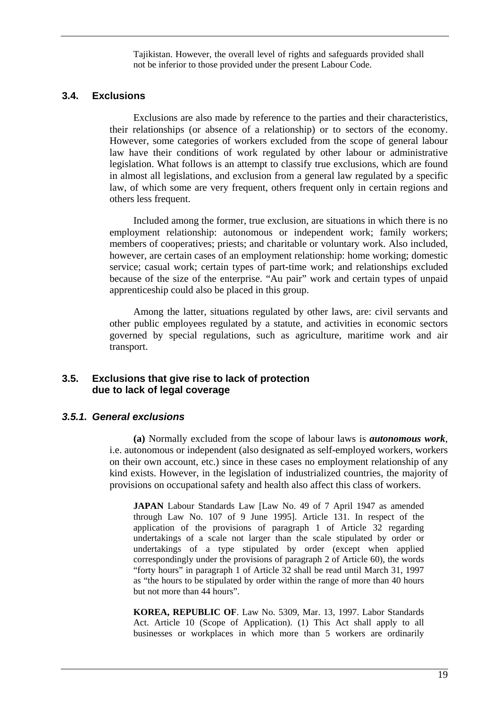Tajikistan. However, the overall level of rights and safeguards provided shall not be inferior to those provided under the present Labour Code.

#### **3.4. Exclusions**

Exclusions are also made by reference to the parties and their characteristics, their relationships (or absence of a relationship) or to sectors of the economy. However, some categories of workers excluded from the scope of general labour law have their conditions of work regulated by other labour or administrative legislation. What follows is an attempt to classify true exclusions, which are found in almost all legislations, and exclusion from a general law regulated by a specific law, of which some are very frequent, others frequent only in certain regions and others less frequent.

Included among the former, true exclusion, are situations in which there is no employment relationship: autonomous or independent work; family workers; members of cooperatives; priests; and charitable or voluntary work. Also included, however, are certain cases of an employment relationship: home working; domestic service; casual work; certain types of part-time work; and relationships excluded because of the size of the enterprise. "Au pair" work and certain types of unpaid apprenticeship could also be placed in this group.

Among the latter, situations regulated by other laws, are: civil servants and other public employees regulated by a statute, and activities in economic sectors governed by special regulations, such as agriculture, maritime work and air transport.

#### **3.5. Exclusions that give rise to lack of protection due to lack of legal coverage**

#### **3.5.1. General exclusions**

**(a)** Normally excluded from the scope of labour laws is *autonomous work*, i.e. autonomous or independent (also designated as self-employed workers, workers on their own account, etc.) since in these cases no employment relationship of any kind exists. However, in the legislation of industrialized countries, the majority of provisions on occupational safety and health also affect this class of workers.

**JAPAN** Labour Standards Law [Law No. 49 of 7 April 1947 as amended through Law No. 107 of 9 June 1995]. Article 131. In respect of the application of the provisions of paragraph 1 of Article 32 regarding undertakings of a scale not larger than the scale stipulated by order or undertakings of a type stipulated by order (except when applied correspondingly under the provisions of paragraph 2 of Article 60), the words "forty hours" in paragraph 1 of Article 32 shall be read until March 31, 1997 as "the hours to be stipulated by order within the range of more than 40 hours but not more than 44 hours".

**KOREA, REPUBLIC OF**. Law No. 5309, Mar. 13, 1997. Labor Standards Act. Article 10 (Scope of Application). (1) This Act shall apply to all businesses or workplaces in which more than 5 workers are ordinarily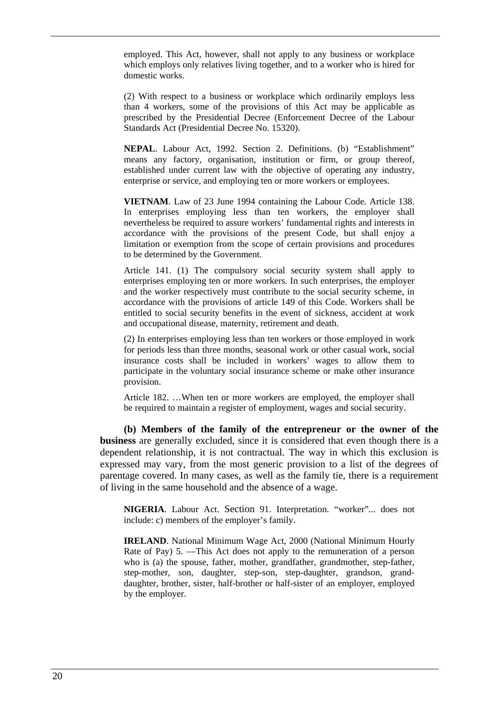employed. This Act, however, shall not apply to any business or workplace which employs only relatives living together, and to a worker who is hired for domestic works.

(2) With respect to a business or workplace which ordinarily employs less than 4 workers, some of the provisions of this Act may be applicable as prescribed by the Presidential Decree (Enforcement Decree of the Labour Standards Act (Presidential Decree No. 15320).

**NEPAL**. Labour Act, 1992. Section 2. Definitions. (b) "Establishment" means any factory, organisation, institution or firm, or group thereof, established under current law with the objective of operating any industry, enterprise or service, and employing ten or more workers or employees.

**VIETNAM**. Law of 23 June 1994 containing the Labour Code. Article 138. In enterprises employing less than ten workers, the employer shall nevertheless be required to assure workers' fundamental rights and interests in accordance with the provisions of the present Code, but shall enjoy a limitation or exemption from the scope of certain provisions and procedures to be determined by the Government.

Article 141. (1) The compulsory social security system shall apply to enterprises employing ten or more workers. In such enterprises, the employer and the worker respectively must contribute to the social security scheme, in accordance with the provisions of article 149 of this Code. Workers shall be entitled to social security benefits in the event of sickness, accident at work and occupational disease, maternity, retirement and death.

(2) In enterprises employing less than ten workers or those employed in work for periods less than three months, seasonal work or other casual work, social insurance costs shall be included in workers' wages to allow them to participate in the voluntary social insurance scheme or make other insurance provision.

Article 182. …When ten or more workers are employed, the employer shall be required to maintain a register of employment, wages and social security.

**(b) Members of the family of the entrepreneur or the owner of the business** are generally excluded, since it is considered that even though there is a dependent relationship, it is not contractual. The way in which this exclusion is expressed may vary, from the most generic provision to a list of the degrees of parentage covered. In many cases, as well as the family tie, there is a requirement of living in the same household and the absence of a wage.

**NIGERIA**. Labour Act. Section 91. Interpretation. "worker"... does not include: c) members of the employer's family.

**IRELAND**. National Minimum Wage Act, 2000 (National Minimum Hourly Rate of Pay) 5. —This Act does not apply to the remuneration of a person who is (a) the spouse, father, mother, grandfather, grandmother, step-father, step-mother, son, daughter, step-son, step-daughter, grandson, granddaughter, brother, sister, half-brother or half-sister of an employer, employed by the employer.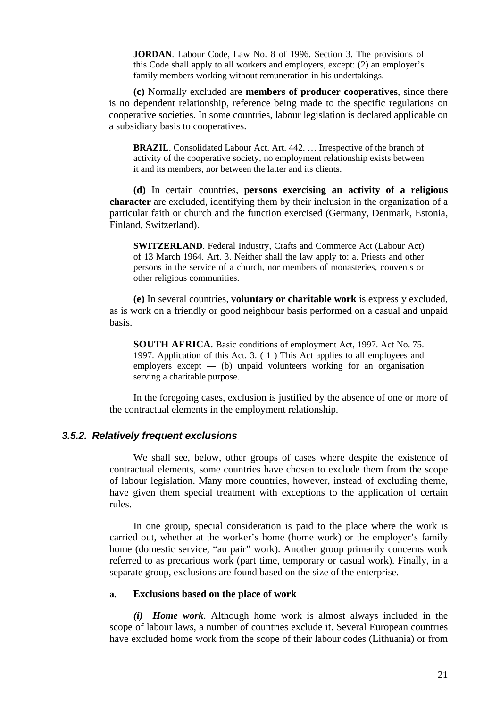**JORDAN**. Labour Code, Law No. 8 of 1996. Section 3. The provisions of this Code shall apply to all workers and employers, except: (2) an employer's family members working without remuneration in his undertakings.

 **(c)** Normally excluded are **members of producer cooperatives**, since there is no dependent relationship, reference being made to the specific regulations on cooperative societies. In some countries, labour legislation is declared applicable on a subsidiary basis to cooperatives.

**BRAZIL**. Consolidated Labour Act. Art. 442. … Irrespective of the branch of activity of the cooperative society, no employment relationship exists between it and its members, nor between the latter and its clients.

**(d)** In certain countries, **persons exercising an activity of a religious character** are excluded, identifying them by their inclusion in the organization of a particular faith or church and the function exercised (Germany, Denmark, Estonia, Finland, Switzerland).

**SWITZERLAND.** Federal Industry, Crafts and Commerce Act (Labour Act) of 13 March 1964. Art. 3. Neither shall the law apply to: a. Priests and other persons in the service of a church, nor members of monasteries, convents or other religious communities.

**(e)** In several countries, **voluntary or charitable work** is expressly excluded, as is work on a friendly or good neighbour basis performed on a casual and unpaid basis.

**SOUTH AFRICA**. Basic conditions of employment Act, 1997. Act No. 75. 1997. Application of this Act. 3. ( 1 ) This Act applies to all employees and employers except  $-$  (b) unpaid volunteers working for an organisation serving a charitable purpose.

In the foregoing cases, exclusion is justified by the absence of one or more of the contractual elements in the employment relationship.

#### **3.5.2. Relatively frequent exclusions**

We shall see, below, other groups of cases where despite the existence of contractual elements, some countries have chosen to exclude them from the scope of labour legislation. Many more countries, however, instead of excluding theme, have given them special treatment with exceptions to the application of certain rules.

In one group, special consideration is paid to the place where the work is carried out, whether at the worker's home (home work) or the employer's family home (domestic service, "au pair" work). Another group primarily concerns work referred to as precarious work (part time, temporary or casual work). Finally, in a separate group, exclusions are found based on the size of the enterprise.

#### **a. Exclusions based on the place of work**

*(i) Home work*. Although home work is almost always included in the scope of labour laws, a number of countries exclude it. Several European countries have excluded home work from the scope of their labour codes (Lithuania) or from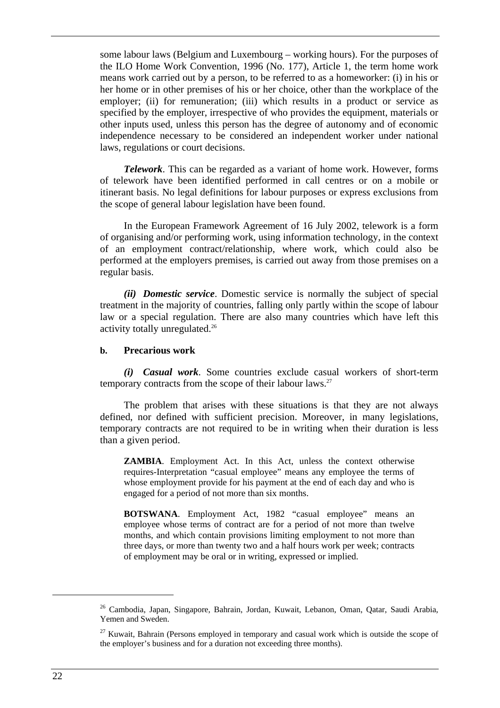some labour laws (Belgium and Luxembourg – working hours). For the purposes of the ILO Home Work Convention, 1996 (No. 177), Article 1, the term home work means work carried out by a person, to be referred to as a homeworker: (i) in his or her home or in other premises of his or her choice, other than the workplace of the employer; (ii) for remuneration; (iii) which results in a product or service as specified by the employer, irrespective of who provides the equipment, materials or other inputs used, unless this person has the degree of autonomy and of economic independence necessary to be considered an independent worker under national laws, regulations or court decisions.

*Telework*. This can be regarded as a variant of home work. However, forms of telework have been identified performed in call centres or on a mobile or itinerant basis. No legal definitions for labour purposes or express exclusions from the scope of general labour legislation have been found.

In the European Framework Agreement of 16 July 2002, telework is a form of organising and/or performing work, using information technology, in the context of an employment contract/relationship, where work, which could also be performed at the employers premises, is carried out away from those premises on a regular basis.

*(ii) Domestic service*. Domestic service is normally the subject of special treatment in the majority of countries, falling only partly within the scope of labour law or a special regulation. There are also many countries which have left this activity totally unregulated.<sup>26</sup>

#### **b. Precarious work**

*(i) Casual work*. Some countries exclude casual workers of short-term temporary contracts from the scope of their labour laws. $27$ 

The problem that arises with these situations is that they are not always defined, nor defined with sufficient precision. Moreover, in many legislations, temporary contracts are not required to be in writing when their duration is less than a given period.

**ZAMBIA**. Employment Act. In this Act, unless the context otherwise requires-Interpretation "casual employee" means any employee the terms of whose employment provide for his payment at the end of each day and who is engaged for a period of not more than six months.

**BOTSWANA**. Employment Act, 1982 "casual employee" means an employee whose terms of contract are for a period of not more than twelve months, and which contain provisions limiting employment to not more than three days, or more than twenty two and a half hours work per week; contracts of employment may be oral or in writing, expressed or implied.

<sup>26</sup> Cambodia, Japan, Singapore, Bahrain, Jordan, Kuwait, Lebanon, Oman, Qatar, Saudi Arabia, Yemen and Sweden.

<sup>&</sup>lt;sup>27</sup> Kuwait, Bahrain (Persons employed in temporary and casual work which is outside the scope of the employer's business and for a duration not exceeding three months).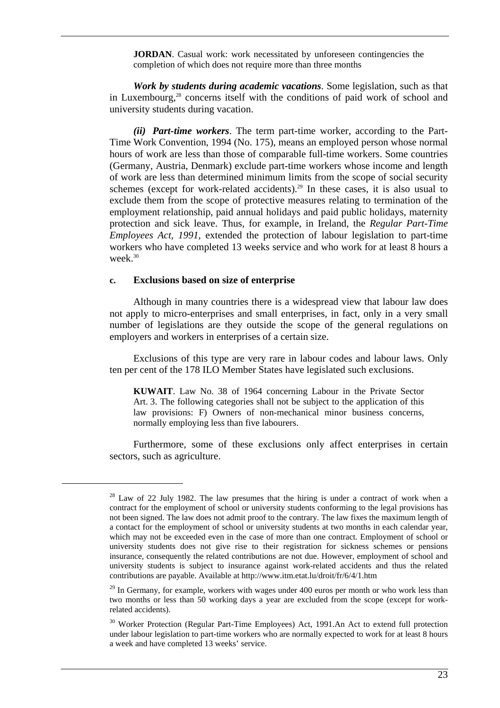**JORDAN**. Casual work: work necessitated by unforeseen contingencies the completion of which does not require more than three months

*Work by students during academic vacations*. Some legislation, such as that in Luxembourg,<sup>28</sup> concerns itself with the conditions of paid work of school and university students during vacation.

*(ii) Part-time workers*. The term part-time worker, according to the Part-Time Work Convention, 1994 (No. 175), means an employed person whose normal hours of work are less than those of comparable full-time workers. Some countries (Germany, Austria, Denmark) exclude part-time workers whose income and length of work are less than determined minimum limits from the scope of social security schemes (except for work-related accidents).<sup>29</sup> In these cases, it is also usual to exclude them from the scope of protective measures relating to termination of the employment relationship, paid annual holidays and paid public holidays, maternity protection and sick leave. Thus, for example, in Ireland, the *Regular Part-Time Employees Act, 1991*, extended the protection of labour legislation to part-time workers who have completed 13 weeks service and who work for at least 8 hours a week.<sup>30</sup>

#### **c. Exclusions based on size of enterprise**

 $\overline{a}$ 

Although in many countries there is a widespread view that labour law does not apply to micro-enterprises and small enterprises, in fact, only in a very small number of legislations are they outside the scope of the general regulations on employers and workers in enterprises of a certain size.

Exclusions of this type are very rare in labour codes and labour laws. Only ten per cent of the 178 ILO Member States have legislated such exclusions.

**KUWAIT**. Law No. 38 of 1964 concerning Labour in the Private Sector Art. 3. The following categories shall not be subject to the application of this law provisions: F) Owners of non-mechanical minor business concerns, normally employing less than five labourers.

Furthermore, some of these exclusions only affect enterprises in certain sectors, such as agriculture.

 $28$  Law of 22 July 1982. The law presumes that the hiring is under a contract of work when a contract for the employment of school or university students conforming to the legal provisions has not been signed. The law does not admit proof to the contrary. The law fixes the maximum length of a contact for the employment of school or university students at two months in each calendar year, which may not be exceeded even in the case of more than one contract. Employment of school or university students does not give rise to their registration for sickness schemes or pensions insurance, consequently the related contributions are not due. However, employment of school and university students is subject to insurance against work-related accidents and thus the related contributions are payable. Available at http://www.itm.etat.lu/droit/fr/6/4/1.htm

<sup>&</sup>lt;sup>29</sup> In Germany, for example, workers with wages under 400 euros per month or who work less than two months or less than 50 working days a year are excluded from the scope (except for workrelated accidents).

<sup>&</sup>lt;sup>30</sup> Worker Protection (Regular Part-Time Employees) Act, 1991.An Act to extend full protection under labour legislation to part-time workers who are normally expected to work for at least 8 hours a week and have completed 13 weeks' service.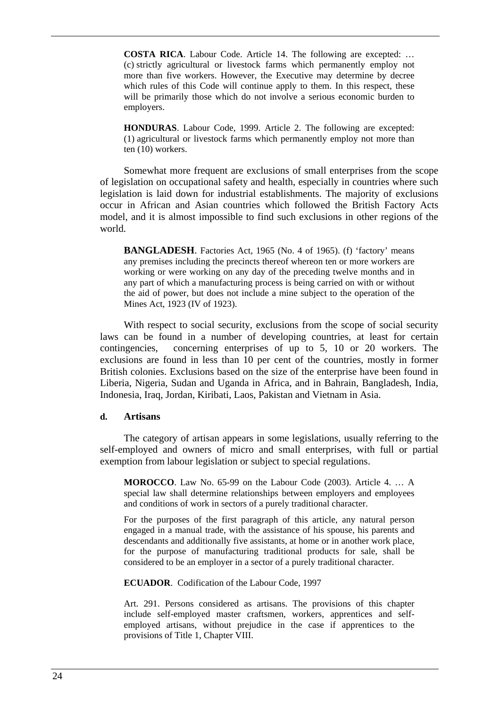**COSTA RICA**. Labour Code. Article 14. The following are excepted: … (c) strictly agricultural or livestock farms which permanently employ not more than five workers. However, the Executive may determine by decree which rules of this Code will continue apply to them. In this respect, these will be primarily those which do not involve a serious economic burden to employers.

**HONDURAS**. Labour Code, 1999. Article 2. The following are excepted: (1) agricultural or livestock farms which permanently employ not more than ten (10) workers.

Somewhat more frequent are exclusions of small enterprises from the scope of legislation on occupational safety and health, especially in countries where such legislation is laid down for industrial establishments. The majority of exclusions occur in African and Asian countries which followed the British Factory Acts model, and it is almost impossible to find such exclusions in other regions of the world.

**BANGLADESH**. Factories Act, 1965 (No. 4 of 1965). (f) 'factory' means any premises including the precincts thereof whereon ten or more workers are working or were working on any day of the preceding twelve months and in any part of which a manufacturing process is being carried on with or without the aid of power, but does not include a mine subject to the operation of the Mines Act, 1923 (IV of 1923).

With respect to social security, exclusions from the scope of social security laws can be found in a number of developing countries, at least for certain contingencies, concerning enterprises of up to 5, 10 or 20 workers. The exclusions are found in less than 10 per cent of the countries, mostly in former British colonies. Exclusions based on the size of the enterprise have been found in Liberia, Nigeria, Sudan and Uganda in Africa, and in Bahrain, Bangladesh, India, Indonesia, Iraq, Jordan, Kiribati, Laos, Pakistan and Vietnam in Asia.

#### **d. Artisans**

The category of artisan appears in some legislations, usually referring to the self-employed and owners of micro and small enterprises, with full or partial exemption from labour legislation or subject to special regulations.

**MOROCCO**. Law No. 65-99 on the Labour Code (2003). Article 4. … A special law shall determine relationships between employers and employees and conditions of work in sectors of a purely traditional character.

For the purposes of the first paragraph of this article, any natural person engaged in a manual trade, with the assistance of his spouse, his parents and descendants and additionally five assistants, at home or in another work place, for the purpose of manufacturing traditional products for sale, shall be considered to be an employer in a sector of a purely traditional character.

**ECUADOR**. Codification of the Labour Code, 1997

Art. 291. Persons considered as artisans. The provisions of this chapter include self-employed master craftsmen, workers, apprentices and selfemployed artisans, without prejudice in the case if apprentices to the provisions of Title 1, Chapter VIII.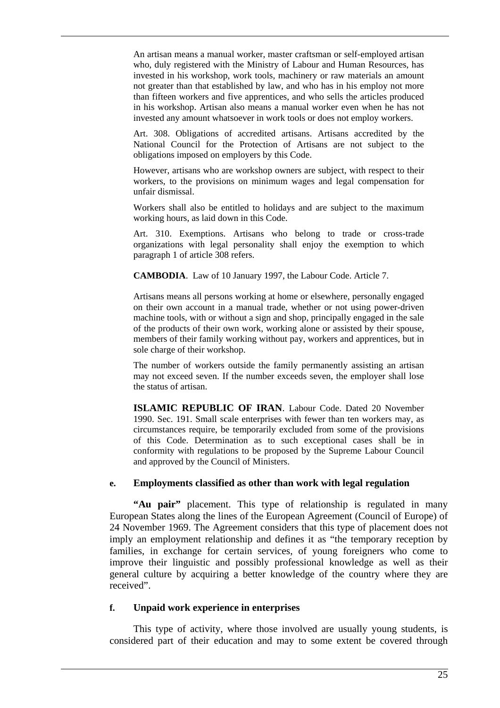An artisan means a manual worker, master craftsman or self-employed artisan who, duly registered with the Ministry of Labour and Human Resources, has invested in his workshop, work tools, machinery or raw materials an amount not greater than that established by law, and who has in his employ not more than fifteen workers and five apprentices, and who sells the articles produced in his workshop. Artisan also means a manual worker even when he has not invested any amount whatsoever in work tools or does not employ workers.

Art. 308. Obligations of accredited artisans. Artisans accredited by the National Council for the Protection of Artisans are not subject to the obligations imposed on employers by this Code.

However, artisans who are workshop owners are subject, with respect to their workers, to the provisions on minimum wages and legal compensation for unfair dismissal.

Workers shall also be entitled to holidays and are subject to the maximum working hours, as laid down in this Code.

Art. 310. Exemptions. Artisans who belong to trade or cross-trade organizations with legal personality shall enjoy the exemption to which paragraph 1 of article 308 refers.

**CAMBODIA**. Law of 10 January 1997, the Labour Code. Article 7.

Artisans means all persons working at home or elsewhere, personally engaged on their own account in a manual trade, whether or not using power-driven machine tools, with or without a sign and shop, principally engaged in the sale of the products of their own work, working alone or assisted by their spouse, members of their family working without pay, workers and apprentices, but in sole charge of their workshop.

The number of workers outside the family permanently assisting an artisan may not exceed seven. If the number exceeds seven, the employer shall lose the status of artisan.

**ISLAMIC REPUBLIC OF IRAN**. Labour Code. Dated 20 November 1990. Sec. 191. Small scale enterprises with fewer than ten workers may, as circumstances require, be temporarily excluded from some of the provisions of this Code. Determination as to such exceptional cases shall be in conformity with regulations to be proposed by the Supreme Labour Council and approved by the Council of Ministers.

#### **e. Employments classified as other than work with legal regulation**

**"Au pair"** placement. This type of relationship is regulated in many European States along the lines of the European Agreement (Council of Europe) of 24 November 1969. The Agreement considers that this type of placement does not imply an employment relationship and defines it as "the temporary reception by families, in exchange for certain services, of young foreigners who come to improve their linguistic and possibly professional knowledge as well as their general culture by acquiring a better knowledge of the country where they are received".

#### **f. Unpaid work experience in enterprises**

This type of activity, where those involved are usually young students, is considered part of their education and may to some extent be covered through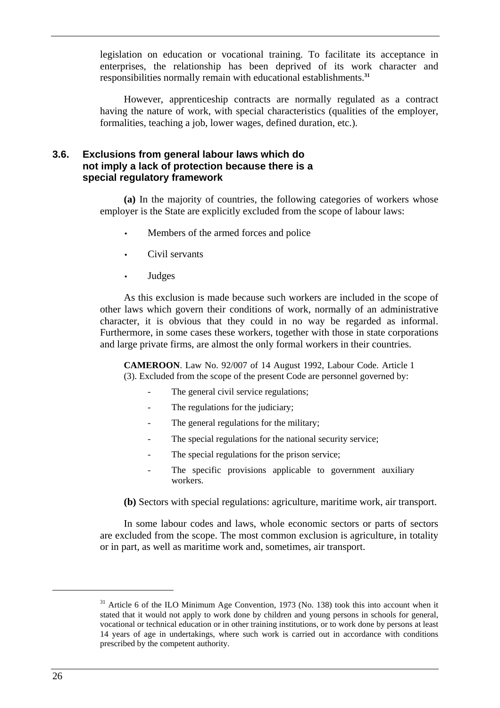legislation on education or vocational training. To facilitate its acceptance in enterprises, the relationship has been deprived of its work character and responsibilities normally remain with educational establishments.**<sup>31</sup>**

However, apprenticeship contracts are normally regulated as a contract having the nature of work, with special characteristics (qualities of the employer, formalities, teaching a job, lower wages, defined duration, etc.).

## **3.6. Exclusions from general labour laws which do not imply a lack of protection because there is a special regulatory framework**

**(a)** In the majority of countries, the following categories of workers whose employer is the State are explicitly excluded from the scope of labour laws:

- Members of the armed forces and police
- Civil servants
- Judges

As this exclusion is made because such workers are included in the scope of other laws which govern their conditions of work, normally of an administrative character, it is obvious that they could in no way be regarded as informal. Furthermore, in some cases these workers, together with those in state corporations and large private firms, are almost the only formal workers in their countries.

**CAMEROON**. Law No. 92/007 of 14 August 1992, Labour Code. Article 1 (3). Excluded from the scope of the present Code are personnel governed by:

- The general civil service regulations;
- The regulations for the judiciary;
- The general regulations for the military;
- The special regulations for the national security service;
- The special regulations for the prison service;
- The specific provisions applicable to government auxiliary workers.

**(b)** Sectors with special regulations: agriculture, maritime work, air transport.

In some labour codes and laws, whole economic sectors or parts of sectors are excluded from the scope. The most common exclusion is agriculture, in totality or in part, as well as maritime work and, sometimes, air transport.

 $31$  Article 6 of the ILO Minimum Age Convention, 1973 (No. 138) took this into account when it stated that it would not apply to work done by children and young persons in schools for general, vocational or technical education or in other training institutions, or to work done by persons at least 14 years of age in undertakings, where such work is carried out in accordance with conditions prescribed by the competent authority.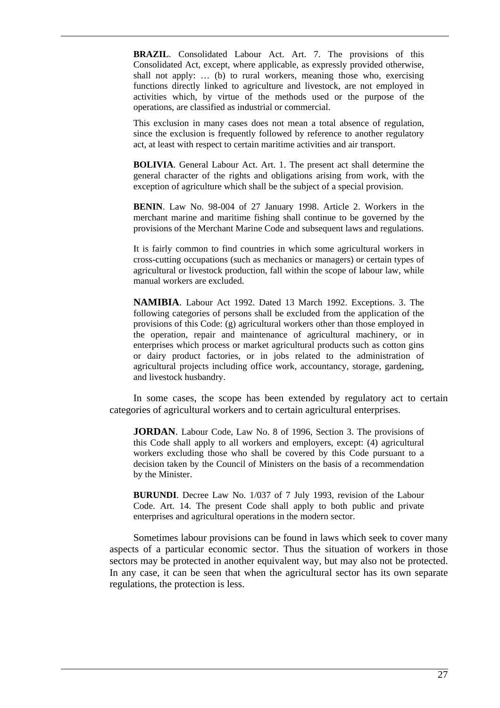**BRAZIL**. Consolidated Labour Act. Art. 7. The provisions of this Consolidated Act, except, where applicable, as expressly provided otherwise, shall not apply: … (b) to rural workers, meaning those who, exercising functions directly linked to agriculture and livestock, are not employed in activities which, by virtue of the methods used or the purpose of the operations, are classified as industrial or commercial.

This exclusion in many cases does not mean a total absence of regulation, since the exclusion is frequently followed by reference to another regulatory act, at least with respect to certain maritime activities and air transport.

**BOLIVIA**. General Labour Act. Art. 1. The present act shall determine the general character of the rights and obligations arising from work, with the exception of agriculture which shall be the subject of a special provision.

**BENIN**. Law No. 98-004 of 27 January 1998. Article 2. Workers in the merchant marine and maritime fishing shall continue to be governed by the provisions of the Merchant Marine Code and subsequent laws and regulations.

It is fairly common to find countries in which some agricultural workers in cross-cutting occupations (such as mechanics or managers) or certain types of agricultural or livestock production, fall within the scope of labour law, while manual workers are excluded.

**NAMIBIA**. Labour Act 1992. Dated 13 March 1992. Exceptions. 3. The following categories of persons shall be excluded from the application of the provisions of this Code: (g) agricultural workers other than those employed in the operation, repair and maintenance of agricultural machinery, or in enterprises which process or market agricultural products such as cotton gins or dairy product factories, or in jobs related to the administration of agricultural projects including office work, accountancy, storage, gardening, and livestock husbandry.

In some cases, the scope has been extended by regulatory act to certain categories of agricultural workers and to certain agricultural enterprises.

**JORDAN**. Labour Code, Law No. 8 of 1996, Section 3. The provisions of this Code shall apply to all workers and employers, except: (4) agricultural workers excluding those who shall be covered by this Code pursuant to a decision taken by the Council of Ministers on the basis of a recommendation by the Minister.

**BURUNDI**. Decree Law No. 1/037 of 7 July 1993, revision of the Labour Code. Art. 14. The present Code shall apply to both public and private enterprises and agricultural operations in the modern sector.

Sometimes labour provisions can be found in laws which seek to cover many aspects of a particular economic sector. Thus the situation of workers in those sectors may be protected in another equivalent way, but may also not be protected. In any case, it can be seen that when the agricultural sector has its own separate regulations, the protection is less.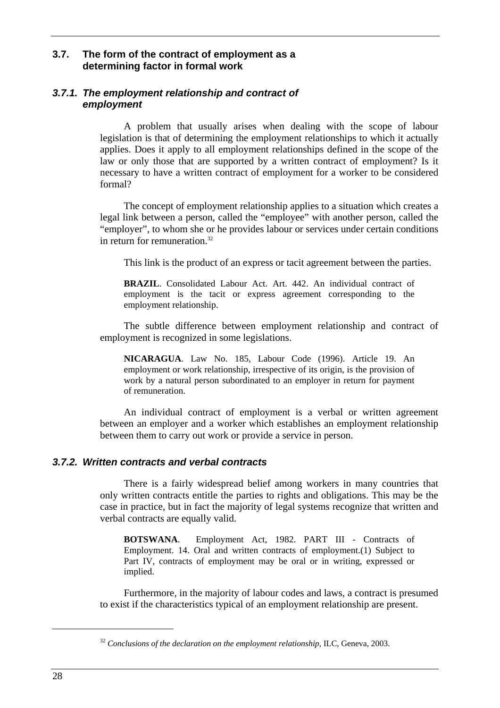# **3.7. The form of the contract of employment as a determining factor in formal work**

# **3.7.1. The employment relationship and contract of employment**

A problem that usually arises when dealing with the scope of labour legislation is that of determining the employment relationships to which it actually applies. Does it apply to all employment relationships defined in the scope of the law or only those that are supported by a written contract of employment? Is it necessary to have a written contract of employment for a worker to be considered formal?

The concept of employment relationship applies to a situation which creates a legal link between a person, called the "employee" with another person, called the "employer", to whom she or he provides labour or services under certain conditions in return for remuneration.<sup>32</sup>

This link is the product of an express or tacit agreement between the parties.

**BRAZIL**. Consolidated Labour Act. Art. 442. An individual contract of employment is the tacit or express agreement corresponding to the employment relationship.

The subtle difference between employment relationship and contract of employment is recognized in some legislations.

**NICARAGUA**. Law No. 185, Labour Code (1996). Article 19. An employment or work relationship, irrespective of its origin, is the provision of work by a natural person subordinated to an employer in return for payment of remuneration.

An individual contract of employment is a verbal or written agreement between an employer and a worker which establishes an employment relationship between them to carry out work or provide a service in person.

# **3.7.2. Written contracts and verbal contracts**

There is a fairly widespread belief among workers in many countries that only written contracts entitle the parties to rights and obligations. This may be the case in practice, but in fact the majority of legal systems recognize that written and verbal contracts are equally valid.

**BOTSWANA**.Employment Act, 1982. PART III - Contracts of Employment. 14. Oral and written contracts of employment.(1) Subject to Part IV, contracts of employment may be oral or in writing, expressed or implied.

Furthermore, in the majority of labour codes and laws, a contract is presumed to exist if the characteristics typical of an employment relationship are present.

<sup>&</sup>lt;sup>32</sup> Conclusions of the declaration on the employment relationship, ILC, Geneva, 2003.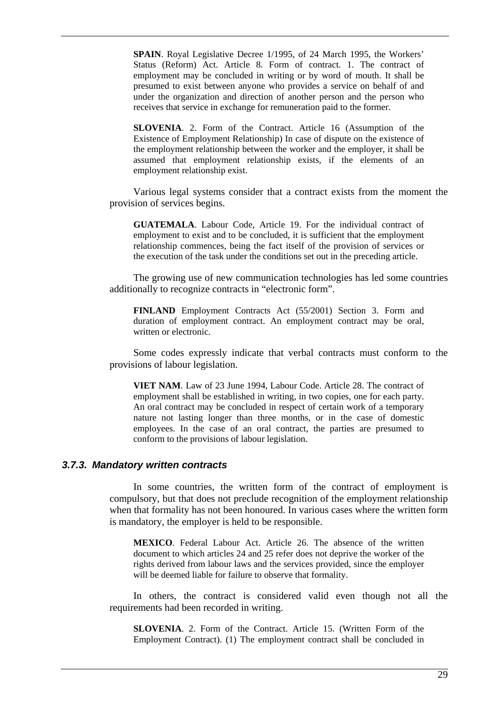**SPAIN**. Royal Legislative Decree 1/1995, of 24 March 1995, the Workers' Status (Reform) Act. Article 8. Form of contract. 1. The contract of employment may be concluded in writing or by word of mouth. It shall be presumed to exist between anyone who provides a service on behalf of and under the organization and direction of another person and the person who receives that service in exchange for remuneration paid to the former.

**SLOVENIA**. 2. Form of the Contract. Article 16 (Assumption of the Existence of Employment Relationship) In case of dispute on the existence of the employment relationship between the worker and the employer, it shall be assumed that employment relationship exists, if the elements of an employment relationship exist.

Various legal systems consider that a contract exists from the moment the provision of services begins.

**GUATEMALA**. Labour Code, Article 19. For the individual contract of employment to exist and to be concluded, it is sufficient that the employment relationship commences, being the fact itself of the provision of services or the execution of the task under the conditions set out in the preceding article.

The growing use of new communication technologies has led some countries additionally to recognize contracts in "electronic form".

**FINLAND** Employment Contracts Act (55/2001) Section 3. Form and duration of employment contract. An employment contract may be oral, written or electronic.

Some codes expressly indicate that verbal contracts must conform to the provisions of labour legislation.

**VIET NAM**. Law of 23 June 1994, Labour Code. Article 28. The contract of employment shall be established in writing, in two copies, one for each party. An oral contract may be concluded in respect of certain work of a temporary nature not lasting longer than three months, or in the case of domestic employees. In the case of an oral contract, the parties are presumed to conform to the provisions of labour legislation.

#### **3.7.3. Mandatory written contracts**

In some countries, the written form of the contract of employment is compulsory, but that does not preclude recognition of the employment relationship when that formality has not been honoured. In various cases where the written form is mandatory, the employer is held to be responsible.

**MEXICO**. Federal Labour Act. Article 26. The absence of the written document to which articles 24 and 25 refer does not deprive the worker of the rights derived from labour laws and the services provided, since the employer will be deemed liable for failure to observe that formality.

In others, the contract is considered valid even though not all the requirements had been recorded in writing.

**SLOVENIA**. 2. Form of the Contract. Article 15. (Written Form of the Employment Contract). (1) The employment contract shall be concluded in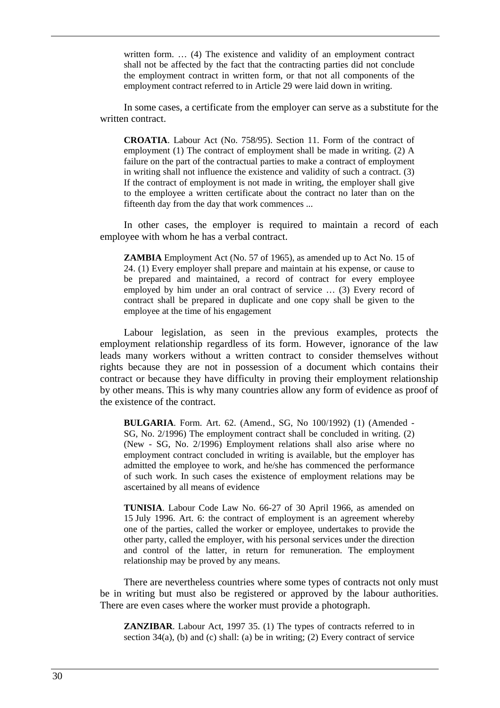written form. ... (4) The existence and validity of an employment contract shall not be affected by the fact that the contracting parties did not conclude the employment contract in written form, or that not all components of the employment contract referred to in Article 29 were laid down in writing.

In some cases, a certificate from the employer can serve as a substitute for the written contract.

**CROATIA**. Labour Act (No. 758/95). Section 11. Form of the contract of employment (1) The contract of employment shall be made in writing. (2) A failure on the part of the contractual parties to make a contract of employment in writing shall not influence the existence and validity of such a contract. (3) If the contract of employment is not made in writing, the employer shall give to the employee a written certificate about the contract no later than on the fifteenth day from the day that work commences ...

In other cases, the employer is required to maintain a record of each employee with whom he has a verbal contract.

**ZAMBIA** Employment Act (No. 57 of 1965), as amended up to Act No. 15 of 24. (1) Every employer shall prepare and maintain at his expense, or cause to be prepared and maintained, a record of contract for every employee employed by him under an oral contract of service … (3) Every record of contract shall be prepared in duplicate and one copy shall be given to the employee at the time of his engagement

Labour legislation, as seen in the previous examples, protects the employment relationship regardless of its form. However, ignorance of the law leads many workers without a written contract to consider themselves without rights because they are not in possession of a document which contains their contract or because they have difficulty in proving their employment relationship by other means. This is why many countries allow any form of evidence as proof of the existence of the contract.

**BULGARIA**. Form. Art. 62. (Amend., SG, No 100/1992) (1) (Amended - SG, No. 2/1996) The employment contract shall be concluded in writing. (2) (New - SG, No. 2/1996) Employment relations shall also arise where no employment contract concluded in writing is available, but the employer has admitted the employee to work, and he/she has commenced the performance of such work. In such cases the existence of employment relations may be ascertained by all means of evidence

**TUNISIA**. Labour Code Law No. 66-27 of 30 April 1966, as amended on 15 July 1996. Art. 6: the contract of employment is an agreement whereby one of the parties, called the worker or employee, undertakes to provide the other party, called the employer, with his personal services under the direction and control of the latter, in return for remuneration. The employment relationship may be proved by any means.

There are nevertheless countries where some types of contracts not only must be in writing but must also be registered or approved by the labour authorities. There are even cases where the worker must provide a photograph.

**ZANZIBAR**. Labour Act, 1997 35. (1) The types of contracts referred to in section 34(a), (b) and (c) shall: (a) be in writing; (2) Every contract of service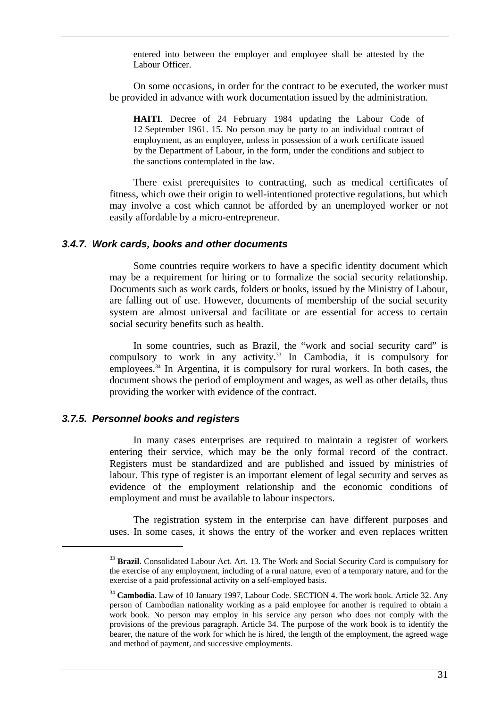entered into between the employer and employee shall be attested by the Labour Officer.

On some occasions, in order for the contract to be executed, the worker must be provided in advance with work documentation issued by the administration.

**HAITI**. Decree of 24 February 1984 updating the Labour Code of 12 September 1961. 15. No person may be party to an individual contract of employment, as an employee, unless in possession of a work certificate issued by the Department of Labour, in the form, under the conditions and subject to the sanctions contemplated in the law.

There exist prerequisites to contracting, such as medical certificates of fitness, which owe their origin to well-intentioned protective regulations, but which may involve a cost which cannot be afforded by an unemployed worker or not easily affordable by a micro-entrepreneur.

## **3.4.7. Work cards, books and other documents**

Some countries require workers to have a specific identity document which may be a requirement for hiring or to formalize the social security relationship. Documents such as work cards, folders or books, issued by the Ministry of Labour, are falling out of use. However, documents of membership of the social security system are almost universal and facilitate or are essential for access to certain social security benefits such as health.

In some countries, such as Brazil, the "work and social security card" is compulsory to work in any activity.<sup>33</sup> In Cambodia, it is compulsory for employees.<sup>34</sup> In Argentina, it is compulsory for rural workers. In both cases, the document shows the period of employment and wages, as well as other details, thus providing the worker with evidence of the contract.

## **3.7.5. Personnel books and registers**

 $\overline{a}$ 

In many cases enterprises are required to maintain a register of workers entering their service, which may be the only formal record of the contract. Registers must be standardized and are published and issued by ministries of labour. This type of register is an important element of legal security and serves as evidence of the employment relationship and the economic conditions of employment and must be available to labour inspectors.

The registration system in the enterprise can have different purposes and uses. In some cases, it shows the entry of the worker and even replaces written

<sup>&</sup>lt;sup>33</sup> Brazil. Consolidated Labour Act. Art. 13. The Work and Social Security Card is compulsory for the exercise of any employment, including of a rural nature, even of a temporary nature, and for the exercise of a paid professional activity on a self-employed basis.

<sup>34</sup> **Cambodia**. Law of 10 January 1997, Labour Code. SECTION 4. The work book. Article 32. Any person of Cambodian nationality working as a paid employee for another is required to obtain a work book. No person may employ in his service any person who does not comply with the provisions of the previous paragraph. Article 34. The purpose of the work book is to identify the bearer, the nature of the work for which he is hired, the length of the employment, the agreed wage and method of payment, and successive employments.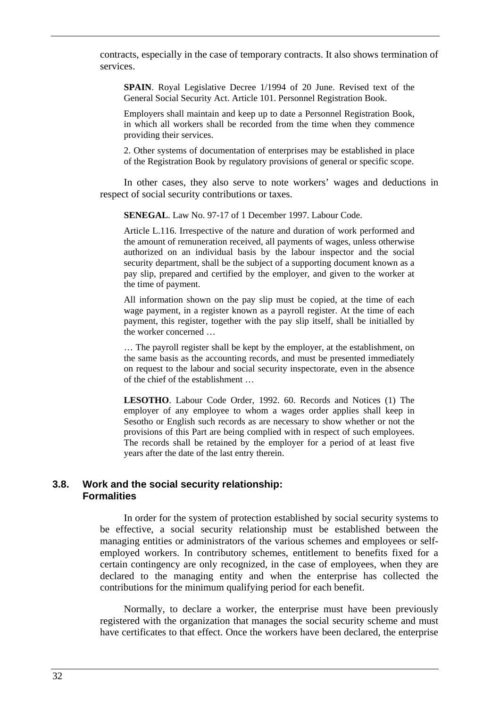contracts, especially in the case of temporary contracts. It also shows termination of services.

**SPAIN**. Royal Legislative Decree 1/1994 of 20 June. Revised text of the General Social Security Act. Article 101. Personnel Registration Book.

Employers shall maintain and keep up to date a Personnel Registration Book, in which all workers shall be recorded from the time when they commence providing their services.

2. Other systems of documentation of enterprises may be established in place of the Registration Book by regulatory provisions of general or specific scope.

In other cases, they also serve to note workers' wages and deductions in respect of social security contributions or taxes.

**SENEGAL**. Law No. 97-17 of 1 December 1997. Labour Code.

Article L.116. Irrespective of the nature and duration of work performed and the amount of remuneration received, all payments of wages, unless otherwise authorized on an individual basis by the labour inspector and the social security department, shall be the subject of a supporting document known as a pay slip, prepared and certified by the employer, and given to the worker at the time of payment.

All information shown on the pay slip must be copied, at the time of each wage payment, in a register known as a payroll register. At the time of each payment, this register, together with the pay slip itself, shall be initialled by the worker concerned …

… The payroll register shall be kept by the employer, at the establishment, on the same basis as the accounting records, and must be presented immediately on request to the labour and social security inspectorate, even in the absence of the chief of the establishment …

**LESOTHO**. Labour Code Order, 1992. 60. Records and Notices (1) The employer of any employee to whom a wages order applies shall keep in Sesotho or English such records as are necessary to show whether or not the provisions of this Part are being complied with in respect of such employees. The records shall be retained by the employer for a period of at least five years after the date of the last entry therein.

## **3.8. Work and the social security relationship: Formalities**

In order for the system of protection established by social security systems to be effective, a social security relationship must be established between the managing entities or administrators of the various schemes and employees or selfemployed workers. In contributory schemes, entitlement to benefits fixed for a certain contingency are only recognized, in the case of employees, when they are declared to the managing entity and when the enterprise has collected the contributions for the minimum qualifying period for each benefit.

Normally, to declare a worker, the enterprise must have been previously registered with the organization that manages the social security scheme and must have certificates to that effect. Once the workers have been declared, the enterprise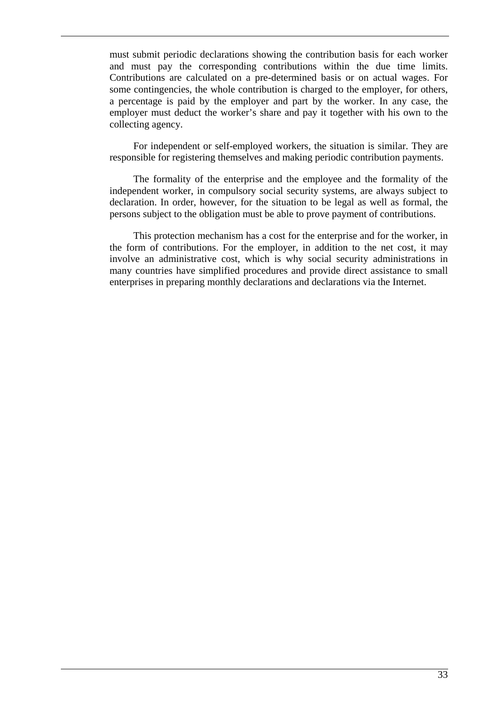must submit periodic declarations showing the contribution basis for each worker and must pay the corresponding contributions within the due time limits. Contributions are calculated on a pre-determined basis or on actual wages. For some contingencies, the whole contribution is charged to the employer, for others, a percentage is paid by the employer and part by the worker. In any case, the employer must deduct the worker's share and pay it together with his own to the collecting agency.

For independent or self-employed workers, the situation is similar. They are responsible for registering themselves and making periodic contribution payments.

The formality of the enterprise and the employee and the formality of the independent worker, in compulsory social security systems, are always subject to declaration. In order, however, for the situation to be legal as well as formal, the persons subject to the obligation must be able to prove payment of contributions.

This protection mechanism has a cost for the enterprise and for the worker, in the form of contributions. For the employer, in addition to the net cost, it may involve an administrative cost, which is why social security administrations in many countries have simplified procedures and provide direct assistance to small enterprises in preparing monthly declarations and declarations via the Internet.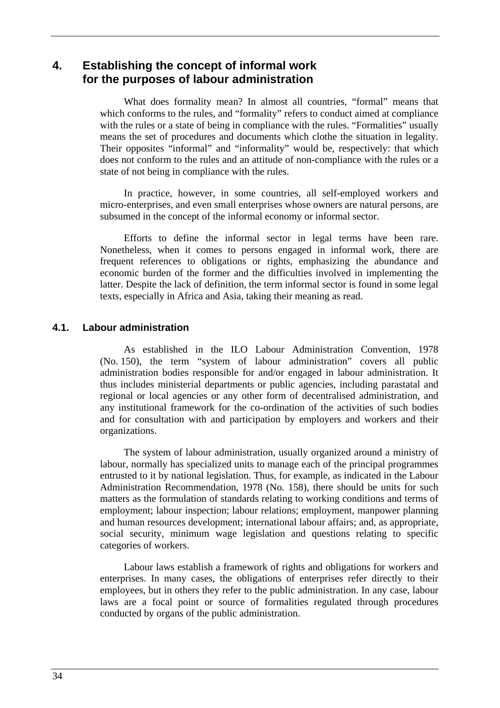# **4. Establishing the concept of informal work for the purposes of labour administration**

What does formality mean? In almost all countries, "formal" means that which conforms to the rules, and "formality" refers to conduct aimed at compliance with the rules or a state of being in compliance with the rules. "Formalities" usually means the set of procedures and documents which clothe the situation in legality. Their opposites "informal" and "informality" would be, respectively: that which does not conform to the rules and an attitude of non-compliance with the rules or a state of not being in compliance with the rules.

In practice, however, in some countries, all self-employed workers and micro-enterprises, and even small enterprises whose owners are natural persons, are subsumed in the concept of the informal economy or informal sector.

Efforts to define the informal sector in legal terms have been rare. Nonetheless, when it comes to persons engaged in informal work, there are frequent references to obligations or rights, emphasizing the abundance and economic burden of the former and the difficulties involved in implementing the latter. Despite the lack of definition, the term informal sector is found in some legal texts, especially in Africa and Asia, taking their meaning as read.

# **4.1. Labour administration**

As established in the ILO Labour Administration Convention, 1978 (No. 150), the term "system of labour administration" covers all public administration bodies responsible for and/or engaged in labour administration. It thus includes ministerial departments or public agencies, including parastatal and regional or local agencies or any other form of decentralised administration, and any institutional framework for the co-ordination of the activities of such bodies and for consultation with and participation by employers and workers and their organizations.

The system of labour administration, usually organized around a ministry of labour, normally has specialized units to manage each of the principal programmes entrusted to it by national legislation. Thus, for example, as indicated in the Labour Administration Recommendation, 1978 (No. 158), there should be units for such matters as the formulation of standards relating to working conditions and terms of employment; labour inspection; labour relations; employment, manpower planning and human resources development; international labour affairs; and, as appropriate, social security, minimum wage legislation and questions relating to specific categories of workers.

Labour laws establish a framework of rights and obligations for workers and enterprises. In many cases, the obligations of enterprises refer directly to their employees, but in others they refer to the public administration. In any case, labour laws are a focal point or source of formalities regulated through procedures conducted by organs of the public administration.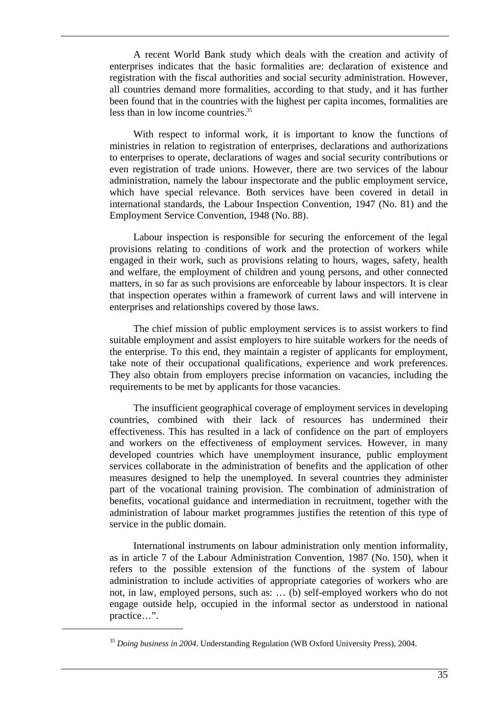A recent World Bank study which deals with the creation and activity of enterprises indicates that the basic formalities are: declaration of existence and registration with the fiscal authorities and social security administration. However, all countries demand more formalities, according to that study, and it has further been found that in the countries with the highest per capita incomes, formalities are less than in low income countries.<sup>35</sup>

With respect to informal work, it is important to know the functions of ministries in relation to registration of enterprises, declarations and authorizations to enterprises to operate, declarations of wages and social security contributions or even registration of trade unions. However, there are two services of the labour administration, namely the labour inspectorate and the public employment service, which have special relevance. Both services have been covered in detail in international standards, the Labour Inspection Convention, 1947 (No. 81) and the Employment Service Convention, 1948 (No. 88).

Labour inspection is responsible for securing the enforcement of the legal provisions relating to conditions of work and the protection of workers while engaged in their work, such as provisions relating to hours, wages, safety, health and welfare, the employment of children and young persons, and other connected matters, in so far as such provisions are enforceable by labour inspectors. It is clear that inspection operates within a framework of current laws and will intervene in enterprises and relationships covered by those laws.

The chief mission of public employment services is to assist workers to find suitable employment and assist employers to hire suitable workers for the needs of the enterprise. To this end, they maintain a register of applicants for employment, take note of their occupational qualifications, experience and work preferences. They also obtain from employers precise information on vacancies, including the requirements to be met by applicants for those vacancies.

The insufficient geographical coverage of employment services in developing countries, combined with their lack of resources has undermined their effectiveness. This has resulted in a lack of confidence on the part of employers and workers on the effectiveness of employment services. However, in many developed countries which have unemployment insurance, public employment services collaborate in the administration of benefits and the application of other measures designed to help the unemployed. In several countries they administer part of the vocational training provision. The combination of administration of benefits, vocational guidance and intermediation in recruitment, together with the administration of labour market programmes justifies the retention of this type of service in the public domain.

International instruments on labour administration only mention informality, as in article 7 of the Labour Administration Convention, 1987 (No. 150), when it refers to the possible extension of the functions of the system of labour administration to include activities of appropriate categories of workers who are not, in law, employed persons, such as: … (b) self-employed workers who do not engage outside help, occupied in the informal sector as understood in national practice…".

 $\overline{a}$ 

<sup>35</sup> *Doing business in 2004*. Understanding Regulation (WB Oxford University Press), 2004.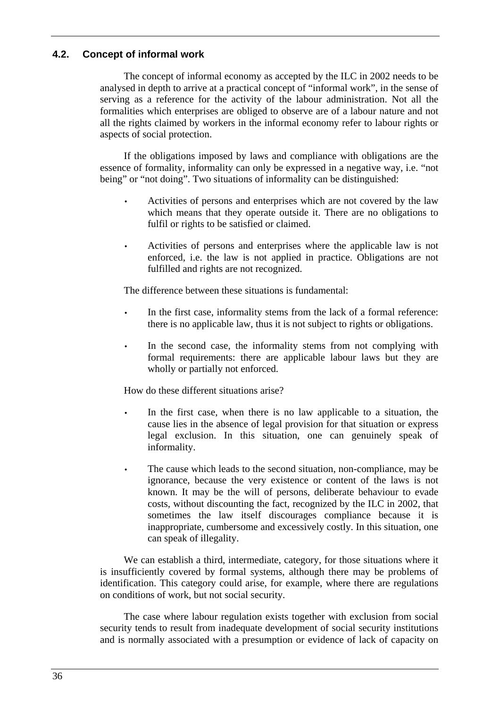# **4.2. Concept of informal work**

The concept of informal economy as accepted by the ILC in 2002 needs to be analysed in depth to arrive at a practical concept of "informal work", in the sense of serving as a reference for the activity of the labour administration. Not all the formalities which enterprises are obliged to observe are of a labour nature and not all the rights claimed by workers in the informal economy refer to labour rights or aspects of social protection.

If the obligations imposed by laws and compliance with obligations are the essence of formality, informality can only be expressed in a negative way, i.e. "not being" or "not doing". Two situations of informality can be distinguished:

- Activities of persons and enterprises which are not covered by the law which means that they operate outside it. There are no obligations to fulfil or rights to be satisfied or claimed.
- Activities of persons and enterprises where the applicable law is not enforced, i.e. the law is not applied in practice. Obligations are not fulfilled and rights are not recognized.

The difference between these situations is fundamental:

- In the first case, informality stems from the lack of a formal reference: there is no applicable law, thus it is not subject to rights or obligations.
- In the second case, the informality stems from not complying with formal requirements: there are applicable labour laws but they are wholly or partially not enforced.

How do these different situations arise?

- In the first case, when there is no law applicable to a situation, the cause lies in the absence of legal provision for that situation or express legal exclusion. In this situation, one can genuinely speak of informality.
- The cause which leads to the second situation, non-compliance, may be ignorance, because the very existence or content of the laws is not known. It may be the will of persons, deliberate behaviour to evade costs, without discounting the fact, recognized by the ILC in 2002, that sometimes the law itself discourages compliance because it is inappropriate, cumbersome and excessively costly. In this situation, one can speak of illegality.

We can establish a third, intermediate, category, for those situations where it is insufficiently covered by formal systems, although there may be problems of identification. This category could arise, for example, where there are regulations on conditions of work, but not social security.

The case where labour regulation exists together with exclusion from social security tends to result from inadequate development of social security institutions and is normally associated with a presumption or evidence of lack of capacity on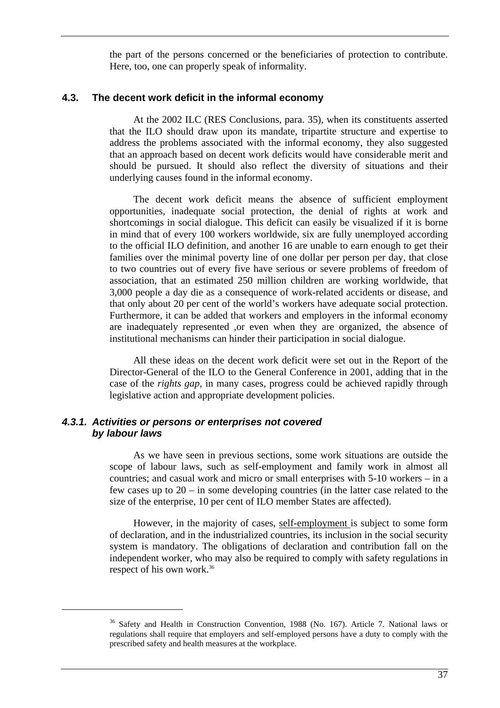the part of the persons concerned or the beneficiaries of protection to contribute. Here, too, one can properly speak of informality.

## **4.3. The decent work deficit in the informal economy**

At the 2002 ILC (RES Conclusions, para. 35), when its constituents asserted that the ILO should draw upon its mandate, tripartite structure and expertise to address the problems associated with the informal economy, they also suggested that an approach based on decent work deficits would have considerable merit and should be pursued. It should also reflect the diversity of situations and their underlying causes found in the informal economy.

The decent work deficit means the absence of sufficient employment opportunities, inadequate social protection, the denial of rights at work and shortcomings in social dialogue. This deficit can easily be visualized if it is borne in mind that of every 100 workers worldwide, six are fully unemployed according to the official ILO definition, and another 16 are unable to earn enough to get their families over the minimal poverty line of one dollar per person per day, that close to two countries out of every five have serious or severe problems of freedom of association, that an estimated 250 million children are working worldwide, that 3,000 people a day die as a consequence of work-related accidents or disease, and that only about 20 per cent of the world's workers have adequate social protection. Furthermore, it can be added that workers and employers in the informal economy are inadequately represented ,or even when they are organized, the absence of institutional mechanisms can hinder their participation in social dialogue.

All these ideas on the decent work deficit were set out in the Report of the Director-General of the ILO to the General Conference in 2001, adding that in the case of the *rights gap*, in many cases, progress could be achieved rapidly through legislative action and appropriate development policies.

## **4.3.1. Activities or persons or enterprises not covered by labour laws**

 $\overline{a}$ 

As we have seen in previous sections, some work situations are outside the scope of labour laws, such as self-employment and family work in almost all countries; and casual work and micro or small enterprises with 5-10 workers – in a few cases up to 20 – in some developing countries (in the latter case related to the size of the enterprise, 10 per cent of ILO member States are affected).

However, in the majority of cases, self-employment is subject to some form of declaration, and in the industrialized countries, its inclusion in the social security system is mandatory. The obligations of declaration and contribution fall on the independent worker, who may also be required to comply with safety regulations in respect of his own work.<sup>36</sup>

<sup>&</sup>lt;sup>36</sup> Safety and Health in Construction Convention, 1988 (No. 167). Article 7. National laws or regulations shall require that employers and self-employed persons have a duty to comply with the prescribed safety and health measures at the workplace.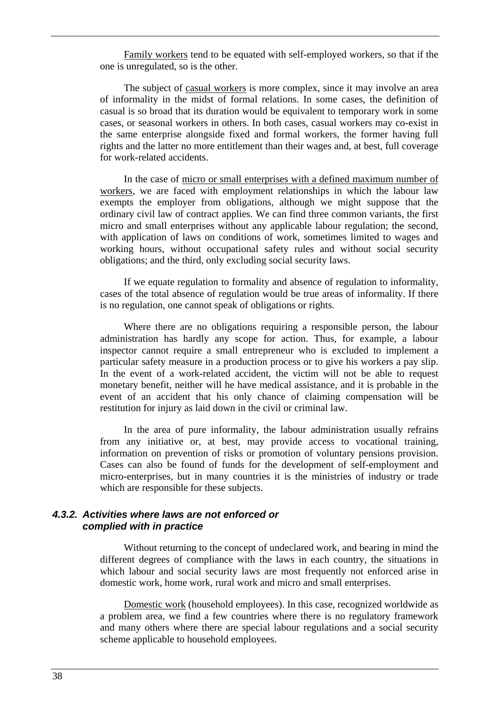Family workers tend to be equated with self-employed workers, so that if the one is unregulated, so is the other.

The subject of casual workers is more complex, since it may involve an area of informality in the midst of formal relations. In some cases, the definition of casual is so broad that its duration would be equivalent to temporary work in some cases, or seasonal workers in others. In both cases, casual workers may co-exist in the same enterprise alongside fixed and formal workers, the former having full rights and the latter no more entitlement than their wages and, at best, full coverage for work-related accidents.

In the case of micro or small enterprises with a defined maximum number of workers, we are faced with employment relationships in which the labour law exempts the employer from obligations, although we might suppose that the ordinary civil law of contract applies. We can find three common variants, the first micro and small enterprises without any applicable labour regulation; the second, with application of laws on conditions of work, sometimes limited to wages and working hours, without occupational safety rules and without social security obligations; and the third, only excluding social security laws.

If we equate regulation to formality and absence of regulation to informality, cases of the total absence of regulation would be true areas of informality. If there is no regulation, one cannot speak of obligations or rights.

Where there are no obligations requiring a responsible person, the labour administration has hardly any scope for action. Thus, for example, a labour inspector cannot require a small entrepreneur who is excluded to implement a particular safety measure in a production process or to give his workers a pay slip. In the event of a work-related accident, the victim will not be able to request monetary benefit, neither will he have medical assistance, and it is probable in the event of an accident that his only chance of claiming compensation will be restitution for injury as laid down in the civil or criminal law.

In the area of pure informality, the labour administration usually refrains from any initiative or, at best, may provide access to vocational training, information on prevention of risks or promotion of voluntary pensions provision. Cases can also be found of funds for the development of self-employment and micro-enterprises, but in many countries it is the ministries of industry or trade which are responsible for these subjects.

## **4.3.2. Activities where laws are not enforced or complied with in practice**

Without returning to the concept of undeclared work, and bearing in mind the different degrees of compliance with the laws in each country, the situations in which labour and social security laws are most frequently not enforced arise in domestic work, home work, rural work and micro and small enterprises.

Domestic work (household employees). In this case, recognized worldwide as a problem area, we find a few countries where there is no regulatory framework and many others where there are special labour regulations and a social security scheme applicable to household employees.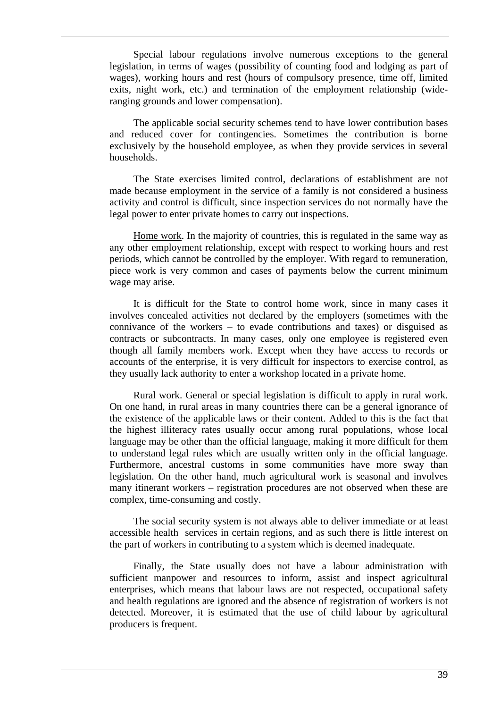Special labour regulations involve numerous exceptions to the general legislation, in terms of wages (possibility of counting food and lodging as part of wages), working hours and rest (hours of compulsory presence, time off, limited exits, night work, etc.) and termination of the employment relationship (wideranging grounds and lower compensation).

The applicable social security schemes tend to have lower contribution bases and reduced cover for contingencies. Sometimes the contribution is borne exclusively by the household employee, as when they provide services in several households.

The State exercises limited control, declarations of establishment are not made because employment in the service of a family is not considered a business activity and control is difficult, since inspection services do not normally have the legal power to enter private homes to carry out inspections.

Home work. In the majority of countries, this is regulated in the same way as any other employment relationship, except with respect to working hours and rest periods, which cannot be controlled by the employer. With regard to remuneration, piece work is very common and cases of payments below the current minimum wage may arise.

It is difficult for the State to control home work, since in many cases it involves concealed activities not declared by the employers (sometimes with the connivance of the workers – to evade contributions and taxes) or disguised as contracts or subcontracts. In many cases, only one employee is registered even though all family members work. Except when they have access to records or accounts of the enterprise, it is very difficult for inspectors to exercise control, as they usually lack authority to enter a workshop located in a private home.

Rural work. General or special legislation is difficult to apply in rural work. On one hand, in rural areas in many countries there can be a general ignorance of the existence of the applicable laws or their content. Added to this is the fact that the highest illiteracy rates usually occur among rural populations, whose local language may be other than the official language, making it more difficult for them to understand legal rules which are usually written only in the official language. Furthermore, ancestral customs in some communities have more sway than legislation. On the other hand, much agricultural work is seasonal and involves many itinerant workers – registration procedures are not observed when these are complex, time-consuming and costly.

The social security system is not always able to deliver immediate or at least accessible health services in certain regions, and as such there is little interest on the part of workers in contributing to a system which is deemed inadequate.

Finally, the State usually does not have a labour administration with sufficient manpower and resources to inform, assist and inspect agricultural enterprises, which means that labour laws are not respected, occupational safety and health regulations are ignored and the absence of registration of workers is not detected. Moreover, it is estimated that the use of child labour by agricultural producers is frequent.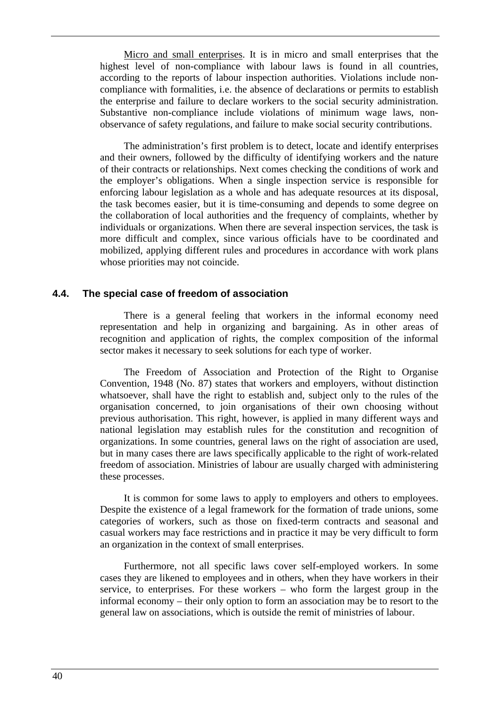Micro and small enterprises. It is in micro and small enterprises that the highest level of non-compliance with labour laws is found in all countries, according to the reports of labour inspection authorities. Violations include noncompliance with formalities, i.e. the absence of declarations or permits to establish the enterprise and failure to declare workers to the social security administration. Substantive non-compliance include violations of minimum wage laws, nonobservance of safety regulations, and failure to make social security contributions.

The administration's first problem is to detect, locate and identify enterprises and their owners, followed by the difficulty of identifying workers and the nature of their contracts or relationships. Next comes checking the conditions of work and the employer's obligations. When a single inspection service is responsible for enforcing labour legislation as a whole and has adequate resources at its disposal, the task becomes easier, but it is time-consuming and depends to some degree on the collaboration of local authorities and the frequency of complaints, whether by individuals or organizations. When there are several inspection services, the task is more difficult and complex, since various officials have to be coordinated and mobilized, applying different rules and procedures in accordance with work plans whose priorities may not coincide.

## **4.4. The special case of freedom of association**

There is a general feeling that workers in the informal economy need representation and help in organizing and bargaining. As in other areas of recognition and application of rights, the complex composition of the informal sector makes it necessary to seek solutions for each type of worker.

The Freedom of Association and Protection of the Right to Organise Convention, 1948 (No. 87) states that workers and employers, without distinction whatsoever, shall have the right to establish and, subject only to the rules of the organisation concerned, to join organisations of their own choosing without previous authorisation. This right, however, is applied in many different ways and national legislation may establish rules for the constitution and recognition of organizations. In some countries, general laws on the right of association are used, but in many cases there are laws specifically applicable to the right of work-related freedom of association. Ministries of labour are usually charged with administering these processes.

It is common for some laws to apply to employers and others to employees. Despite the existence of a legal framework for the formation of trade unions, some categories of workers, such as those on fixed-term contracts and seasonal and casual workers may face restrictions and in practice it may be very difficult to form an organization in the context of small enterprises.

Furthermore, not all specific laws cover self-employed workers. In some cases they are likened to employees and in others, when they have workers in their service, to enterprises. For these workers – who form the largest group in the informal economy – their only option to form an association may be to resort to the general law on associations, which is outside the remit of ministries of labour.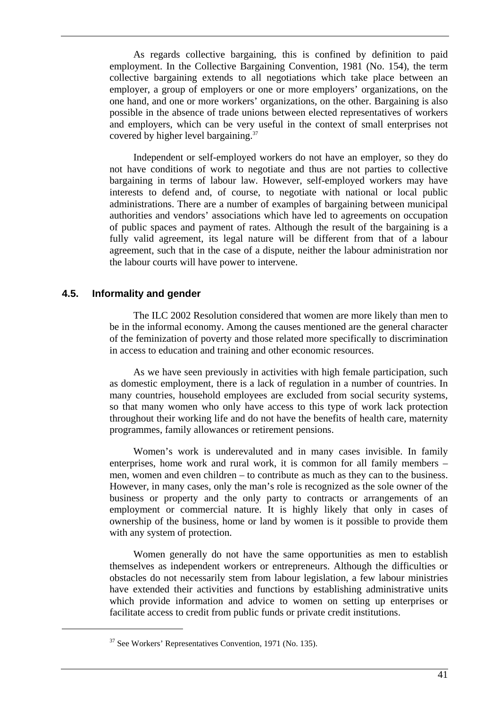As regards collective bargaining, this is confined by definition to paid employment. In the Collective Bargaining Convention, 1981 (No. 154), the term collective bargaining extends to all negotiations which take place between an employer, a group of employers or one or more employers' organizations, on the one hand, and one or more workers' organizations, on the other. Bargaining is also possible in the absence of trade unions between elected representatives of workers and employers, which can be very useful in the context of small enterprises not covered by higher level bargaining.<sup>37</sup>

Independent or self-employed workers do not have an employer, so they do not have conditions of work to negotiate and thus are not parties to collective bargaining in terms of labour law. However, self-employed workers may have interests to defend and, of course, to negotiate with national or local public administrations. There are a number of examples of bargaining between municipal authorities and vendors' associations which have led to agreements on occupation of public spaces and payment of rates. Although the result of the bargaining is a fully valid agreement, its legal nature will be different from that of a labour agreement, such that in the case of a dispute, neither the labour administration nor the labour courts will have power to intervene.

## **4.5. Informality and gender**

 $\overline{a}$ 

The ILC 2002 Resolution considered that women are more likely than men to be in the informal economy. Among the causes mentioned are the general character of the feminization of poverty and those related more specifically to discrimination in access to education and training and other economic resources.

As we have seen previously in activities with high female participation, such as domestic employment, there is a lack of regulation in a number of countries. In many countries, household employees are excluded from social security systems, so that many women who only have access to this type of work lack protection throughout their working life and do not have the benefits of health care, maternity programmes, family allowances or retirement pensions.

Women's work is underevaluted and in many cases invisible. In family enterprises, home work and rural work, it is common for all family members – men, women and even children – to contribute as much as they can to the business. However, in many cases, only the man's role is recognized as the sole owner of the business or property and the only party to contracts or arrangements of an employment or commercial nature. It is highly likely that only in cases of ownership of the business, home or land by women is it possible to provide them with any system of protection.

Women generally do not have the same opportunities as men to establish themselves as independent workers or entrepreneurs. Although the difficulties or obstacles do not necessarily stem from labour legislation, a few labour ministries have extended their activities and functions by establishing administrative units which provide information and advice to women on setting up enterprises or facilitate access to credit from public funds or private credit institutions.

<sup>37</sup> See Workers' Representatives Convention, 1971 (No. 135).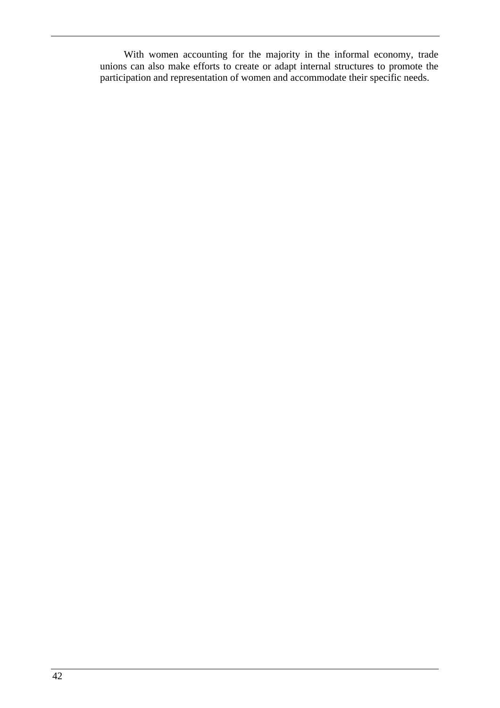With women accounting for the majority in the informal economy, trade unions can also make efforts to create or adapt internal structures to promote the participation and representation of women and accommodate their specific needs.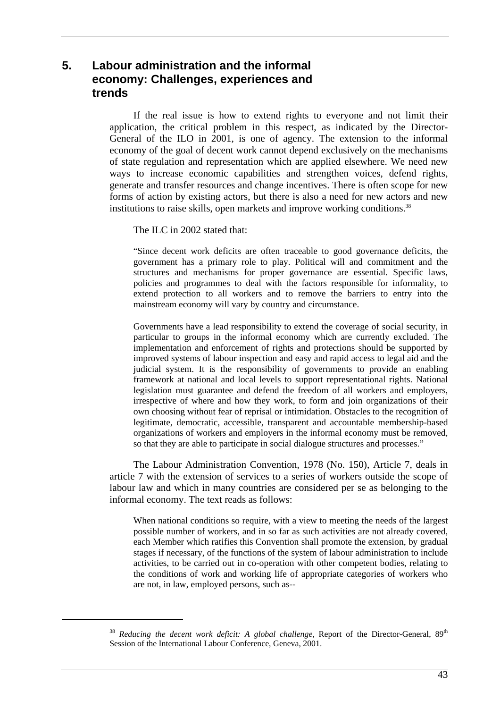# **5. Labour administration and the informal economy: Challenges, experiences and trends**

If the real issue is how to extend rights to everyone and not limit their application, the critical problem in this respect, as indicated by the Director-General of the ILO in 2001, is one of agency. The extension to the informal economy of the goal of decent work cannot depend exclusively on the mechanisms of state regulation and representation which are applied elsewhere. We need new ways to increase economic capabilities and strengthen voices, defend rights, generate and transfer resources and change incentives. There is often scope for new forms of action by existing actors, but there is also a need for new actors and new institutions to raise skills, open markets and improve working conditions.<sup>38</sup>

The ILC in 2002 stated that:

 $\overline{a}$ 

"Since decent work deficits are often traceable to good governance deficits, the government has a primary role to play. Political will and commitment and the structures and mechanisms for proper governance are essential. Specific laws, policies and programmes to deal with the factors responsible for informality, to extend protection to all workers and to remove the barriers to entry into the mainstream economy will vary by country and circumstance.

Governments have a lead responsibility to extend the coverage of social security, in particular to groups in the informal economy which are currently excluded. The implementation and enforcement of rights and protections should be supported by improved systems of labour inspection and easy and rapid access to legal aid and the judicial system. It is the responsibility of governments to provide an enabling framework at national and local levels to support representational rights. National legislation must guarantee and defend the freedom of all workers and employers, irrespective of where and how they work, to form and join organizations of their own choosing without fear of reprisal or intimidation. Obstacles to the recognition of legitimate, democratic, accessible, transparent and accountable membership-based organizations of workers and employers in the informal economy must be removed, so that they are able to participate in social dialogue structures and processes."

The Labour Administration Convention, 1978 (No. 150), Article 7, deals in article 7 with the extension of services to a series of workers outside the scope of labour law and which in many countries are considered per se as belonging to the informal economy. The text reads as follows:

When national conditions so require, with a view to meeting the needs of the largest possible number of workers, and in so far as such activities are not already covered, each Member which ratifies this Convention shall promote the extension, by gradual stages if necessary, of the functions of the system of labour administration to include activities, to be carried out in co-operation with other competent bodies, relating to the conditions of work and working life of appropriate categories of workers who are not, in law, employed persons, such as--

<sup>&</sup>lt;sup>38</sup> Reducing the decent work deficit: A global challenge, Report of the Director-General, 89<sup>th</sup> Session of the International Labour Conference, Geneva, 2001.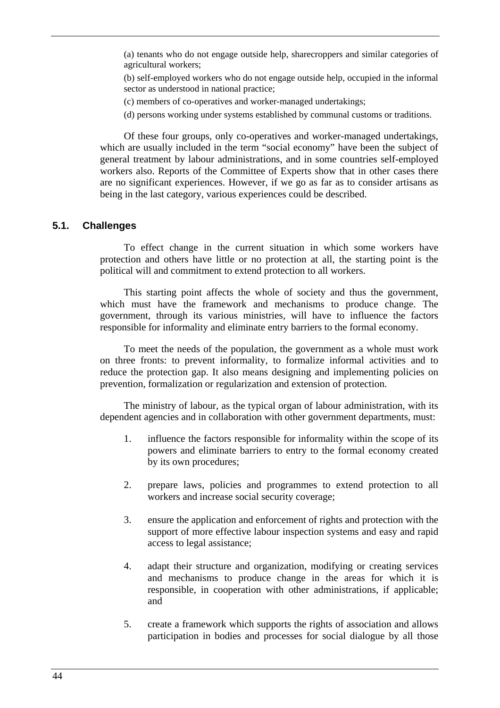(a) tenants who do not engage outside help, sharecroppers and similar categories of agricultural workers;

(b) self-employed workers who do not engage outside help, occupied in the informal sector as understood in national practice;

- (c) members of co-operatives and worker-managed undertakings;
- (d) persons working under systems established by communal customs or traditions.

Of these four groups, only co-operatives and worker-managed undertakings, which are usually included in the term "social economy" have been the subject of general treatment by labour administrations, and in some countries self-employed workers also. Reports of the Committee of Experts show that in other cases there are no significant experiences. However, if we go as far as to consider artisans as being in the last category, various experiences could be described.

# **5.1. Challenges**

To effect change in the current situation in which some workers have protection and others have little or no protection at all, the starting point is the political will and commitment to extend protection to all workers.

This starting point affects the whole of society and thus the government, which must have the framework and mechanisms to produce change. The government, through its various ministries, will have to influence the factors responsible for informality and eliminate entry barriers to the formal economy.

To meet the needs of the population, the government as a whole must work on three fronts: to prevent informality, to formalize informal activities and to reduce the protection gap. It also means designing and implementing policies on prevention, formalization or regularization and extension of protection.

The ministry of labour, as the typical organ of labour administration, with its dependent agencies and in collaboration with other government departments, must:

- 1. influence the factors responsible for informality within the scope of its powers and eliminate barriers to entry to the formal economy created by its own procedures;
- 2. prepare laws, policies and programmes to extend protection to all workers and increase social security coverage;
- 3. ensure the application and enforcement of rights and protection with the support of more effective labour inspection systems and easy and rapid access to legal assistance;
- 4. adapt their structure and organization, modifying or creating services and mechanisms to produce change in the areas for which it is responsible, in cooperation with other administrations, if applicable; and
- 5. create a framework which supports the rights of association and allows participation in bodies and processes for social dialogue by all those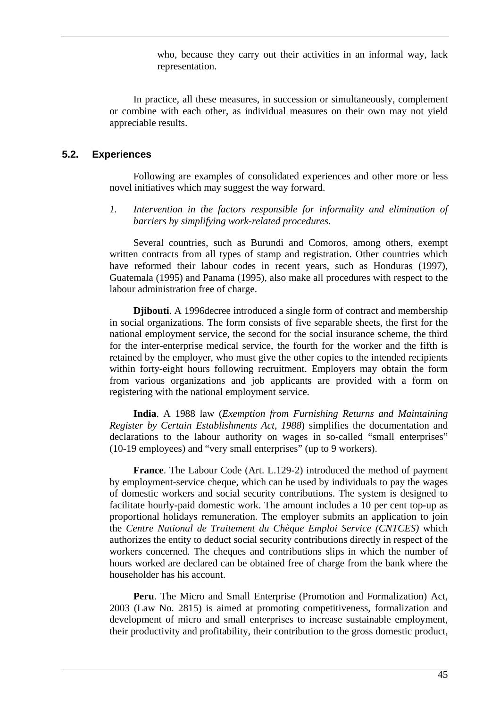who, because they carry out their activities in an informal way, lack representation.

In practice, all these measures, in succession or simultaneously, complement or combine with each other, as individual measures on their own may not yield appreciable results.

## **5.2. Experiences**

Following are examples of consolidated experiences and other more or less novel initiatives which may suggest the way forward.

*1. Intervention in the factors responsible for informality and elimination of barriers by simplifying work-related procedures.* 

Several countries, such as Burundi and Comoros, among others, exempt written contracts from all types of stamp and registration. Other countries which have reformed their labour codes in recent years, such as Honduras (1997), Guatemala (1995) and Panama (1995), also make all procedures with respect to the labour administration free of charge.

**Djibouti**. A 1996decree introduced a single form of contract and membership in social organizations. The form consists of five separable sheets, the first for the national employment service, the second for the social insurance scheme, the third for the inter-enterprise medical service, the fourth for the worker and the fifth is retained by the employer, who must give the other copies to the intended recipients within forty-eight hours following recruitment. Employers may obtain the form from various organizations and job applicants are provided with a form on registering with the national employment service.

**India**. A 1988 law (*Exemption from Furnishing Returns and Maintaining Register by Certain Establishments Act*, *1988*) simplifies the documentation and declarations to the labour authority on wages in so-called "small enterprises" (10-19 employees) and "very small enterprises" (up to 9 workers).

**France**. The Labour Code (Art. L.129-2) introduced the method of payment by employment-service cheque, which can be used by individuals to pay the wages of domestic workers and social security contributions. The system is designed to facilitate hourly-paid domestic work. The amount includes a 10 per cent top-up as proportional holidays remuneration. The employer submits an application to join the *Centre National de Traitement du Chèque Emploi Service (CNTCES)* which authorizes the entity to deduct social security contributions directly in respect of the workers concerned. The cheques and contributions slips in which the number of hours worked are declared can be obtained free of charge from the bank where the householder has his account.

**Peru**. The Micro and Small Enterprise (Promotion and Formalization) Act, 2003 (Law No. 2815) is aimed at promoting competitiveness, formalization and development of micro and small enterprises to increase sustainable employment, their productivity and profitability, their contribution to the gross domestic product,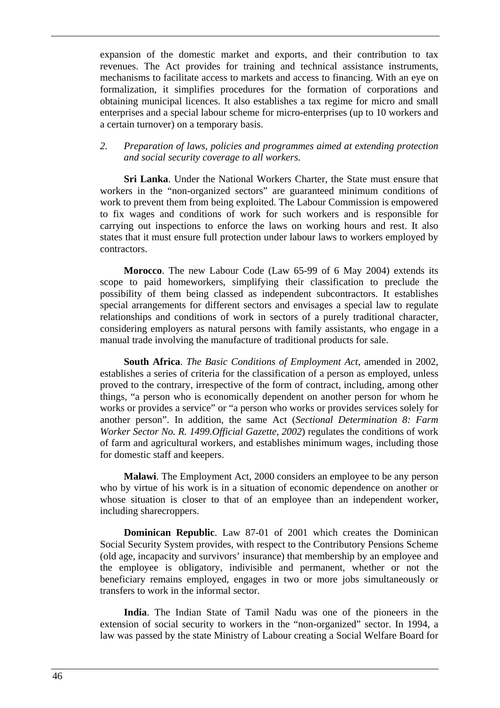expansion of the domestic market and exports, and their contribution to tax revenues. The Act provides for training and technical assistance instruments, mechanisms to facilitate access to markets and access to financing. With an eye on formalization, it simplifies procedures for the formation of corporations and obtaining municipal licences. It also establishes a tax regime for micro and small enterprises and a special labour scheme for micro-enterprises (up to 10 workers and a certain turnover) on a temporary basis.

## *2. Preparation of laws, policies and programmes aimed at extending protection and social security coverage to all workers.*

**Sri Lanka**. Under the National Workers Charter, the State must ensure that workers in the "non-organized sectors" are guaranteed minimum conditions of work to prevent them from being exploited. The Labour Commission is empowered to fix wages and conditions of work for such workers and is responsible for carrying out inspections to enforce the laws on working hours and rest. It also states that it must ensure full protection under labour laws to workers employed by contractors.

**Morocco**. The new Labour Code (Law 65-99 of 6 May 2004) extends its scope to paid homeworkers, simplifying their classification to preclude the possibility of them being classed as independent subcontractors. It establishes special arrangements for different sectors and envisages a special law to regulate relationships and conditions of work in sectors of a purely traditional character, considering employers as natural persons with family assistants, who engage in a manual trade involving the manufacture of traditional products for sale.

**South Africa**. *The Basic Conditions of Employment Act*, amended in 2002, establishes a series of criteria for the classification of a person as employed, unless proved to the contrary, irrespective of the form of contract, including, among other things, "a person who is economically dependent on another person for whom he works or provides a service" or "a person who works or provides services solely for another person". In addition, the same Act (*Sectional Determination 8: Farm Worker Sector No. R. 1499.Official Gazette, 2002*) regulates the conditions of work of farm and agricultural workers, and establishes minimum wages, including those for domestic staff and keepers.

**Malawi**. The Employment Act, 2000 considers an employee to be any person who by virtue of his work is in a situation of economic dependence on another or whose situation is closer to that of an employee than an independent worker, including sharecroppers.

**Dominican Republic**. Law 87-01 of 2001 which creates the Dominican Social Security System provides, with respect to the Contributory Pensions Scheme (old age, incapacity and survivors' insurance) that membership by an employee and the employee is obligatory, indivisible and permanent, whether or not the beneficiary remains employed, engages in two or more jobs simultaneously or transfers to work in the informal sector.

**India**. The Indian State of Tamil Nadu was one of the pioneers in the extension of social security to workers in the "non-organized" sector. In 1994, a law was passed by the state Ministry of Labour creating a Social Welfare Board for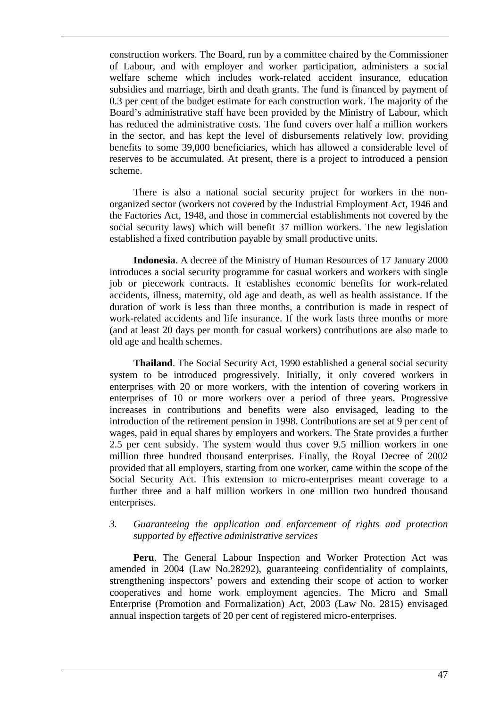construction workers. The Board, run by a committee chaired by the Commissioner of Labour, and with employer and worker participation, administers a social welfare scheme which includes work-related accident insurance, education subsidies and marriage, birth and death grants. The fund is financed by payment of 0.3 per cent of the budget estimate for each construction work. The majority of the Board's administrative staff have been provided by the Ministry of Labour, which has reduced the administrative costs. The fund covers over half a million workers in the sector, and has kept the level of disbursements relatively low, providing benefits to some 39,000 beneficiaries, which has allowed a considerable level of reserves to be accumulated. At present, there is a project to introduced a pension scheme.

There is also a national social security project for workers in the nonorganized sector (workers not covered by the Industrial Employment Act, 1946 and the Factories Act, 1948, and those in commercial establishments not covered by the social security laws) which will benefit 37 million workers. The new legislation established a fixed contribution payable by small productive units.

**Indonesia**. A decree of the Ministry of Human Resources of 17 January 2000 introduces a social security programme for casual workers and workers with single job or piecework contracts. It establishes economic benefits for work-related accidents, illness, maternity, old age and death, as well as health assistance. If the duration of work is less than three months, a contribution is made in respect of work-related accidents and life insurance. If the work lasts three months or more (and at least 20 days per month for casual workers) contributions are also made to old age and health schemes.

**Thailand**. The Social Security Act, 1990 established a general social security system to be introduced progressively. Initially, it only covered workers in enterprises with 20 or more workers, with the intention of covering workers in enterprises of 10 or more workers over a period of three years. Progressive increases in contributions and benefits were also envisaged, leading to the introduction of the retirement pension in 1998. Contributions are set at 9 per cent of wages, paid in equal shares by employers and workers. The State provides a further 2.5 per cent subsidy. The system would thus cover 9.5 million workers in one million three hundred thousand enterprises. Finally, the Royal Decree of 2002 provided that all employers, starting from one worker, came within the scope of the Social Security Act. This extension to micro-enterprises meant coverage to a further three and a half million workers in one million two hundred thousand enterprises.

## *3. Guaranteeing the application and enforcement of rights and protection supported by effective administrative services*

**Peru**. The General Labour Inspection and Worker Protection Act was amended in 2004 (Law No.28292), guaranteeing confidentiality of complaints, strengthening inspectors' powers and extending their scope of action to worker cooperatives and home work employment agencies. The Micro and Small Enterprise (Promotion and Formalization) Act, 2003 (Law No. 2815) envisaged annual inspection targets of 20 per cent of registered micro-enterprises.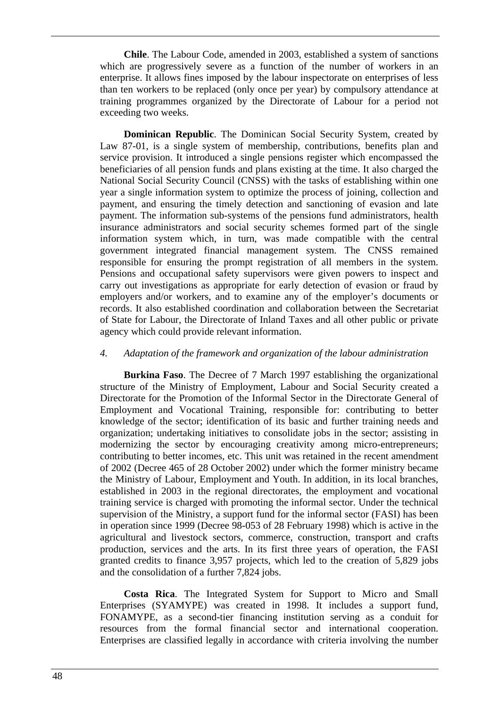**Chile**. The Labour Code, amended in 2003, established a system of sanctions which are progressively severe as a function of the number of workers in an enterprise. It allows fines imposed by the labour inspectorate on enterprises of less than ten workers to be replaced (only once per year) by compulsory attendance at training programmes organized by the Directorate of Labour for a period not exceeding two weeks.

**Dominican Republic**. The Dominican Social Security System, created by Law 87-01, is a single system of membership, contributions, benefits plan and service provision. It introduced a single pensions register which encompassed the beneficiaries of all pension funds and plans existing at the time. It also charged the National Social Security Council (CNSS) with the tasks of establishing within one year a single information system to optimize the process of joining, collection and payment, and ensuring the timely detection and sanctioning of evasion and late payment. The information sub-systems of the pensions fund administrators, health insurance administrators and social security schemes formed part of the single information system which, in turn, was made compatible with the central government integrated financial management system. The CNSS remained responsible for ensuring the prompt registration of all members in the system. Pensions and occupational safety supervisors were given powers to inspect and carry out investigations as appropriate for early detection of evasion or fraud by employers and/or workers, and to examine any of the employer's documents or records. It also established coordination and collaboration between the Secretariat of State for Labour, the Directorate of Inland Taxes and all other public or private agency which could provide relevant information.

# *4. Adaptation of the framework and organization of the labour administration*

**Burkina Faso**. The Decree of 7 March 1997 establishing the organizational structure of the Ministry of Employment, Labour and Social Security created a Directorate for the Promotion of the Informal Sector in the Directorate General of Employment and Vocational Training, responsible for: contributing to better knowledge of the sector; identification of its basic and further training needs and organization; undertaking initiatives to consolidate jobs in the sector; assisting in modernizing the sector by encouraging creativity among micro-entrepreneurs; contributing to better incomes, etc. This unit was retained in the recent amendment of 2002 (Decree 465 of 28 October 2002) under which the former ministry became the Ministry of Labour, Employment and Youth. In addition, in its local branches, established in 2003 in the regional directorates, the employment and vocational training service is charged with promoting the informal sector. Under the technical supervision of the Ministry, a support fund for the informal sector (FASI) has been in operation since 1999 (Decree 98-053 of 28 February 1998) which is active in the agricultural and livestock sectors, commerce, construction, transport and crafts production, services and the arts. In its first three years of operation, the FASI granted credits to finance 3,957 projects, which led to the creation of 5,829 jobs and the consolidation of a further 7,824 jobs.

**Costa Rica**. The Integrated System for Support to Micro and Small Enterprises (SYAMYPE) was created in 1998. It includes a support fund, FONAMYPE, as a second-tier financing institution serving as a conduit for resources from the formal financial sector and international cooperation. Enterprises are classified legally in accordance with criteria involving the number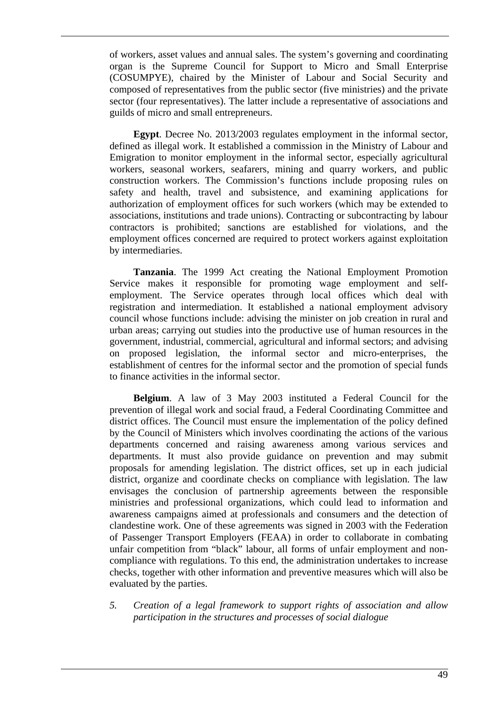of workers, asset values and annual sales. The system's governing and coordinating organ is the Supreme Council for Support to Micro and Small Enterprise (COSUMPYE), chaired by the Minister of Labour and Social Security and composed of representatives from the public sector (five ministries) and the private sector (four representatives). The latter include a representative of associations and guilds of micro and small entrepreneurs.

**Egypt**. Decree No. 2013/2003 regulates employment in the informal sector, defined as illegal work. It established a commission in the Ministry of Labour and Emigration to monitor employment in the informal sector, especially agricultural workers, seasonal workers, seafarers, mining and quarry workers, and public construction workers. The Commission's functions include proposing rules on safety and health, travel and subsistence, and examining applications for authorization of employment offices for such workers (which may be extended to associations, institutions and trade unions). Contracting or subcontracting by labour contractors is prohibited; sanctions are established for violations, and the employment offices concerned are required to protect workers against exploitation by intermediaries.

**Tanzania**. The 1999 Act creating the National Employment Promotion Service makes it responsible for promoting wage employment and selfemployment. The Service operates through local offices which deal with registration and intermediation. It established a national employment advisory council whose functions include: advising the minister on job creation in rural and urban areas; carrying out studies into the productive use of human resources in the government, industrial, commercial, agricultural and informal sectors; and advising on proposed legislation, the informal sector and micro-enterprises, the establishment of centres for the informal sector and the promotion of special funds to finance activities in the informal sector.

**Belgium**. A law of 3 May 2003 instituted a Federal Council for the prevention of illegal work and social fraud, a Federal Coordinating Committee and district offices. The Council must ensure the implementation of the policy defined by the Council of Ministers which involves coordinating the actions of the various departments concerned and raising awareness among various services and departments. It must also provide guidance on prevention and may submit proposals for amending legislation. The district offices, set up in each judicial district, organize and coordinate checks on compliance with legislation. The law envisages the conclusion of partnership agreements between the responsible ministries and professional organizations, which could lead to information and awareness campaigns aimed at professionals and consumers and the detection of clandestine work. One of these agreements was signed in 2003 with the Federation of Passenger Transport Employers (FEAA) in order to collaborate in combating unfair competition from "black" labour, all forms of unfair employment and noncompliance with regulations. To this end, the administration undertakes to increase checks, together with other information and preventive measures which will also be evaluated by the parties.

*5. Creation of a legal framework to support rights of association and allow participation in the structures and processes of social dialogue*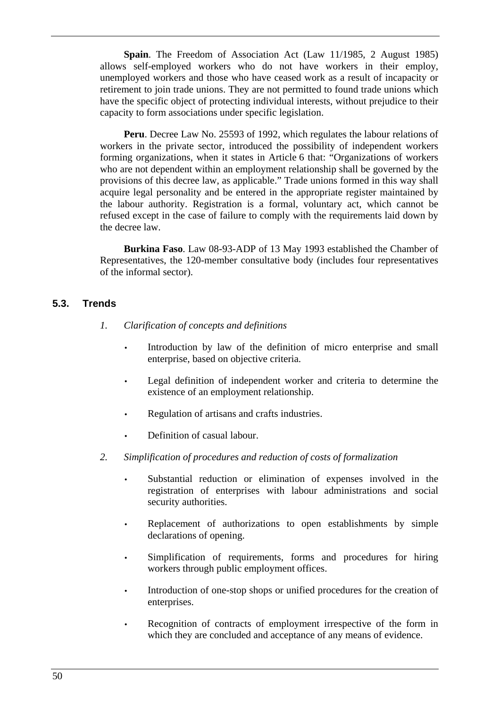**Spain**. The Freedom of Association Act (Law 11/1985, 2 August 1985) allows self-employed workers who do not have workers in their employ, unemployed workers and those who have ceased work as a result of incapacity or retirement to join trade unions. They are not permitted to found trade unions which have the specific object of protecting individual interests, without prejudice to their capacity to form associations under specific legislation.

**Peru**. Decree Law No. 25593 of 1992, which regulates the labour relations of workers in the private sector, introduced the possibility of independent workers forming organizations, when it states in Article 6 that: "Organizations of workers who are not dependent within an employment relationship shall be governed by the provisions of this decree law, as applicable." Trade unions formed in this way shall acquire legal personality and be entered in the appropriate register maintained by the labour authority. Registration is a formal, voluntary act, which cannot be refused except in the case of failure to comply with the requirements laid down by the decree law.

**Burkina Faso**. Law 08-93-ADP of 13 May 1993 established the Chamber of Representatives, the 120-member consultative body (includes four representatives of the informal sector).

# **5.3. Trends**

- *1. Clarification of concepts and definitions* 
	- Introduction by law of the definition of micro enterprise and small enterprise, based on objective criteria.
	- Legal definition of independent worker and criteria to determine the existence of an employment relationship.
	- Regulation of artisans and crafts industries.
	- Definition of casual labour.
- *2. Simplification of procedures and reduction of costs of formalization* 
	- Substantial reduction or elimination of expenses involved in the registration of enterprises with labour administrations and social security authorities.
	- Replacement of authorizations to open establishments by simple declarations of opening.
	- Simplification of requirements, forms and procedures for hiring workers through public employment offices.
	- Introduction of one-stop shops or unified procedures for the creation of enterprises.
	- Recognition of contracts of employment irrespective of the form in which they are concluded and acceptance of any means of evidence.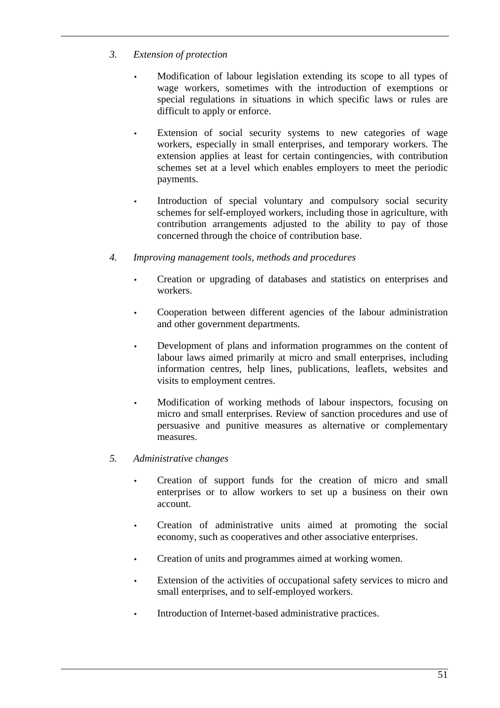- *3. Extension of protection* 
	- Modification of labour legislation extending its scope to all types of wage workers, sometimes with the introduction of exemptions or special regulations in situations in which specific laws or rules are difficult to apply or enforce.
	- Extension of social security systems to new categories of wage workers, especially in small enterprises, and temporary workers. The extension applies at least for certain contingencies, with contribution schemes set at a level which enables employers to meet the periodic payments.
	- Introduction of special voluntary and compulsory social security schemes for self-employed workers, including those in agriculture, with contribution arrangements adjusted to the ability to pay of those concerned through the choice of contribution base.
- *4. Improving management tools, methods and procedures* 
	- Creation or upgrading of databases and statistics on enterprises and workers.
	- Cooperation between different agencies of the labour administration and other government departments.
	- Development of plans and information programmes on the content of labour laws aimed primarily at micro and small enterprises, including information centres, help lines, publications, leaflets, websites and visits to employment centres.
	- Modification of working methods of labour inspectors, focusing on micro and small enterprises. Review of sanction procedures and use of persuasive and punitive measures as alternative or complementary measures.
- *5. Administrative changes* 
	- Creation of support funds for the creation of micro and small enterprises or to allow workers to set up a business on their own account.
	- Creation of administrative units aimed at promoting the social economy, such as cooperatives and other associative enterprises.
	- Creation of units and programmes aimed at working women.
	- Extension of the activities of occupational safety services to micro and small enterprises, and to self-employed workers.
	- Introduction of Internet-based administrative practices.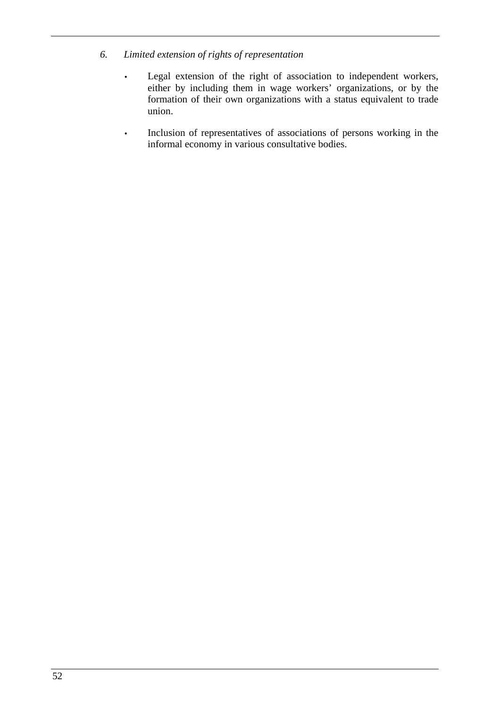- *6. Limited extension of rights of representation* 
	- Legal extension of the right of association to independent workers, either by including them in wage workers' organizations, or by the formation of their own organizations with a status equivalent to trade union.
	- Inclusion of representatives of associations of persons working in the informal economy in various consultative bodies.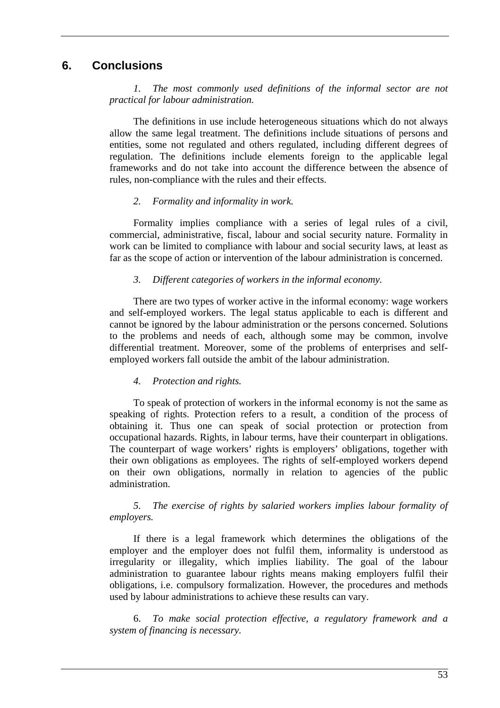# **6. Conclusions**

*1. The most commonly used definitions of the informal sector are not practical for labour administration.* 

The definitions in use include heterogeneous situations which do not always allow the same legal treatment. The definitions include situations of persons and entities, some not regulated and others regulated, including different degrees of regulation. The definitions include elements foreign to the applicable legal frameworks and do not take into account the difference between the absence of rules, non-compliance with the rules and their effects.

## *2. Formality and informality in work.*

Formality implies compliance with a series of legal rules of a civil, commercial, administrative, fiscal, labour and social security nature. Formality in work can be limited to compliance with labour and social security laws, at least as far as the scope of action or intervention of the labour administration is concerned.

## *3. Different categories of workers in the informal economy.*

There are two types of worker active in the informal economy: wage workers and self-employed workers. The legal status applicable to each is different and cannot be ignored by the labour administration or the persons concerned. Solutions to the problems and needs of each, although some may be common, involve differential treatment. Moreover, some of the problems of enterprises and selfemployed workers fall outside the ambit of the labour administration.

## *4. Protection and rights.*

To speak of protection of workers in the informal economy is not the same as speaking of rights. Protection refers to a result, a condition of the process of obtaining it. Thus one can speak of social protection or protection from occupational hazards. Rights, in labour terms, have their counterpart in obligations. The counterpart of wage workers' rights is employers' obligations, together with their own obligations as employees. The rights of self-employed workers depend on their own obligations, normally in relation to agencies of the public administration.

# *5. The exercise of rights by salaried workers implies labour formality of employers.*

If there is a legal framework which determines the obligations of the employer and the employer does not fulfil them, informality is understood as irregularity or illegality, which implies liability. The goal of the labour administration to guarantee labour rights means making employers fulfil their obligations, i.e. compulsory formalization. However, the procedures and methods used by labour administrations to achieve these results can vary.

6. *To make social protection effective, a regulatory framework and a system of financing is necessary.*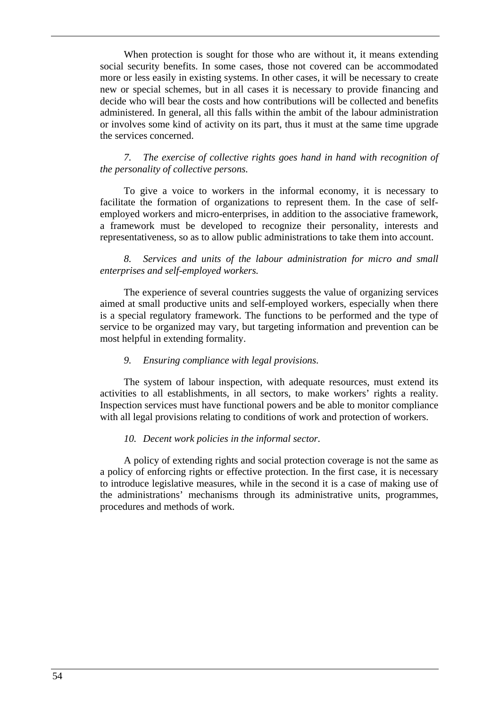When protection is sought for those who are without it, it means extending social security benefits. In some cases, those not covered can be accommodated more or less easily in existing systems. In other cases, it will be necessary to create new or special schemes, but in all cases it is necessary to provide financing and decide who will bear the costs and how contributions will be collected and benefits administered. In general, all this falls within the ambit of the labour administration or involves some kind of activity on its part, thus it must at the same time upgrade the services concerned.

*7. The exercise of collective rights goes hand in hand with recognition of the personality of collective persons.* 

To give a voice to workers in the informal economy, it is necessary to facilitate the formation of organizations to represent them. In the case of selfemployed workers and micro-enterprises, in addition to the associative framework, a framework must be developed to recognize their personality, interests and representativeness, so as to allow public administrations to take them into account.

*8. Services and units of the labour administration for micro and small enterprises and self-employed workers.* 

The experience of several countries suggests the value of organizing services aimed at small productive units and self-employed workers, especially when there is a special regulatory framework. The functions to be performed and the type of service to be organized may vary, but targeting information and prevention can be most helpful in extending formality.

## *9. Ensuring compliance with legal provisions.*

The system of labour inspection, with adequate resources, must extend its activities to all establishments, in all sectors, to make workers' rights a reality. Inspection services must have functional powers and be able to monitor compliance with all legal provisions relating to conditions of work and protection of workers.

## *10. Decent work policies in the informal sector.*

A policy of extending rights and social protection coverage is not the same as a policy of enforcing rights or effective protection. In the first case, it is necessary to introduce legislative measures, while in the second it is a case of making use of the administrations' mechanisms through its administrative units, programmes, procedures and methods of work.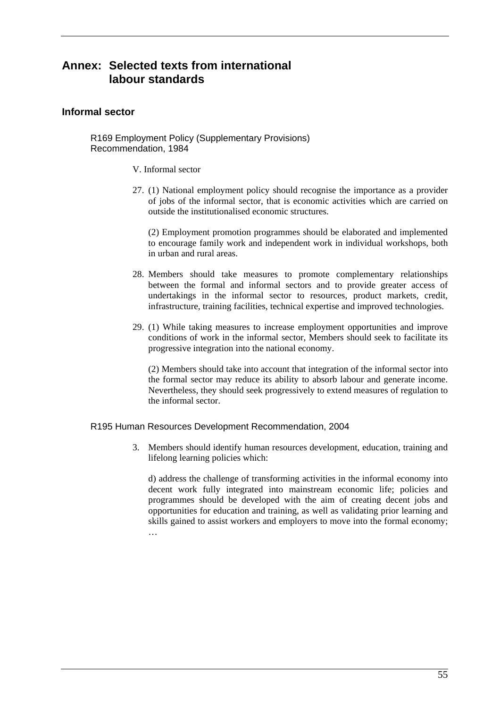# **Annex: Selected texts from international labour standards**

# **Informal sector**

R169 Employment Policy (Supplementary Provisions) Recommendation, 1984

## V. Informal sector

27. (1) National employment policy should recognise the importance as a provider of jobs of the informal sector, that is economic activities which are carried on outside the institutionalised economic structures.

(2) Employment promotion programmes should be elaborated and implemented to encourage family work and independent work in individual workshops, both in urban and rural areas.

- 28. Members should take measures to promote complementary relationships between the formal and informal sectors and to provide greater access of undertakings in the informal sector to resources, product markets, credit, infrastructure, training facilities, technical expertise and improved technologies.
- 29. (1) While taking measures to increase employment opportunities and improve conditions of work in the informal sector, Members should seek to facilitate its progressive integration into the national economy.

(2) Members should take into account that integration of the informal sector into the formal sector may reduce its ability to absorb labour and generate income. Nevertheless, they should seek progressively to extend measures of regulation to the informal sector.

## R195 Human Resources Development Recommendation, 2004

3. Members should identify human resources development, education, training and lifelong learning policies which:

d) address the challenge of transforming activities in the informal economy into decent work fully integrated into mainstream economic life; policies and programmes should be developed with the aim of creating decent jobs and opportunities for education and training, as well as validating prior learning and skills gained to assist workers and employers to move into the formal economy; …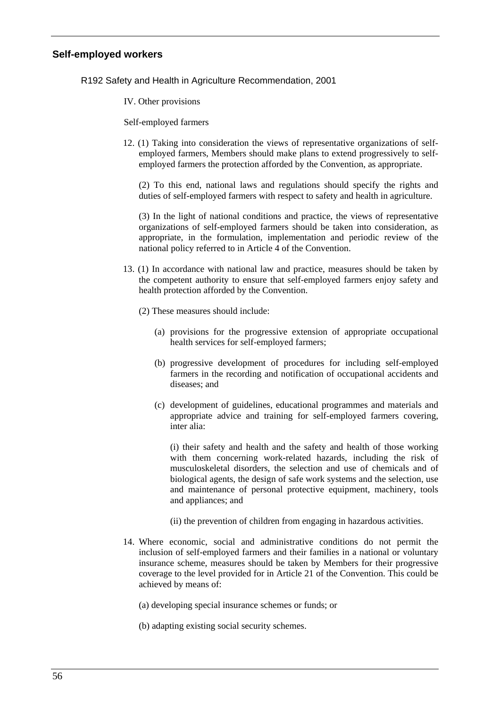## **Self-employed workers**

- R192 Safety and Health in Agriculture Recommendation, 2001
	- IV. Other provisions

Self-employed farmers

12. (1) Taking into consideration the views of representative organizations of selfemployed farmers, Members should make plans to extend progressively to selfemployed farmers the protection afforded by the Convention, as appropriate.

(2) To this end, national laws and regulations should specify the rights and duties of self-employed farmers with respect to safety and health in agriculture.

(3) In the light of national conditions and practice, the views of representative organizations of self-employed farmers should be taken into consideration, as appropriate, in the formulation, implementation and periodic review of the national policy referred to in Article 4 of the Convention.

- 13. (1) In accordance with national law and practice, measures should be taken by the competent authority to ensure that self-employed farmers enjoy safety and health protection afforded by the Convention.
	- (2) These measures should include:
		- (a) provisions for the progressive extension of appropriate occupational health services for self-employed farmers;
		- (b) progressive development of procedures for including self-employed farmers in the recording and notification of occupational accidents and diseases; and
		- (c) development of guidelines, educational programmes and materials and appropriate advice and training for self-employed farmers covering, inter alia:

(i) their safety and health and the safety and health of those working with them concerning work-related hazards, including the risk of musculoskeletal disorders, the selection and use of chemicals and of biological agents, the design of safe work systems and the selection, use and maintenance of personal protective equipment, machinery, tools and appliances; and

- (ii) the prevention of children from engaging in hazardous activities.
- 14. Where economic, social and administrative conditions do not permit the inclusion of self-employed farmers and their families in a national or voluntary insurance scheme, measures should be taken by Members for their progressive coverage to the level provided for in Article 21 of the Convention. This could be achieved by means of:
	- (a) developing special insurance schemes or funds; or
	- (b) adapting existing social security schemes.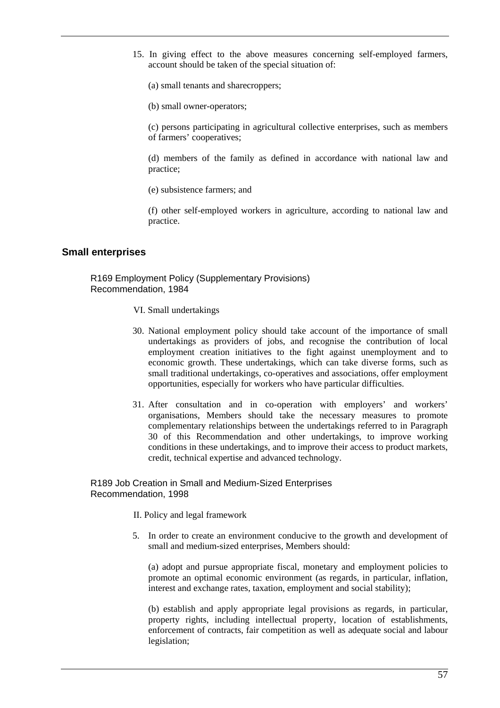15. In giving effect to the above measures concerning self-employed farmers, account should be taken of the special situation of:

(a) small tenants and sharecroppers;

(b) small owner-operators;

(c) persons participating in agricultural collective enterprises, such as members of farmers' cooperatives;

(d) members of the family as defined in accordance with national law and practice;

(e) subsistence farmers; and

(f) other self-employed workers in agriculture, according to national law and practice.

## **Small enterprises**

R169 Employment Policy (Supplementary Provisions) Recommendation, 1984

- VI. Small undertakings
- 30. National employment policy should take account of the importance of small undertakings as providers of jobs, and recognise the contribution of local employment creation initiatives to the fight against unemployment and to economic growth. These undertakings, which can take diverse forms, such as small traditional undertakings, co-operatives and associations, offer employment opportunities, especially for workers who have particular difficulties.
- 31. After consultation and in co-operation with employers' and workers' organisations, Members should take the necessary measures to promote complementary relationships between the undertakings referred to in Paragraph 30 of this Recommendation and other undertakings, to improve working conditions in these undertakings, and to improve their access to product markets, credit, technical expertise and advanced technology.

#### R189 Job Creation in Small and Medium-Sized Enterprises Recommendation, 1998

II. Policy and legal framework

5. In order to create an environment conducive to the growth and development of small and medium-sized enterprises, Members should:

(a) adopt and pursue appropriate fiscal, monetary and employment policies to promote an optimal economic environment (as regards, in particular, inflation, interest and exchange rates, taxation, employment and social stability);

(b) establish and apply appropriate legal provisions as regards, in particular, property rights, including intellectual property, location of establishments, enforcement of contracts, fair competition as well as adequate social and labour legislation;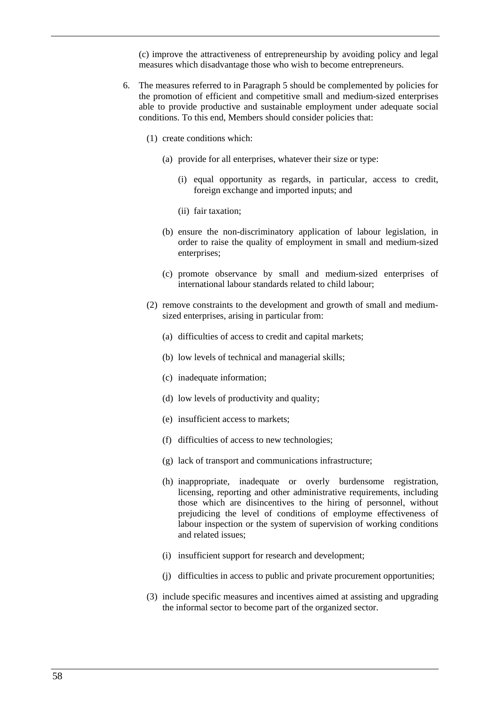(c) improve the attractiveness of entrepreneurship by avoiding policy and legal measures which disadvantage those who wish to become entrepreneurs.

- 6. The measures referred to in Paragraph 5 should be complemented by policies for the promotion of efficient and competitive small and medium-sized enterprises able to provide productive and sustainable employment under adequate social conditions. To this end, Members should consider policies that:
	- (1) create conditions which:
		- (a) provide for all enterprises, whatever their size or type:
			- (i) equal opportunity as regards, in particular, access to credit, foreign exchange and imported inputs; and
			- (ii) fair taxation;
		- (b) ensure the non-discriminatory application of labour legislation, in order to raise the quality of employment in small and medium-sized enterprises;
		- (c) promote observance by small and medium-sized enterprises of international labour standards related to child labour;
	- (2) remove constraints to the development and growth of small and mediumsized enterprises, arising in particular from:
		- (a) difficulties of access to credit and capital markets;
		- (b) low levels of technical and managerial skills;
		- (c) inadequate information;
		- (d) low levels of productivity and quality;
		- (e) insufficient access to markets;
		- (f) difficulties of access to new technologies;
		- (g) lack of transport and communications infrastructure;
		- (h) inappropriate, inadequate or overly burdensome registration, licensing, reporting and other administrative requirements, including those which are disincentives to the hiring of personnel, without prejudicing the level of conditions of employme effectiveness of labour inspection or the system of supervision of working conditions and related issues;
		- (i) insufficient support for research and development;
		- (j) difficulties in access to public and private procurement opportunities;
	- (3) include specific measures and incentives aimed at assisting and upgrading the informal sector to become part of the organized sector.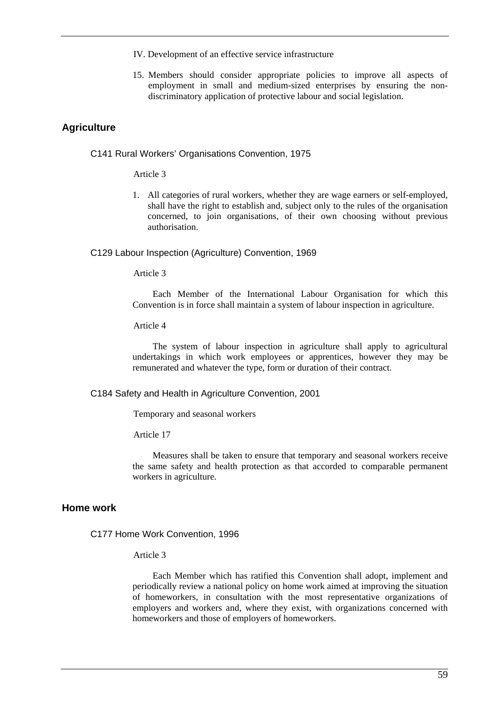- IV. Development of an effective service infrastructure
- 15. Members should consider appropriate policies to improve all aspects of employment in small and medium-sized enterprises by ensuring the nondiscriminatory application of protective labour and social legislation.

# **Agriculture**

C141 Rural Workers' Organisations Convention, 1975

Article 3

1. All categories of rural workers, whether they are wage earners or self-employed, shall have the right to establish and, subject only to the rules of the organisation concerned, to join organisations, of their own choosing without previous authorisation.

C129 Labour Inspection (Agriculture) Convention, 1969

Article 3

Each Member of the International Labour Organisation for which this Convention is in force shall maintain a system of labour inspection in agriculture.

Article 4

The system of labour inspection in agriculture shall apply to agricultural undertakings in which work employees or apprentices, however they may be remunerated and whatever the type, form or duration of their contract.

C184 Safety and Health in Agriculture Convention, 2001

Temporary and seasonal workers

Article 17

Measures shall be taken to ensure that temporary and seasonal workers receive the same safety and health protection as that accorded to comparable permanent workers in agriculture.

## **Home work**

C177 Home Work Convention, 1996

Article 3

Each Member which has ratified this Convention shall adopt, implement and periodically review a national policy on home work aimed at improving the situation of homeworkers, in consultation with the most representative organizations of employers and workers and, where they exist, with organizations concerned with homeworkers and those of employers of homeworkers.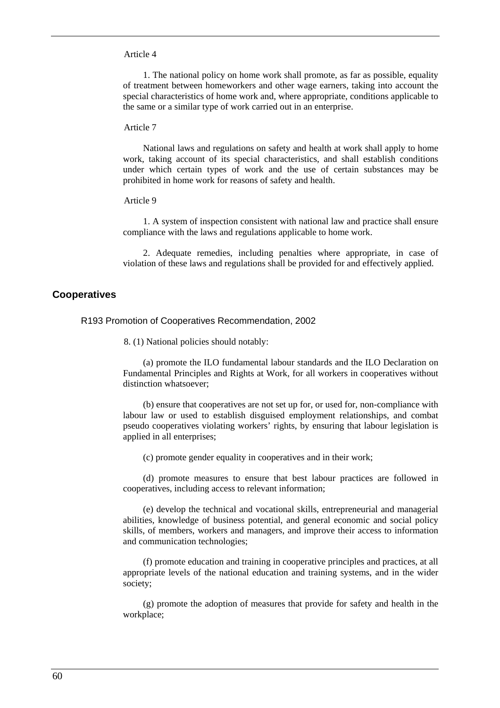#### Article 4

1. The national policy on home work shall promote, as far as possible, equality of treatment between homeworkers and other wage earners, taking into account the special characteristics of home work and, where appropriate, conditions applicable to the same or a similar type of work carried out in an enterprise.

#### Article 7

National laws and regulations on safety and health at work shall apply to home work, taking account of its special characteristics, and shall establish conditions under which certain types of work and the use of certain substances may be prohibited in home work for reasons of safety and health.

#### Article 9

1. A system of inspection consistent with national law and practice shall ensure compliance with the laws and regulations applicable to home work.

2. Adequate remedies, including penalties where appropriate, in case of violation of these laws and regulations shall be provided for and effectively applied.

## **Cooperatives**

R193 Promotion of Cooperatives Recommendation, 2002

8. (1) National policies should notably:

(a) promote the ILO fundamental labour standards and the ILO Declaration on Fundamental Principles and Rights at Work, for all workers in cooperatives without distinction whatsoever;

(b) ensure that cooperatives are not set up for, or used for, non-compliance with labour law or used to establish disguised employment relationships, and combat pseudo cooperatives violating workers' rights, by ensuring that labour legislation is applied in all enterprises;

(c) promote gender equality in cooperatives and in their work;

(d) promote measures to ensure that best labour practices are followed in cooperatives, including access to relevant information;

(e) develop the technical and vocational skills, entrepreneurial and managerial abilities, knowledge of business potential, and general economic and social policy skills, of members, workers and managers, and improve their access to information and communication technologies;

(f) promote education and training in cooperative principles and practices, at all appropriate levels of the national education and training systems, and in the wider society;

(g) promote the adoption of measures that provide for safety and health in the workplace;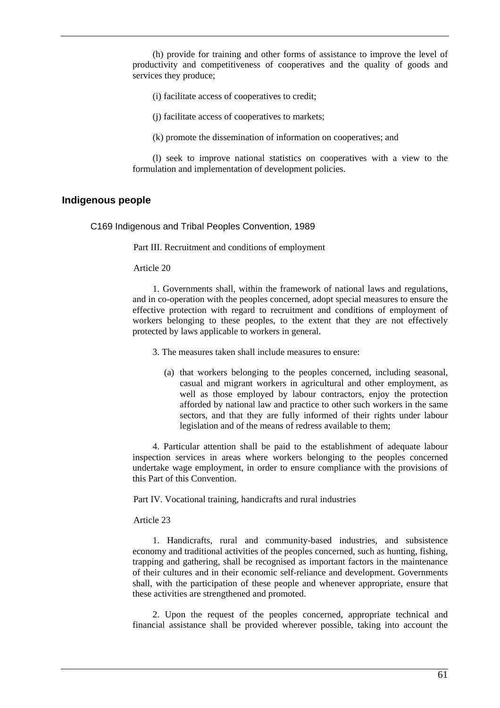(h) provide for training and other forms of assistance to improve the level of productivity and competitiveness of cooperatives and the quality of goods and services they produce;

(i) facilitate access of cooperatives to credit;

(j) facilitate access of cooperatives to markets;

(k) promote the dissemination of information on cooperatives; and

(l) seek to improve national statistics on cooperatives with a view to the formulation and implementation of development policies.

### **Indigenous people**

C169 Indigenous and Tribal Peoples Convention, 1989

Part III. Recruitment and conditions of employment

Article 20

1. Governments shall, within the framework of national laws and regulations, and in co-operation with the peoples concerned, adopt special measures to ensure the effective protection with regard to recruitment and conditions of employment of workers belonging to these peoples, to the extent that they are not effectively protected by laws applicable to workers in general.

3. The measures taken shall include measures to ensure:

(a) that workers belonging to the peoples concerned, including seasonal, casual and migrant workers in agricultural and other employment, as well as those employed by labour contractors, enjoy the protection afforded by national law and practice to other such workers in the same sectors, and that they are fully informed of their rights under labour legislation and of the means of redress available to them;

4. Particular attention shall be paid to the establishment of adequate labour inspection services in areas where workers belonging to the peoples concerned undertake wage employment, in order to ensure compliance with the provisions of this Part of this Convention.

Part IV. Vocational training, handicrafts and rural industries

## Article 23

1. Handicrafts, rural and community-based industries, and subsistence economy and traditional activities of the peoples concerned, such as hunting, fishing, trapping and gathering, shall be recognised as important factors in the maintenance of their cultures and in their economic self-reliance and development. Governments shall, with the participation of these people and whenever appropriate, ensure that these activities are strengthened and promoted.

2. Upon the request of the peoples concerned, appropriate technical and financial assistance shall be provided wherever possible, taking into account the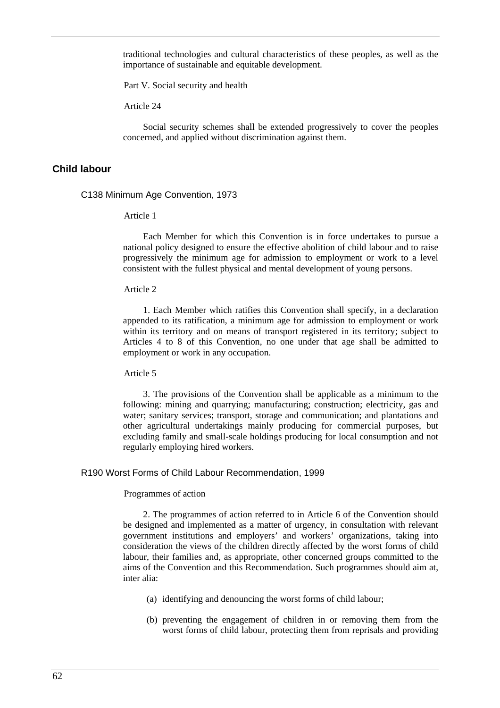traditional technologies and cultural characteristics of these peoples, as well as the importance of sustainable and equitable development.

Part V. Social security and health

Article 24

Social security schemes shall be extended progressively to cover the peoples concerned, and applied without discrimination against them.

## **Child labour**

C138 Minimum Age Convention, 1973

Article 1

Each Member for which this Convention is in force undertakes to pursue a national policy designed to ensure the effective abolition of child labour and to raise progressively the minimum age for admission to employment or work to a level consistent with the fullest physical and mental development of young persons.

Article 2

1. Each Member which ratifies this Convention shall specify, in a declaration appended to its ratification, a minimum age for admission to employment or work within its territory and on means of transport registered in its territory; subject to Articles 4 to 8 of this Convention, no one under that age shall be admitted to employment or work in any occupation.

Article 5

3. The provisions of the Convention shall be applicable as a minimum to the following: mining and quarrying; manufacturing; construction; electricity, gas and water; sanitary services; transport, storage and communication; and plantations and other agricultural undertakings mainly producing for commercial purposes, but excluding family and small-scale holdings producing for local consumption and not regularly employing hired workers.

#### R190 Worst Forms of Child Labour Recommendation, 1999

Programmes of action

2. The programmes of action referred to in Article 6 of the Convention should be designed and implemented as a matter of urgency, in consultation with relevant government institutions and employers' and workers' organizations, taking into consideration the views of the children directly affected by the worst forms of child labour, their families and, as appropriate, other concerned groups committed to the aims of the Convention and this Recommendation. Such programmes should aim at, inter alia:

- (a) identifying and denouncing the worst forms of child labour;
- (b) preventing the engagement of children in or removing them from the worst forms of child labour, protecting them from reprisals and providing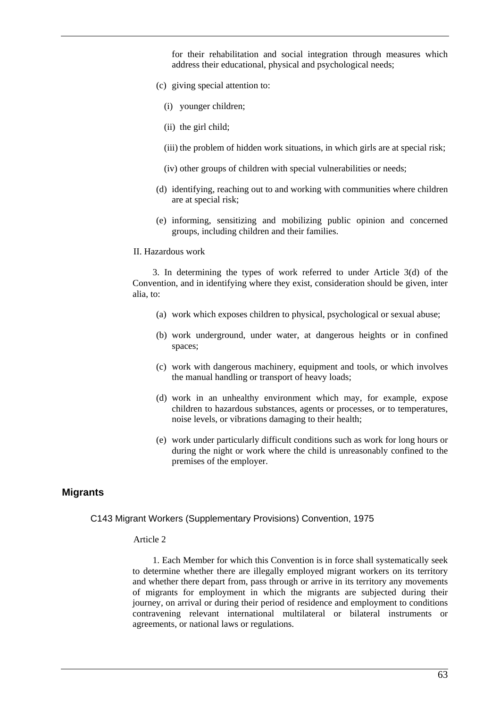for their rehabilitation and social integration through measures which address their educational, physical and psychological needs;

- (c) giving special attention to:
	- (i) younger children;
	- (ii) the girl child;
	- (iii) the problem of hidden work situations, in which girls are at special risk;
	- (iv) other groups of children with special vulnerabilities or needs;
- (d) identifying, reaching out to and working with communities where children are at special risk;
- (e) informing, sensitizing and mobilizing public opinion and concerned groups, including children and their families.

#### II. Hazardous work

3. In determining the types of work referred to under Article 3(d) of the Convention, and in identifying where they exist, consideration should be given, inter alia, to:

- (a) work which exposes children to physical, psychological or sexual abuse;
- (b) work underground, under water, at dangerous heights or in confined spaces;
- (c) work with dangerous machinery, equipment and tools, or which involves the manual handling or transport of heavy loads;
- (d) work in an unhealthy environment which may, for example, expose children to hazardous substances, agents or processes, or to temperatures, noise levels, or vibrations damaging to their health;
- (e) work under particularly difficult conditions such as work for long hours or during the night or work where the child is unreasonably confined to the premises of the employer.

## **Migrants**

C143 Migrant Workers (Supplementary Provisions) Convention, 1975

## Article 2

1. Each Member for which this Convention is in force shall systematically seek to determine whether there are illegally employed migrant workers on its territory and whether there depart from, pass through or arrive in its territory any movements of migrants for employment in which the migrants are subjected during their journey, on arrival or during their period of residence and employment to conditions contravening relevant international multilateral or bilateral instruments or agreements, or national laws or regulations.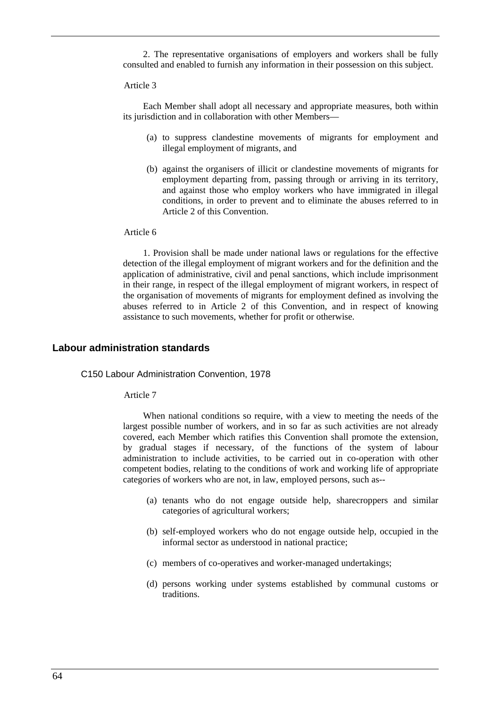2. The representative organisations of employers and workers shall be fully consulted and enabled to furnish any information in their possession on this subject.

#### Article 3

Each Member shall adopt all necessary and appropriate measures, both within its jurisdiction and in collaboration with other Members—

- (a) to suppress clandestine movements of migrants for employment and illegal employment of migrants, and
- (b) against the organisers of illicit or clandestine movements of migrants for employment departing from, passing through or arriving in its territory, and against those who employ workers who have immigrated in illegal conditions, in order to prevent and to eliminate the abuses referred to in Article 2 of this Convention.

#### Article 6

1. Provision shall be made under national laws or regulations for the effective detection of the illegal employment of migrant workers and for the definition and the application of administrative, civil and penal sanctions, which include imprisonment in their range, in respect of the illegal employment of migrant workers, in respect of the organisation of movements of migrants for employment defined as involving the abuses referred to in Article 2 of this Convention, and in respect of knowing assistance to such movements, whether for profit or otherwise.

## **Labour administration standards**

C150 Labour Administration Convention, 1978

#### Article 7

When national conditions so require, with a view to meeting the needs of the largest possible number of workers, and in so far as such activities are not already covered, each Member which ratifies this Convention shall promote the extension, by gradual stages if necessary, of the functions of the system of labour administration to include activities, to be carried out in co-operation with other competent bodies, relating to the conditions of work and working life of appropriate categories of workers who are not, in law, employed persons, such as--

- (a) tenants who do not engage outside help, sharecroppers and similar categories of agricultural workers;
- (b) self-employed workers who do not engage outside help, occupied in the informal sector as understood in national practice;
- (c) members of co-operatives and worker-managed undertakings;
- (d) persons working under systems established by communal customs or traditions.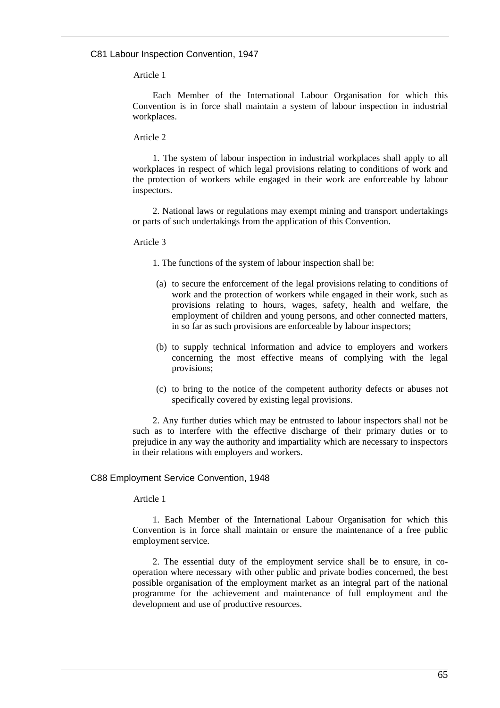#### C81 Labour Inspection Convention, 1947

Article 1

Each Member of the International Labour Organisation for which this Convention is in force shall maintain a system of labour inspection in industrial workplaces.

Article 2

1. The system of labour inspection in industrial workplaces shall apply to all workplaces in respect of which legal provisions relating to conditions of work and the protection of workers while engaged in their work are enforceable by labour inspectors.

2. National laws or regulations may exempt mining and transport undertakings or parts of such undertakings from the application of this Convention.

Article 3

1. The functions of the system of labour inspection shall be:

- (a) to secure the enforcement of the legal provisions relating to conditions of work and the protection of workers while engaged in their work, such as provisions relating to hours, wages, safety, health and welfare, the employment of children and young persons, and other connected matters, in so far as such provisions are enforceable by labour inspectors;
- (b) to supply technical information and advice to employers and workers concerning the most effective means of complying with the legal provisions;
- (c) to bring to the notice of the competent authority defects or abuses not specifically covered by existing legal provisions.

2. Any further duties which may be entrusted to labour inspectors shall not be such as to interfere with the effective discharge of their primary duties or to prejudice in any way the authority and impartiality which are necessary to inspectors in their relations with employers and workers.

C88 Employment Service Convention, 1948

Article 1

1. Each Member of the International Labour Organisation for which this Convention is in force shall maintain or ensure the maintenance of a free public employment service.

2. The essential duty of the employment service shall be to ensure, in cooperation where necessary with other public and private bodies concerned, the best possible organisation of the employment market as an integral part of the national programme for the achievement and maintenance of full employment and the development and use of productive resources.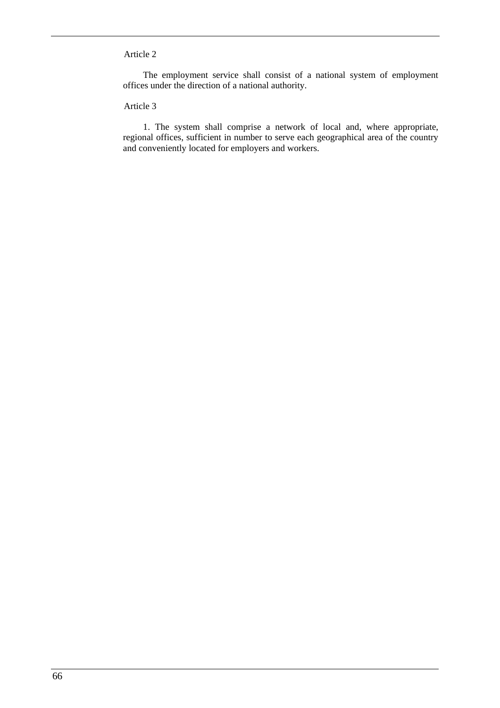#### Article 2

The employment service shall consist of a national system of employment offices under the direction of a national authority.

Article 3

1. The system shall comprise a network of local and, where appropriate, regional offices, sufficient in number to serve each geographical area of the country and conveniently located for employers and workers.